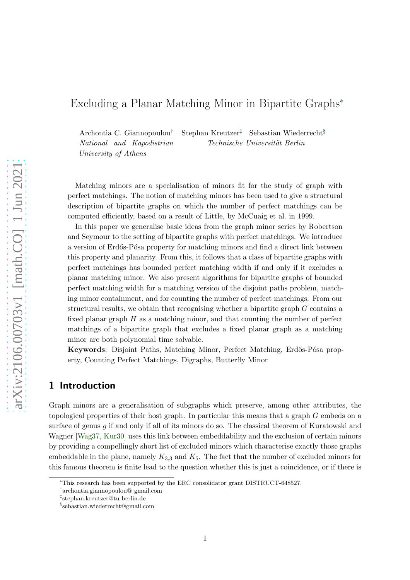# Excluding a Planar Matching Minor in Bipartite Graphs<sup>∗</sup>

Archontia C. Giannopoulou† Stephan Kreutzer‡ Sebastian Wiederrecht§ National and Kapodistrian University of Athens Technische Universität Berlin

Matching minors are a specialisation of minors fit for the study of graph with perfect matchings. The notion of matching minors has been used to give a structural description of bipartite graphs on which the number of perfect matchings can be computed efficiently, based on a result of Little, by McCuaig et al. in 1999.

In this paper we generalise basic ideas from the graph minor series by Robertson and Seymour to the setting of bipartite graphs with perfect matchings. We introduce a version of Erd˝os-P´osa property for matching minors and find a direct link between this property and planarity. From this, it follows that a class of bipartite graphs with perfect matchings has bounded perfect matching width if and only if it excludes a planar matching minor. We also present algorithms for bipartite graphs of bounded perfect matching width for a matching version of the disjoint paths problem, matching minor containment, and for counting the number of perfect matchings. From our structural results, we obtain that recognising whether a bipartite graph  $G$  contains a fixed planar graph  $H$  as a matching minor, and that counting the number of perfect matchings of a bipartite graph that excludes a fixed planar graph as a matching minor are both polynomial time solvable.

Keywords: Disjoint Paths, Matching Minor, Perfect Matching, Erdős-Pósa property, Counting Perfect Matchings, Digraphs, Butterfly Minor

### 1 Introduction

Graph minors are a generalisation of subgraphs which preserve, among other attributes, the topological properties of their host graph. In particular this means that a graph G embeds on a surface of genus  $q$  if and only if all of its minors do so. The classical theorem of Kuratowski and Wagner [\[Wag37,](#page-53-0) [Kur30\]](#page-53-1) uses this link between embeddability and the exclusion of certain minors by providing a compellingly short list of excluded minors which characterise exactly those graphs embeddable in the plane, namely  $K_{3,3}$  and  $K_5$ . The fact that the number of excluded minors for this famous theorem is finite lead to the question whether this is just a coincidence, or if there is

<sup>∗</sup>This research has been supported by the ERC consolidator grant DISTRUCT-648527.

<sup>†</sup> archontia.giannopoulou@ gmail.com

<sup>‡</sup> stephan.kreutzer@tu-berlin.de

<sup>§</sup> sebastian.wiederrecht@gmail.com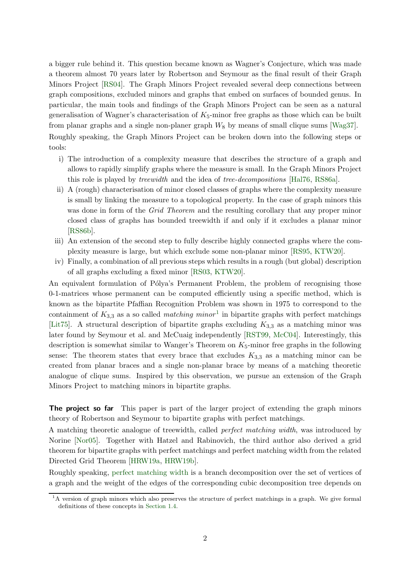a bigger rule behind it. This question became known as Wagner's Conjecture, which was made a theorem almost 70 years later by Robertson and Seymour as the final result of their Graph Minors Project [\[RS04\]](#page-53-2). The Graph Minors Project revealed several deep connections between graph compositions, excluded minors and graphs that embed on surfaces of bounded genus. In particular, the main tools and findings of the Graph Minors Project can be seen as a natural generalisation of Wagner's characterisation of  $K_5$ -minor free graphs as those which can be built from planar graphs and a single non-planer graph  $W_8$  by means of small clique sums [\[Wag37\]](#page-53-0). Roughly speaking, the Graph Minors Project can be broken down into the following steps or tools:

- i) The introduction of a complexity measure that describes the structure of a graph and allows to rapidly simplify graphs where the measure is small. In the Graph Minors Project this role is played by treewidth and the idea of tree-decompositions [\[Hal76,](#page-52-0) [RS86a\]](#page-53-3).
- ii) A (rough) characterisation of minor closed classes of graphs where the complexity measure is small by linking the measure to a topological property. In the case of graph minors this was done in form of the *Grid Theorem* and the resulting corollary that any proper minor closed class of graphs has bounded treewidth if and only if it excludes a planar minor [\[RS86b\]](#page-53-4).
- iii) An extension of the second step to fully describe highly connected graphs where the complexity measure is large, but which exclude some non-planar minor [\[RS95,](#page-53-5) [KTW20\]](#page-53-6).
- iv) Finally, a combination of all previous steps which results in a rough (but global) description of all graphs excluding a fixed minor [\[RS03,](#page-53-7) [KTW20\]](#page-53-6).

An equivalent formulation of Pólya's Permanent Problem, the problem of recognising those 0-1-matrices whose permanent can be computed efficiently using a specific method, which is known as the bipartite Pfaffian Recognition Problem was shown in 1975 to correspond to the containment of  $K_{3,3}$  as a so called *matching minor*<sup>1</sup> in bipartite graphs with perfect matchings [\[Lit75\]](#page-53-8). A structural description of bipartite graphs excluding  $K_{3,3}$  as a matching minor was later found by Seymour et al. and McCuaig independently [\[RST99,](#page-53-9) [McC04\]](#page-53-10). Interestingly, this description is somewhat similar to Wanger's Theorem on  $K_5$ -minor free graphs in the following sense: The theorem states that every brace that excludes  $K_{3,3}$  as a matching minor can be created from planar braces and a single non-planar brace by means of a matching theoretic analogue of clique sums. Inspired by this observation, we pursue an extension of the Graph Minors Project to matching minors in bipartite graphs.

**The project so far** This paper is part of the larger project of extending the graph minors theory of Robertson and Seymour to bipartite graphs with perfect matchings.

A matching theoretic analogue of treewidth, called perfect matching width, was introduced by Norine [\[Nor05\]](#page-53-11). Together with Hatzel and Rabinovich, the third author also derived a grid theorem for bipartite graphs with perfect matchings and perfect matching width from the related Directed Grid Theorem [\[HRW19a,](#page-52-1) [HRW19b\]](#page-52-2).

Roughly speaking, [perfect matching width](#page-9-0) is a branch decomposition over the set of vertices of a graph and the weight of the edges of the corresponding cubic decomposition tree depends on

<sup>&</sup>lt;sup>1</sup>A version of graph minors which also preserves the structure of perfect matchings in a graph. We give formal definitions of these concepts in [Section 1.4.](#page-7-0)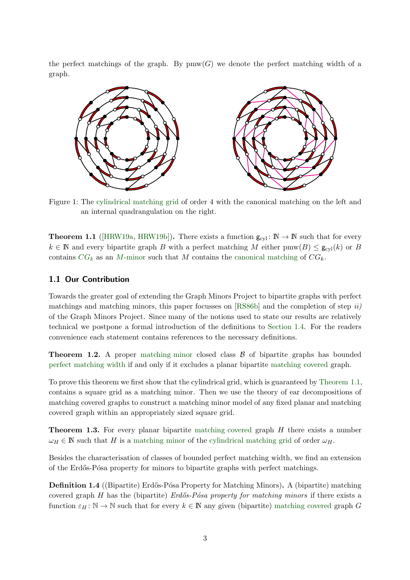<span id="page-2-4"></span>the perfect matchings of the graph. By  $\text{pmw}(G)$  we denote the perfect matching width of a graph.



<span id="page-2-0"></span>Figure 1: The [cylindrical matching grid](#page-9-1) of order 4 with the canonical matching on the left and an internal quadrangulation on the right.

**Theorem 1.1** ([\[HRW19a,](#page-52-1) [HRW19b\]](#page-52-2)). There exists a function  $g_{cyl}$ :  $\mathbb{N} \to \mathbb{N}$  such that for every  $k \in \mathbb{N}$  and every bipartite graph B with a perfect matching M either pmw $(B) \leq g_{\text{cyl}}(k)$  or B contains  $CG_k$  $CG_k$  as an M[-minor](#page-8-0) such that M contains the [canonical matching](#page-9-1) of  $CG_k$ .

#### 1.1 Our Contribution

Towards the greater goal of extending the Graph Minors Project to bipartite graphs with perfect matchings and matching minors, this paper focusses on  $[RS86b]$  and the completion of step  $ii)$ of the Graph Minors Project. Since many of the notions used to state our results are relatively technical we postpone a formal introduction of the definitions to [Section 1.4.](#page-7-0) For the readers convenience each statement contains references to the necessary definitions.

<span id="page-2-2"></span>**Theorem 1.2.** A proper [matching minor](#page-8-0) closed class  $\beta$  of bipartite graphs has bounded [perfect matching width](#page-9-0) if and only if it excludes a planar bipartite [matching covered](#page-7-1) graph.

To prove this theorem we first show that the cylindrical grid, which is guaranteed by [Theorem 1.1,](#page-2-0) contains a square grid as a matching minor. Then we use the theory of ear decompositions of matching covered graphs to construct a matching minor model of any fixed planar and matching covered graph within an appropriately sized square grid.

<span id="page-2-3"></span>**Theorem 1.3.** For every planar bipartite [matching covered](#page-7-1) graph H there exists a number  $\omega_H \in \mathbb{N}$  such that H is a [matching minor](#page-8-0) of the [cylindrical matching grid](#page-9-1) of order  $\omega_H$ .

<span id="page-2-1"></span>Besides the characterisation of classes of bounded perfect matching width, we find an extension of the Erdős-Pósa property for minors to bipartite graphs with perfect matchings.

**Definition 1.4** ((Bipartite) Erdős-Pósa Property for Matching Minors). A (bipartite) matching covered graph H has the (bipartite)  $Erd\tilde{c}s-P\tilde{c}sa$  property for matching minors if there exists a function  $\varepsilon_H : \mathbb{N} \to \mathbb{N}$  such that for every  $k \in \mathbb{N}$  any given (bipartite) [matching covered](#page-7-1) graph G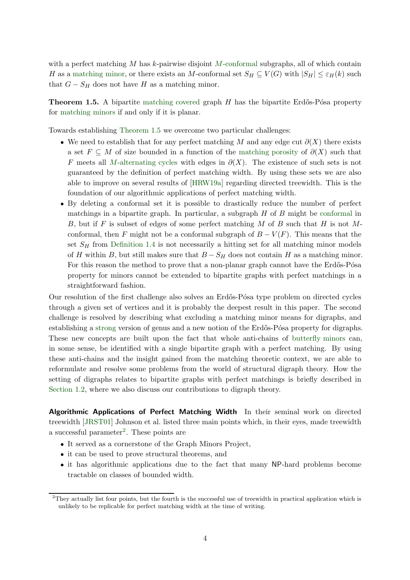with a perfect matching  $M$  has  $k$ -pairwise disjoint  $M$ [-conformal](#page-7-2) subgraphs, all of which contain H as a [matching minor,](#page-8-0) or there exists an M-conformal set  $S_H \subseteq V(G)$  with  $|S_H| \leq \varepsilon_H(k)$  such that  $G - S_H$  does not have H as a matching minor.

<span id="page-3-0"></span>**Theorem 1.5.** A bipartite [matching covered](#page-7-1) graph  $H$  has the bipartite Erdős-Pósa property for [matching minors](#page-8-0) if and only if it is planar.

Towards establishing [Theorem 1.5](#page-3-0) we overcome two particular challenges:

- We need to establish that for any perfect matching M and any edge cut  $\partial(X)$  there exists a set  $F \subseteq M$  of size bounded in a function of the [matching porosity](#page-9-2) of  $\partial(X)$  such that F meets all M[-alternating cycles](#page-8-1) with edges in  $\partial(X)$ . The existence of such sets is not guaranteed by the definition of perfect matching width. By using these sets we are also able to improve on several results of [\[HRW19a\]](#page-52-1) regarding directed treewidth. This is the foundation of our algorithmic applications of perfect matching width.
- By deleting a conformal set it is possible to drastically reduce the number of perfect matchings in a bipartite graph. In particular, a subgraph  $H$  of  $B$  might be [conformal](#page-7-2) in B, but if F is subset of edges of some perfect matching M of B such that H is not Mconformal, then F might not be a conformal subgraph of  $B - V(F)$ . This means that the set  $S_H$  from [Definition 1.4](#page-2-1) is not necessarily a hitting set for all matching minor models of H within B, but still makes sure that  $B - S_H$  does not contain H as a matching minor. For this reason the method to prove that a non-planar graph cannot have the Erdős-Pósa property for minors cannot be extended to bipartite graphs with perfect matchings in a straightforward fashion.

Our resolution of the first challenge also solves an Erdős-Pósa type problem on directed cycles through a given set of vertices and it is probably the deepest result in this paper. The second challenge is resolved by describing what excluding a matching minor means for digraphs, and establishing a [strong](#page-24-0) version of genus and a new notion of the Erdős-Pósa property for digraphs. These new concepts are built upon the fact that whole anti-chains of [butterfly minors](#page-10-0) can, in some sense, be identified with a single bipartite graph with a perfect matching. By using these anti-chains and the insight gained from the matching theoretic context, we are able to reformulate and resolve some problems from the world of structural digraph theory. How the setting of digraphs relates to bipartite graphs with perfect matchings is briefly described in [Section 1.2,](#page-5-0) where we also discuss our contributions to digraph theory.

Algorithmic Applications of Perfect Matching Width In their seminal work on directed treewidth [\[JRST01\]](#page-53-12) Johnson et al. listed three main points which, in their eyes, made treewidth a successful parameter<sup>2</sup>. These points are

- It served as a cornerstone of the Graph Minors Project,
- it can be used to prove structural theorems, and
- it has algorithmic applications due to the fact that many NP-hard problems become tractable on classes of bounded width.

 $2$ They actually list four points, but the fourth is the successful use of treewidth in practical application which is unlikely to be replicable for perfect matching width at the time of writing.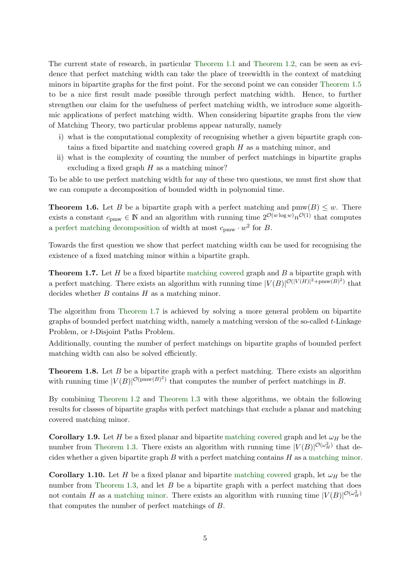The current state of research, in particular [Theorem 1.1](#page-2-0) and [Theorem 1.2,](#page-2-2) can be seen as evidence that perfect matching width can take the place of treewidth in the context of matching minors in bipartite graphs for the first point. For the second point we can consider [Theorem 1.5](#page-3-0) to be a nice first result made possible through perfect matching width. Hence, to further strengthen our claim for the usefulness of perfect matching width, we introduce some algorithmic applications of perfect matching width. When considering bipartite graphs from the view of Matching Theory, two particular problems appear naturally, namely

- i) what is the computational complexity of recognising whether a given bipartite graph contains a fixed bipartite and matching covered graph  $H$  as a matching minor, and
- ii) what is the complexity of counting the number of perfect matchings in bipartite graphs excluding a fixed graph  $H$  as a matching minor?

<span id="page-4-1"></span>To be able to use perfect matching width for any of these two questions, we must first show that we can compute a decomposition of bounded width in polynomial time.

**Theorem 1.6.** Let B be a bipartite graph with a perfect matching and  $\text{pmw}(B) \leq w$ . There exists a constant  $c_{\text{pmw}} \in \mathbb{N}$  and an algorithm with running time  $2^{\mathcal{O}(w \log w)} n^{\mathcal{O}(1)}$  that computes a [perfect matching decomposition](#page-9-0) of width at most  $c_{\text{pmw}} \cdot w^2$  for B.

<span id="page-4-0"></span>Towards the first question we show that perfect matching width can be used for recognising the existence of a fixed matching minor within a bipartite graph.

**Theorem 1.7.** Let  $H$  be a fixed bipartite [matching covered](#page-7-1) graph and  $B$  a bipartite graph with a perfect matching. There exists an algorithm with running time  $|V(B)|^{\mathcal{O}(|V(H)|^2 + \text{pmw}(B)^2)}$  that decides whether  $B$  contains  $H$  as a matching minor.

The algorithm from [Theorem 1.7](#page-4-0) is achieved by solving a more general problem on bipartite graphs of bounded perfect matching width, namely a matching version of the so-called t-Linkage Problem, or t-Disjoint Paths Problem.

<span id="page-4-2"></span>Additionally, counting the number of perfect matchings on bipartite graphs of bounded perfect matching width can also be solved efficiently.

**Theorem 1.8.** Let  $B$  be a bipartite graph with a perfect matching. There exists an algorithm with running time  $|V(B)|^{\mathcal{O}(\text{pmw}(B)^2)}$  that computes the number of perfect matchings in B.

By combining [Theorem 1.2](#page-2-2) and [Theorem 1.3](#page-2-3) with these algorithms, we obtain the following results for classes of bipartite graphs with perfect matchings that exclude a planar and matching covered matching minor.

<span id="page-4-3"></span>**Corollary 1.9.** Let H be a fixed planar and bipartite [matching covered](#page-7-1) graph and let  $\omega_H$  be the number from [Theorem 1.3.](#page-2-3) There exists an algorithm with running time  $|V(B)|^{\mathcal{O}(\omega_H^2)}$  that decides whether a given bipartite graph  $B$  with a perfect matching contains  $H$  as a [matching minor.](#page-8-0)

<span id="page-4-4"></span>**Corollary 1.10.** Let H be a fixed planar and bipartite [matching covered](#page-7-1) graph, let  $\omega_H$  be the number from [Theorem 1.3,](#page-2-3) and let  $B$  be a bipartite graph with a perfect matching that does not contain H as a [matching minor.](#page-8-0) There exists an algorithm with running time  $|V(B)|^{\mathcal{O}(\omega_H^2)}$ that computes the number of perfect matchings of B.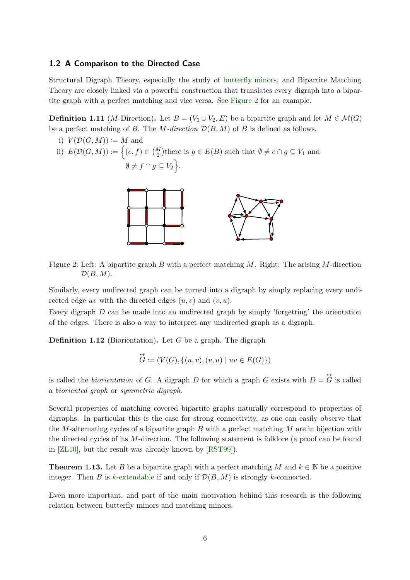#### <span id="page-5-0"></span>1.2 A Comparison to the Directed Case

<span id="page-5-3"></span>Structural Digraph Theory, especially the study of [butterfly minors,](#page-10-0) and Bipartite Matching Theory are closely linked via a powerful construction that translates every digraph into a bipartite graph with a perfect matching and vice versa. See [Figure 2](#page-5-1) for an example.

**Definition 1.11** (*M*-Direction). Let  $B = (V_1 \cup V_2, E)$  be a bipartite graph and let  $M \in \mathcal{M}(G)$ be a perfect matching of B. The M-direction  $\mathcal{D}(B, M)$  of B is defined as follows.

<span id="page-5-1"></span>i)  $V(\mathcal{D}(G,M)) \coloneqq M$  and ii)  $E(\mathcal{D}(G,M)) \coloneqq \Big\{(e,f) \in {M \choose 2} \text{there is } g \in E(B) \text{ such that } \emptyset \neq e \cap g \subseteq V_1 \text{ and }$  $\emptyset \neq f \cap g \subseteq V_2$ .



Figure 2: Left: A bipartite graph B with a perfect matching M. Right: The arising M-direction  $\mathcal{D}(B,M)$ .

Similarly, every undirected graph can be turned into a digraph by simply replacing every undirected edge uv with the directed edges  $(u, v)$  and  $(v, u)$ .

Every digraph D can be made into an undirected graph by simply 'forgetting' the orientation of the edges. There is also a way to interpret any undirected graph as a digraph.

**Definition 1.12** (Biorientation). Let G be a graph. The digraph

$$
\vec{G} := (V(G), \{(u, v), (v, u) \mid uv \in E(G)\})
$$

is called the *biorientation* of G. A digraph D for which a graph G exists with  $D = \overleftrightarrow{G}$  is called a bioriented graph or symmetric digraph.

Several properties of matching covered bipartite graphs naturally correspond to properties of digraphs. In particular this is the case for strong connectivity, as one can easily observe that the M-alternating cycles of a bipartite graph  $B$  with a perfect matching  $M$  are in bijection with the directed cycles of its M-direction. The following statement is folklore (a proof can be found in [\[ZL10\]](#page-54-0), but the result was already known by [\[RST99\]](#page-53-9)).

<span id="page-5-4"></span>**Theorem 1.13.** Let B be a bipartite graph with a perfect matching M and  $k \in \mathbb{N}$  be a positive integer. Then B is k[-extendable](#page-8-2) if and only if  $\mathcal{D}(B, M)$  is strongly k-connected.

<span id="page-5-2"></span>Even more important, and part of the main motivation behind this research is the following relation between butterfly minors and matching minors.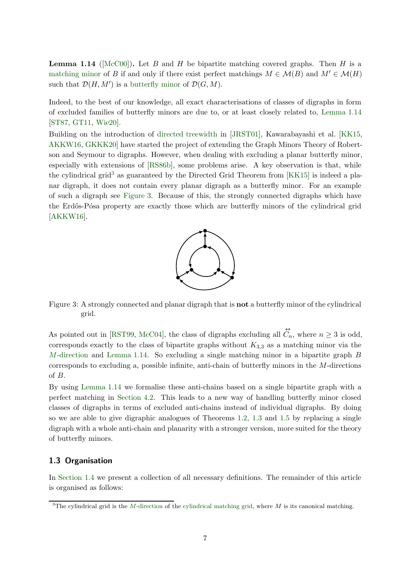**Lemma 1.14** ( $[{\rm McC00}]$ ). Let B and H be bipartite matching covered graphs. Then H is a [matching minor](#page-8-0) of B if and only if there exist perfect matchings  $M \in \mathcal{M}(B)$  and  $M' \in \mathcal{M}(H)$ such that  $\mathcal{D}(H, M')$  is a [butterfly minor](#page-10-0) of  $\mathcal{D}(G, M)$ .

Indeed, to the best of our knowledge, all exact characterisations of classes of digraphs in form of excluded families of butterfly minors are due to, or at least closely related to, [Lemma 1.14](#page-5-2) [\[ST87,](#page-53-14) [GT11,](#page-52-3) [Wie20\]](#page-54-1).

Building on the introduction of [directed treewidth](#page-10-1) in [\[JRST01\]](#page-53-12), Kawarabayashi et al. [\[KK15,](#page-53-15) [AKKW16,](#page-52-4) [GKKK20\]](#page-52-5) have started the project of extending the Graph Minors Theory of Robertson and Seymour to digraphs. However, when dealing with excluding a planar butterfly minor, especially with extensions of [\[RS86b\]](#page-53-4), some problems arise. A key observation is that, while the cylindrical grid<sup>3</sup> as guaranteed by the Directed Grid Theorem from  $[KK15]$  is indeed a planar digraph, it does not contain every planar digraph as a butterfly minor. For an example of such a digraph see [Figure 3.](#page-6-0) Because of this, the strongly connected digraphs which have the Erdős-Pósa property are exactly those which are butterfly minors of the cylindrical grid [\[AKKW16\]](#page-52-4).



<span id="page-6-0"></span>Figure 3: A strongly connected and planar digraph that is not a butterfly minor of the cylindrical grid.

As pointed out in [\[RST99,](#page-53-9) [McC04\]](#page-53-10), the class of digraphs excluding all  $\overleftrightarrow{C}_n$ , where  $n \geq 3$  is odd, corresponds exactly to the class of bipartite graphs without  $K_{3,3}$  as a matching minor via the M[-direction](#page-5-3) and [Lemma 1.14.](#page-5-2) So excluding a single matching minor in a bipartite graph  $B$ corresponds to excluding a, possible infinite, anti-chain of butterfly minors in the  $M$ -directions of B.

By using [Lemma 1.14](#page-5-2) we formalise these anti-chains based on a single bipartite graph with a perfect matching in [Section 4.2.](#page-21-0) This leads to a new way of handling butterfly minor closed classes of digraphs in terms of excluded anti-chains instead of individual digraphs. By doing so we are able to give digraphic analogues of Theorems [1.2,](#page-2-2) [1.3](#page-2-3) and [1.5](#page-3-0) by replacing a single digraph with a whole anti-chain and planarity with a stronger version, more suited for the theory of butterfly minors.

#### 1.3 Organisation

In [Section 1.4](#page-7-0) we present a collection of all necessary definitions. The remainder of this article is organised as follows:

<sup>&</sup>lt;sup>3</sup>The cylindrical grid is the M[-direction](#page-9-1) of the [cylindrical matching grid,](#page-9-1) where M is its canonical matching.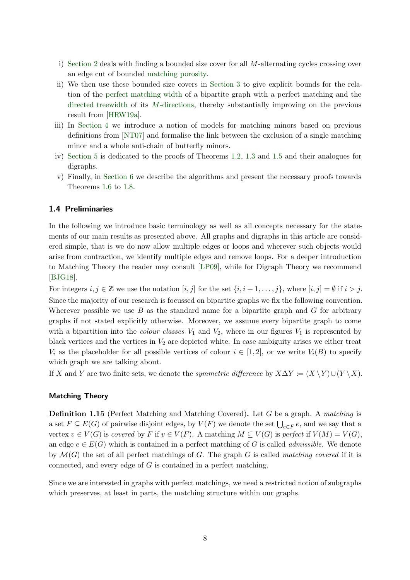- i) [Section 2](#page-10-2) deals with finding a bounded size cover for all M-alternating cycles crossing over an edge cut of bounded [matching porosity.](#page-9-2)
- ii) We then use these bounded size covers in [Section 3](#page-16-0) to give explicit bounds for the relation of the [perfect matching width](#page-9-0) of a bipartite graph with a perfect matching and the [directed treewidth](#page-10-1) of its M[-directions,](#page-5-3) thereby substantially improving on the previous result from [\[HRW19a\]](#page-52-1).
- iii) In [Section 4](#page-18-0) we introduce a notion of models for matching minors based on previous definitions from [\[NT07\]](#page-53-16) and formalise the link between the exclusion of a single matching minor and a whole anti-chain of butterfly minors.
- iv) [Section 5](#page-25-0) is dedicated to the proofs of Theorems [1.2,](#page-2-2) [1.3](#page-2-3) and [1.5](#page-3-0) and their analogues for digraphs.
- v) Finally, in [Section 6](#page-36-0) we describe the algorithms and present the necessary proofs towards Theorems [1.6](#page-4-1) to [1.8.](#page-4-2)

#### <span id="page-7-0"></span>1.4 Preliminaries

In the following we introduce basic terminology as well as all concepts necessary for the statements of our main results as presented above. All graphs and digraphs in this article are considered simple, that is we do now allow multiple edges or loops and wherever such objects would arise from contraction, we identify multiple edges and remove loops. For a deeper introduction to Matching Theory the reader may consult [\[LP09\]](#page-53-17), while for Digraph Theory we recommend [\[BJG18\]](#page-52-6).

For integers  $i, j \in \mathbb{Z}$  we use the notation  $[i, j]$  for the set  $\{i, i+1, \ldots, j\}$ , where  $[i, j] = \emptyset$  if  $i > j$ . Since the majority of our research is focussed on bipartite graphs we fix the following convention. Wherever possible we use  $B$  as the standard name for a bipartite graph and  $G$  for arbitrary graphs if not stated explicitly otherwise. Moreover, we assume every bipartite graph to come with a bipartition into the *colour classes*  $V_1$  and  $V_2$ , where in our figures  $V_1$  is represented by black vertices and the vertices in  $V_2$  are depicted white. In case ambiguity arises we either treat  $V_i$  as the placeholder for all possible vertices of colour  $i \in [1,2]$ , or we write  $V_i(B)$  to specify which graph we are talking about.

If X and Y are two finite sets, we denote the *symmetric difference* by  $X\Delta Y \coloneqq (X \setminus Y) \cup (Y \setminus X)$ .

#### <span id="page-7-1"></span>Matching Theory

**Definition 1.15** (Perfect Matching and Matching Covered). Let G be a graph. A matching is a set  $F \subseteq E(G)$  of pairwise disjoint edges, by  $V(F)$  we denote the set  $\bigcup_{e \in F} e$ , and we say that a vertex  $v \in V(G)$  is covered by F if  $v \in V(F)$ . A matching  $M \subseteq V(G)$  is perfect if  $V(M) = V(G)$ , an edge  $e \in E(G)$  which is contained in a perfect matching of G is called *admissible*. We denote by  $\mathcal{M}(G)$  the set of all perfect matchings of G. The graph G is called matching covered if it is connected, and every edge of G is contained in a perfect matching.

<span id="page-7-2"></span>Since we are interested in graphs with perfect matchings, we need a restricted notion of subgraphs which preserves, at least in parts, the matching structure within our graphs.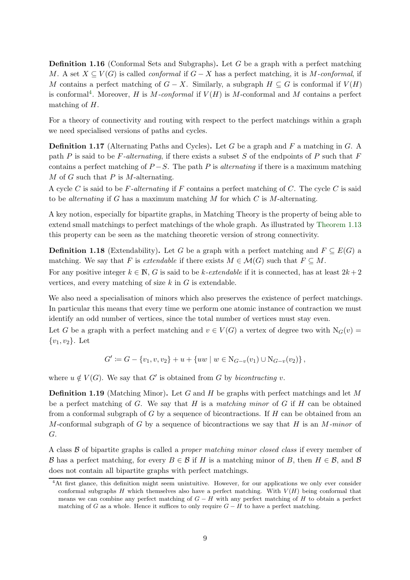Definition 1.16 (Conformal Sets and Subgraphs). Let G be a graph with a perfect matching M. A set  $X \subseteq V(G)$  is called *conformal* if  $G - X$  has a perfect matching, it is M-conformal, if M contains a perfect matching of  $G - X$ . Similarly, a subgraph  $H \subseteq G$  is conformal if  $V(H)$ is conformal<sup>4</sup>. Moreover, H is M-conformal if  $V(H)$  is M-conformal and M contains a perfect matching of H.

<span id="page-8-1"></span>For a theory of connectivity and routing with respect to the perfect matchings within a graph we need specialised versions of paths and cycles.

**Definition 1.17** (Alternating Paths and Cycles). Let G be a graph and F a matching in G. A path P is said to be F-alternating, if there exists a subset S of the endpoints of P such that F contains a perfect matching of  $P-S$ . The path P is *alternating* if there is a maximum matching  $M$  of  $G$  such that  $P$  is  $M$ -alternating.

A cycle C is said to be F-alternating if F contains a perfect matching of C. The cycle C is said to be *alternating* if G has a maximum matching  $M$  for which  $C$  is  $M$ -alternating.

A key notion, especially for bipartite graphs, in Matching Theory is the property of being able to extend small matchings to perfect matchings of the whole graph. As illustrated by [Theorem 1.13](#page-5-4) this property can be seen as the matching theoretic version of strong connectivity.

<span id="page-8-2"></span>**Definition 1.18** (Extendability). Let G be a graph with a perfect matching and  $F \subseteq E(G)$  a matching. We say that F is *extendable* if there exists  $M \in \mathcal{M}(G)$  such that  $F \subseteq M$ .

For any positive integer  $k \in \mathbb{N}$ , G is said to be k-extendable if it is connected, has at least  $2k + 2$ vertices, and every matching of size  $k$  in  $G$  is extendable.

We also need a specialisation of minors which also preserves the existence of perfect matchings. In particular this means that every time we perform one atomic instance of contraction we must identify an odd number of vertices, since the total number of vertices must stay even.

Let G be a graph with a perfect matching and  $v \in V(G)$  a vertex of degree two with  $N_G(v)$  $\{v_1, v_2\}$ . Let

$$
G' := G - \{v_1, v, v_2\} + u + \{uw \mid w \in N_{G-v}(v_1) \cup N_{G-v}(v_2)\},
$$

<span id="page-8-0"></span>where  $u \notin V(G)$ . We say that G' is obtained from G by *bicontracting v*.

**Definition 1.19** (Matching Minor). Let G and H be graphs with perfect matchings and let M be a perfect matching of G. We say that H is a matching minor of G if H can be obtained from a conformal subgraph of  $G$  by a sequence of bicontractions. If  $H$  can be obtained from an M-conformal subgraph of G by a sequence of bicontractions we say that H is an  $M$ -minor of G.

A class  $\beta$  of bipartite graphs is called a *proper matching minor closed class* if every member of B has a perfect matching, for every  $B \in \mathcal{B}$  if H is a matching minor of B, then  $H \in \mathcal{B}$ , and  $\mathcal{B}$ does not contain all bipartite graphs with perfect matchings.

<sup>&</sup>lt;sup>4</sup>At first glance, this definition might seem unintuitive. However, for our applications we only ever consider conformal subgraphs H which themselves also have a perfect matching. With  $V(H)$  being conformal that means we can combine any perfect matching of  $G - H$  with any perfect matching of H to obtain a perfect matching of G as a whole. Hence it suffices to only require  $G - H$  to have a perfect matching.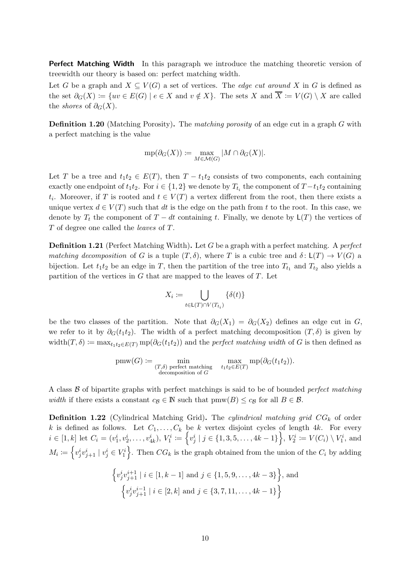Perfect Matching Width In this paragraph we introduce the matching theoretic version of treewidth our theory is based on: perfect matching width.

Let G be a graph and  $X \subseteq V(G)$  a set of vertices. The *edge cut around* X in G is defined as the set  $\partial_G(X) := \{uv \in E(G) \mid e \in X \text{ and } v \notin X\}.$  The sets X and  $\overline{X} := V(G) \setminus X$  are called the *shores* of  $\partial_G(X)$ .

<span id="page-9-2"></span>Definition 1.20 (Matching Porosity). The matching porosity of an edge cut in a graph G with a perfect matching is the value

$$
\text{mp}(\partial_G(X))\coloneqq\max_{M\in\mathcal{M}(G)}|M\cap\partial_G(X)|.
$$

Let T be a tree and  $t_1t_2 \in E(T)$ , then  $T - t_1t_2$  consists of two components, each containing exactly one endpoint of  $t_1t_2$ . For  $i \in \{1,2\}$  we denote by  $T_{t_i}$  the component of  $T - t_1t_2$  containing  $t_i$ . Moreover, if T is rooted and  $t \in V(T)$  a vertex different from the root, then there exists a unique vertex  $d \in V(T)$  such that dt is the edge on the path from t to the root. In this case, we denote by  $T_t$  the component of  $T - dt$  containing t. Finally, we denote by  $\mathsf{L}(T)$  the vertices of T of degree one called the leaves of T.

<span id="page-9-0"></span>**Definition 1.21** (Perfect Matching Width). Let G be a graph with a perfect matching. A *perfect* matching decomposition of G is a tuple  $(T, \delta)$ , where T is a cubic tree and  $\delta : L(T) \to V(G)$  a bijection. Let  $t_1 t_2$  be an edge in T, then the partition of the tree into  $T_{t_1}$  and  $T_{t_2}$  also yields a partition of the vertices in  $G$  that are mapped to the leaves of  $T$ . Let

$$
X_i := \bigcup_{t \in \mathsf{L}(T) \cap V(T_{t_i})} \{ \delta(t) \}
$$

be the two classes of the partition. Note that  $\partial_G(X_1) = \partial_G(X_2)$  defines an edge cut in G, we refer to it by  $\partial_G(t_1t_2)$ . The width of a perfect matching decomposition  $(T, \delta)$  is given by width $(T, \delta) \coloneqq \max_{t_1, t_2 \in E(T)} \text{mp}(\partial_G(t_1 t_2))$  and the *perfect matching width* of G is then defined as

$$
pmw(G) := \min_{\substack{(T,\delta) \text{ perfect matching} \\ \text{decomposition of } G}} \max_{t_1 t_2 \in E(T)} \text{mp}(\partial_G(t_1 t_2)).
$$

<span id="page-9-1"></span>A class  $\beta$  of bipartite graphs with perfect matchings is said to be of bounded *perfect matching* width if there exists a constant  $c_{\mathcal{B}} \in \mathbb{N}$  such that  $\text{pmw}(B) \leq c_{\mathcal{B}}$  for all  $B \in \mathcal{B}$ .

**Definition 1.22** (Cylindrical Matching Grid). The cylindrical matching grid  $CG_k$  of order k is defined as follows. Let  $C_1, \ldots, C_k$  be k vertex disjoint cycles of length 4k. For every  $i \in [1, k]$  let  $C_i = (v_1^i, v_2^i, \ldots, v_{4k}^i), V_1^i \coloneqq \left\{v_j^i \mid j \in \{1, 3, 5, \ldots, 4k - 1\}\right\}, V_2^i \coloneqq V(C_i) \setminus V_1^i$ , and  $M_i := \left\{v_j^i v_{j+1}^i \mid v_j^i \in V_1^i\right\}$ . Then  $CG_k$  is the graph obtained from the union of the  $C_i$  by adding

$$
\left\{v_j^i v_{j+1}^{i+1} \mid i \in [1, k-1] \text{ and } j \in \{1, 5, 9, \dots, 4k-3\}\right\}, \text{ and}
$$

$$
\left\{v_j^i v_{j+1}^{i-1} \mid i \in [2, k] \text{ and } j \in \{3, 7, 11, \dots, 4k-1\}\right\}
$$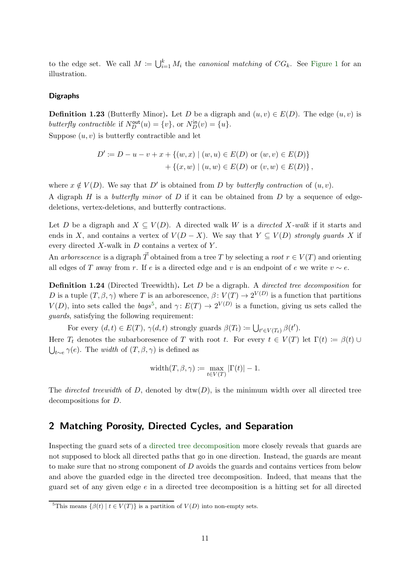to the edge set. We call  $M := \bigcup_{i=1}^k M_i$  the *canonical matching* of  $CG_k$ . See [Figure 1](#page-2-4) for an illustration.

#### <span id="page-10-0"></span>Digraphs

**Definition 1.23** (Butterfly Minor). Let D be a digraph and  $(u, v) \in E(D)$ . The edge  $(u, v)$  is butterfly contractible if  $N_D^{\text{out}}(u) = \{v\}$ , or  $N_D^{\text{in}}(v) = \{u\}$ . Suppose  $(u, v)$  is butterfly contractible and let

$$
D' := D - u - v + x + \{(w, x) \mid (w, u) \in E(D) \text{ or } (w, v) \in E(D)\} + \{(x, w) \mid (u, w) \in E(D) \text{ or } (v, w) \in E(D)\},\
$$

where  $x \notin V(D)$ . We say that D' is obtained from D by butterfly contraction of  $(u, v)$ .

A digraph  $H$  is a *butterfly minor* of  $D$  if it can be obtained from  $D$  by a sequence of edgedeletions, vertex-deletions, and butterfly contractions.

Let D be a digraph and  $X \subseteq V(D)$ . A directed walk W is a *directed X-walk* if it starts and ends in X, and contains a vertex of  $V(D - X)$ . We say that  $Y \subseteq V(D)$  strongly quards X if every directed  $X$ -walk in  $D$  contains a vertex of  $Y$ .

<span id="page-10-1"></span>An arborescence is a digraph  $\vec{T}$  obtained from a tree T by selecting a root  $r \in V(T)$  and orienting all edges of T away from r. If e is a directed edge and v is an endpoint of e we write  $v \sim e$ .

Definition 1.24 (Directed Treewidth). Let D be a digraph. A *directed tree decomposition* for D is a tuple  $(T, \beta, \gamma)$  where T is an arborescence,  $\beta \colon V(T) \to 2^{V(D)}$  is a function that partitions  $V(D)$ , into sets called the bags<sup>5</sup>, and  $\gamma: E(T) \to 2^{V(D)}$  is a function, giving us sets called the guards, satisfying the following requirement:

For every  $(d, t) \in E(T)$ ,  $\gamma(d, t)$  strongly guards  $\beta(T_t) := \bigcup_{t' \in V(T_t)} \beta(t')$ .

Here  $T_t$  denotes the subarboresence of T with root t. For every  $t \in V(T)$  let  $\Gamma(t) := \beta(t) \cup$  $\bigcup_{t \sim e} \gamma(e)$ . The *width* of  $(T, \beta, \gamma)$  is defined as

$$
\mathrm{width}(T,\beta,\gamma) \coloneqq \max_{t \in V(T)} |\Gamma(t)| - 1.
$$

The *directed treewidth* of D, denoted by  $\text{dtw}(D)$ , is the minimum width over all directed tree decompositions for D.

# <span id="page-10-2"></span>2 Matching Porosity, Directed Cycles, and Separation

Inspecting the guard sets of a [directed tree decomposition](#page-10-1) more closely reveals that guards are not supposed to block all directed paths that go in one direction. Instead, the guards are meant to make sure that no strong component of D avoids the guards and contains vertices from below and above the guarded edge in the directed tree decomposition. Indeed, that means that the guard set of any given edge e in a directed tree decomposition is a hitting set for all directed

<sup>&</sup>lt;sup>5</sup>This means  $\{\beta(t) \mid t \in V(T)\}\$ is a partition of  $V(D)$  into non-empty sets.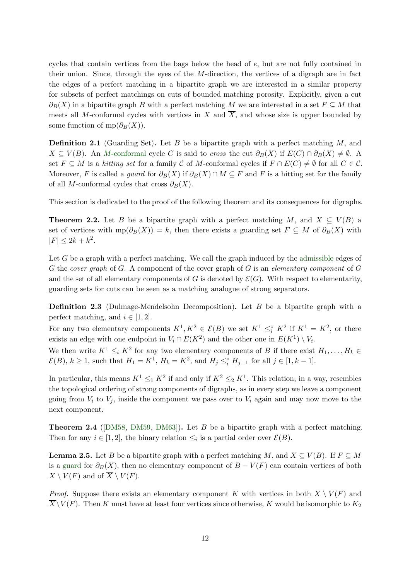cycles that contain vertices from the bags below the head of e, but are not fully contained in their union. Since, through the eyes of the  $M$ -direction, the vertices of a digraph are in fact the edges of a perfect matching in a bipartite graph we are interested in a similar property for subsets of perfect matchings on cuts of bounded matching porosity. Explicitly, given a cut  $\partial_B(X)$  in a bipartite graph B with a perfect matching M we are interested in a set  $F \subseteq M$  that meets all M-conformal cycles with vertices in X and  $\overline{X}$ , and whose size is upper bounded by some function of mp( $\partial_B(X)$ ).

<span id="page-11-0"></span>**Definition 2.1** (Guarding Set). Let B be a bipartite graph with a perfect matching  $M$ , and  $X \subseteq V(B)$ . An M[-conformal](#page-7-2) cycle C is said to cross the cut  $\partial_B(X)$  if  $E(C) \cap \partial_B(X) \neq \emptyset$ . A set  $F \subseteq M$  is a hitting set for a family C of M-conformal cycles if  $F \cap E(C) \neq \emptyset$  for all  $C \in \mathcal{C}$ . Moreover, F is called a guard for  $\partial_B(X)$  if  $\partial_B(X) \cap M \subseteq F$  and F is a hitting set for the family of all M-conformal cycles that cross  $\partial_B(X)$ .

<span id="page-11-3"></span>This section is dedicated to the proof of the following theorem and its consequences for digraphs.

**Theorem 2.2.** Let B be a bipartite graph with a perfect matching M, and  $X \subseteq V(B)$  a set of vertices with  $mp(\partial_B(X)) = k$ , then there exists a guarding set  $F \subseteq M$  of  $\partial_B(X)$  with  $|F| \leq 2k + k^2$ .

Let G be a graph with a perfect matching. We call the graph induced by the [admissible](#page-7-1) edges of G the cover graph of G. A component of the cover graph of G is an elementary component of  $G$ and the set of all elementary components of G is denoted by  $\mathcal{E}(G)$ . With respect to elementarity, guarding sets for cuts can be seen as a matching analogue of strong separators.

Definition 2.3 (Dulmage-Mendelsohn Decomposition). Let B be a bipartite graph with a perfect matching, and  $i \in [1, 2]$ .

For any two elementary components  $K^1, K^2 \in \mathcal{E}(B)$  we set  $K^1 \leq_i^{\circ} K^2$  if  $K^1 = K^2$ , or there exists an edge with one endpoint in  $V_i \cap E(K^2)$  and the other one in  $E(K^1) \setminus V_i$ .

We then write  $K^1 \leq_i K^2$  for any two elementary components of B if there exist  $H_1, \ldots, H_k \in$  $\mathcal{E}(B), k \ge 1$ , such that  $H_1 = K^1$ ,  $H_k = K^2$ , and  $H_j \leq_i^{\circ} H_{j+1}$  for all  $j \in [1, k-1]$ .

In particular, this means  $K^1 \leq_1 K^2$  if and only if  $K^2 \leq_2 K^1$ . This relation, in a way, resembles the topological ordering of strong components of digraphs, as in every step we leave a component going from  $V_i$  to  $V_j$ , inside the component we pass over to  $V_i$  again and may now move to the next component.

<span id="page-11-1"></span>Theorem 2.4 ([\[DM58,](#page-52-7) [DM59,](#page-52-8) [DM63\]](#page-52-9)). Let B be a bipartite graph with a perfect matching. Then for any  $i \in [1,2]$ , the binary relation  $\leq_i$  is a partial order over  $\mathcal{E}(B)$ .

<span id="page-11-2"></span>**Lemma 2.5.** Let B be a bipartite graph with a perfect matching M, and  $X \subseteq V(B)$ . If  $F \subseteq M$ is a [guard](#page-11-0) for  $\partial_B(X)$ , then no elementary component of  $B - V(F)$  can contain vertices of both  $X \setminus V(F)$  and of  $\overline{X} \setminus V(F)$ .

*Proof.* Suppose there exists an elementary component K with vertices in both  $X \setminus V(F)$  and  $\overline{X} \backslash V(F)$ . Then K must have at least four vertices since otherwise, K would be isomorphic to  $K_2$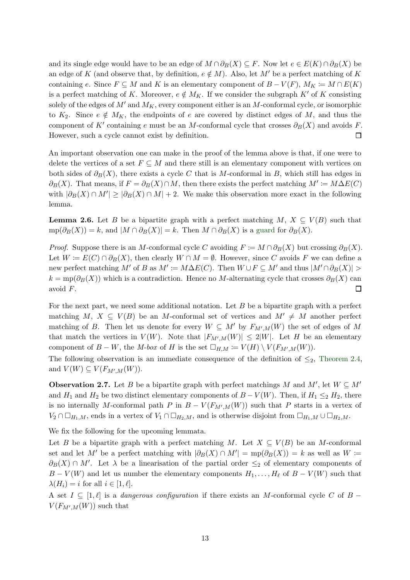and its single edge would have to be an edge of  $M \cap \partial_B(X) \subseteq F$ . Now let  $e \in E(K) \cap \partial_B(X)$  be an edge of K (and observe that, by definition,  $e \notin M$ ). Also, let M' be a perfect matching of K containing e. Since  $F \subseteq M$  and K is an elementary component of  $B - V(F)$ ,  $M_K := M \cap E(K)$ is a perfect matching of K. Moreover,  $e \notin M_K$ . If we consider the subgraph K' of K consisting solely of the edges of  $M'$  and  $M_K$ , every component either is an M-conformal cycle, or isomorphic to  $K_2$ . Since  $e \notin M_K$ , the endpoints of e are covered by distinct edges of M, and thus the component of K' containing e must be an M-conformal cycle that crosses  $\partial_B(X)$  and avoids F. However, such a cycle cannot exist by definition.  $\Box$ 

An important observation one can make in the proof of the lemma above is that, if one were to delete the vertices of a set  $F \subseteq M$  and there still is an elementary component with vertices on both sides of  $\partial_B(X)$ , there exists a cycle C that is M-conformal in B, which still has edges in  $\partial_B(X)$ . That means, if  $F = \partial_B(X) \cap M$ , then there exists the perfect matching  $M' \coloneqq M \Delta E(C)$ with  $|\partial_B(X) \cap M'| \geq |\partial_B(X) \cap M| + 2$ . We make this observation more exact in the following lemma.

<span id="page-12-0"></span>**Lemma 2.6.** Let B be a bipartite graph with a perfect matching  $M, X \subseteq V(B)$  such that  $mp(\partial_B(X)) = k$ , and  $|M \cap \partial_B(X)| = k$ . Then  $M \cap \partial_B(X)$  is a [guard](#page-11-0) for  $\partial_B(X)$ .

*Proof.* Suppose there is an M-conformal cycle C avoiding  $F := M \cap \partial_B(X)$  but crossing  $\partial_B(X)$ . Let  $W = E(C) \cap \partial_B(X)$ , then clearly  $W \cap M = \emptyset$ . However, since C avoids F we can define a new perfect matching M' of B as  $M' \coloneqq M \Delta E(C)$ . Then  $W \cup F \subseteq M'$  and thus  $|M' \cap \partial_B(X)| >$  $k = \text{mp}(\partial_B(X))$  which is a contradiction. Hence no M-alternating cycle that crosses  $\partial_B(X)$  can  $\Box$ avoid F.

For the next part, we need some additional notation. Let  $B$  be a bipartite graph with a perfect matching M,  $X \subseteq V(B)$  be an M-conformal set of vertices and  $M' \neq M$  another perfect matching of B. Then let us denote for every  $W \subseteq M'$  by  $F_{M',M}(W)$  the set of edges of M that match the vertices in  $V(W)$ . Note that  $|F_{M',M}(W)| \leq 2|W|$ . Let H be an elementary component of  $B - W$ , the M-box of H is the set  $\Box_{H,M} := V(H) \setminus V(F_{M',M}(W))$ .

<span id="page-12-1"></span>The following observation is an immediate consequence of the definition of  $\leq_2$ , [Theorem 2.4,](#page-11-1) and  $V(W) \subseteq V(F_{M',M}(W))$ .

**Observation 2.7.** Let B be a bipartite graph with perfect matchings M and  $M'$ , let  $W \subseteq M'$ and  $H_1$  and  $H_2$  be two distinct elementary components of  $B - V(W)$ . Then, if  $H_1 \leq_2 H_2$ , there is no internally M-conformal path P in  $B - V(F_{M',M}(W))$  such that P starts in a vertex of  $V_2 \cap \Box_{H_1,M}$ , ends in a vertex of  $V_1 \cap \Box_{H_2,M}$ , and is otherwise disjoint from  $\Box_{H_1,M} \cup \Box_{H_2,M}$ .

We fix the following for the upcoming lemmata.

Let B be a bipartite graph with a perfect matching M. Let  $X \subseteq V(B)$  be an M-conformal set and let M' be a perfect matching with  $|\partial_B(X) \cap M'| = \text{mp}(\partial_B(X)) = k$  as well as  $W \coloneqq$  $\partial_B(X) \cap M'$ . Let  $\lambda$  be a linearisation of the partial order  $\leq_2$  of elementary components of  $B - V(W)$  and let us number the elementary components  $H_1, \ldots, H_\ell$  of  $B - V(W)$  such that  $\lambda(H_i) = i$  for all  $i \in [1, \ell].$ 

A set  $I \subseteq [1,\ell]$  is a *dangerous configuration* if there exists an M-conformal cycle C of B –  $V(F_{M',M}(W))$  such that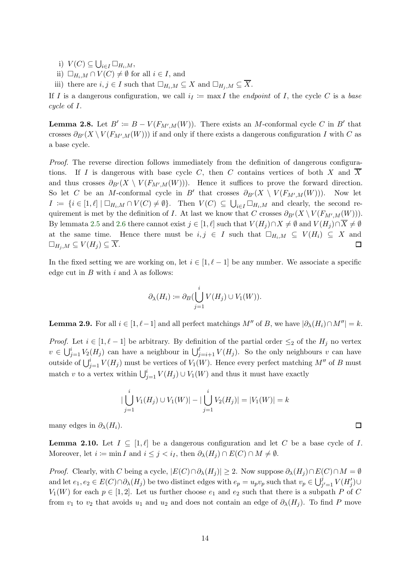i)  $V(C) \subseteq \bigcup_{i \in I} \Box_{H_i,M},$ 

ii)  $\Box_{H_i,M} \cap V(C) \neq \emptyset$  for all  $i \in I$ , and

iii) there are  $i, j \in I$  such that  $\Box_{H_i,M} \subseteq X$  and  $\Box_{H_j,M} \subseteq \overline{X}$ .

<span id="page-13-1"></span>If I is a dangerous configuration, we call  $i_I := \max I$  the *endpoint* of I, the cycle C is a base cycle of I.

**Lemma 2.8.** Let  $B' \coloneqq B - V(F_{M',M}(W))$ . There exists an M-conformal cycle C in B' that crosses  $\partial_{B'}(X \setminus V(F_{M',M}(W)))$  if and only if there exists a dangerous configuration I with C as a base cycle.

Proof. The reverse direction follows immediately from the definition of dangerous configurations. If I is dangerous with base cycle C, then C contains vertices of both X and  $\overline{X}$ and thus crosses  $\partial_{B'}(X \setminus V(F_{M',M}(W)))$ . Hence it suffices to prove the forward direction. So let C be an M-conformal cycle in B' that crosses  $\partial_{B'}(X \setminus V(F_{M',M}(W)))$ . Now let  $I := \{i \in [1, \ell] \mid \Box_{H_i,M} \cap V(C) \neq \emptyset\}.$  Then  $V(C) \subseteq \bigcup_{i \in I} \Box_{H_i,M}$  and clearly, the second requirement is met by the definition of I. At last we know that C crosses  $\partial_{B'}(X \setminus V(F_{M',M}(W)))$ . By lemmata [2.5](#page-11-2) and [2.6](#page-12-0) there cannot exist  $j \in [1, \ell]$  such that  $V(H_j) \cap X \neq \emptyset$  and  $V(H_j) \cap \overline{X} \neq \emptyset$ at the same time. Hence there must be  $i, j \in I$  such that  $\Box_{H_i,M} \subseteq V(H_i) \subseteq X$  and  $\square_{H_i,M} \subseteq V(H_i) \subseteq \overline{X}.$  $\Box$ 

In the fixed setting we are working on, let  $i \in [1, \ell-1]$  be any number. We associate a specific edge cut in B with i and  $\lambda$  as follows:

$$
\partial_{\lambda}(H_i) := \partial_B(\bigcup_{j=1}^i V(H_j) \cup V_1(W)).
$$

<span id="page-13-2"></span>**Lemma 2.9.** For all  $i \in [1, \ell-1]$  and all perfect matchings  $M''$  of B, we have  $|\partial_{\lambda}(H_i) \cap M''| = k$ .

*Proof.* Let  $i \in [1, \ell - 1]$  be arbitrary. By definition of the partial order  $\leq_2$  of the  $H_j$  no vertex  $v \in \bigcup_{j=1}^{i} V_2(H_j)$  can have a neighbour in  $\bigcup_{j=i+1}^{\ell} V(H_j)$ . So the only neighbours v can have outside of  $\bigcup_{j=1}^{i} V(H_j)$  must be vertices of  $V_1(W)$ . Hence every perfect matching  $M''$  of B must match v to a vertex within  $\bigcup_{j=1}^{i} V(H_j) \cup V_1(W)$  and thus it must have exactly

$$
|\bigcup_{j=1}^{i} V_1(H_j) \cup V_1(W)| - |\bigcup_{j=1}^{i} V_2(H_j)| = |V_1(W)| = k
$$

 $\Box$ 

<span id="page-13-0"></span>many edges in  $\partial_{\lambda}(H_i)$ .

**Lemma 2.10.** Let  $I \subseteq [1,\ell]$  be a dangerous configuration and let C be a base cycle of I. Moreover, let  $i := \min I$  and  $i \leq j < i_I$ , then  $\partial_{\lambda}(H_i) \cap E(C) \cap M \neq \emptyset$ .

*Proof.* Clearly, with C being a cycle,  $|E(C) \cap \partial_{\lambda}(H_i)| \geq 2$ . Now suppose  $\partial_{\lambda}(H_i) \cap E(C) \cap M = \emptyset$ and let  $e_1, e_2 \in E(C) \cap \partial_{\lambda}(H_j)$  be two distinct edges with  $e_p = u_p v_p$  such that  $v_p \in \bigcup_{j'=1}^{j} V(H'_j) \cup$  $V_1(W)$  for each  $p \in [1,2]$ . Let us further choose  $e_1$  and  $e_2$  such that there is a subpath P of C from  $v_1$  to  $v_2$  that avoids  $u_1$  and  $u_2$  and does not contain an edge of  $\partial_{\lambda}(H_i)$ . To find P move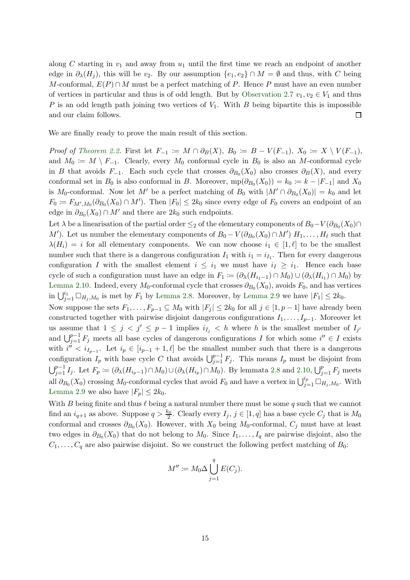along C starting in  $v_1$  and away from  $u_1$  until the first time we reach an endpoint of another edge in  $\partial_{\lambda}(H_i)$ , this will be  $v_2$ . By our assumption  $\{e_1, e_2\} \cap M = \emptyset$  and thus, with C being M-conformal,  $E(P) \cap M$  must be a perfect matching of P. Hence P must have an even number of vertices in particular and thus is of odd length. But by [Observation 2.7](#page-12-1)  $v_1, v_2 \in V_1$  and thus P is an odd length path joining two vertices of  $V_1$ . With B being bipartite this is impossible and our claim follows.  $\Box$ 

We are finally ready to prove the main result of this section.

Proof of [Theorem 2.2.](#page-11-3) First let  $F_{-1} := M \cap \partial_B(X)$ ,  $B_0 := B - V(F_{-1}), X_0 := X \setminus V(F_{-1}),$ and  $M_0 \coloneqq M \setminus F_{-1}$ . Clearly, every  $M_0$  conformal cycle in  $B_0$  is also an M-conformal cycle in B that avoids  $F_{-1}$ . Each such cycle that crosses  $\partial_{B_0}(X_0)$  also crosses  $\partial_B(X)$ , and every conformal set in  $B_0$  is also conformal in B. Moreover,  $mp(\partial_{B_0}(X_0)) = k_0 = k - |F_{-1}|$  and  $X_0$ is M<sub>0</sub>-conformal. Now let M' be a perfect matching of  $B_0$  with  $|M' \cap \partial_{B_0}(X_0)| = k_0$  and let  $F_0 \coloneqq F_{M',M_0}(\partial_{B_0}(X_0) \cap M')$ . Then  $|F_0| \leq 2k_0$  since every edge of  $F_0$  covers an endpoint of an edge in  $\partial_{B_0}(X_0) \cap M'$  and there are  $2k_0$  such endpoints.

Let  $\lambda$  be a linearisation of the partial order  $\leq_2$  of the elementary components of  $B_0 - V(\partial_{B_0}(X_0) \cap$ M'). Let us number the elementary components of  $B_0 - V(\partial_{B_0}(X_0) \cap M')$   $H_1, \ldots, H_\ell$  such that  $\lambda(H_i) = i$  for all elementary components. We can now choose  $i_1 \in [1, \ell]$  to be the smallest number such that there is a dangerous configuration  $I_1$  with  $i_1 = i_{I_1}$ . Then for every dangerous configuration I with the smallest element  $i \leq i_1$  we must have  $i \geq i_1$ . Hence each base cycle of such a configuration must have an edge in  $F_1 := (\partial_{\lambda}(H_{i_1-1}) \cap M_0) \cup (\partial_{\lambda}(H_{i_1}) \cap M_0)$  by [Lemma 2.10.](#page-13-0) Indeed, every  $M_0$ -conformal cycle that crosses  $\partial_{B_0}(X_0)$ , avoids  $F_0$ , and has vertices in  $\bigcup_{j=1}^{i_1} \Box_{H_j,M_0}$  is met by  $F_1$  by [Lemma 2.8.](#page-13-1) Moreover, by [Lemma 2.9](#page-13-2) we have  $|F_1| \leq 2k_0$ . Now suppose the sets  $F_1, \ldots, F_{p-1} \subseteq M_0$  with  $|F_j| \leq 2k_0$  for all  $j \in [1, p-1]$  have already been constructed together with pairwise disjoint dangerous configurations  $I_1, \ldots, I_{p-1}$ . Moreover let us assume that  $1 \leq j \leq j' \leq p-1$  implies  $i_{I_j} < h$  where h is the smallest member of  $I_{j'}$ and  $\bigcup_{j=1}^{p-1} F_j$  meets all base cycles of dangerous configurations I for which some  $i'' \in I$  exists

with  $i'' < i_{I_{p-1}}$ . Let  $i_p \in [i_{p-1}+1, \ell]$  be the smallest number such that there is a dangerous configuration  $I_p$  with base cycle C that avoids  $\bigcup_{j=1}^{p-1} F_j$ . This means  $I_p$  must be disjoint from  $\bigcup_{j=1}^{p-1} I_j$ . Let  $F_p \coloneqq (\partial_\lambda(H_{i_p-1}) \cap M_0) \cup (\partial_\lambda(H_{i_p}) \cap M_0)$ . By lemmata [2.8](#page-13-1) and [2.10,](#page-13-0)  $\bigcup_{j=1}^{p} F_j$  meets all  $\partial_{B_0}(X_0)$  crossing  $M_0$ -conformal cycles that avoid  $F_0$  and have a vertex in  $\bigcup_{j=1}^{i_p} \Box_{H_j,M_0}$ . With [Lemma 2.9](#page-13-2) we also have  $|F_p| \leq 2k_0$ .

With B being finite and thus  $\ell$  being a natural number there must be some q such that we cannot find an  $i_{q+1}$  as above. Suppose  $q > \frac{k_0}{2}$ . Clearly every  $I_j$ ,  $j \in [1, q]$  has a base cycle  $C_j$  that is  $M_0$ conformal and crosses  $\partial_{B_0}(X_0)$ . However, with  $X_0$  being  $M_0$ -conformal,  $C_j$  must have at least two edges in  $\partial_{B_0}(X_0)$  that do not belong to  $M_0$ . Since  $I_1, \ldots, I_q$  are pairwise disjoint, also the  $C_1, \ldots, C_q$  are also pairwise disjoint. So we construct the following perfect matching of  $B_0$ :

$$
M'' \coloneqq M_0 \Delta \bigcup_{j=1}^q E(C_j).
$$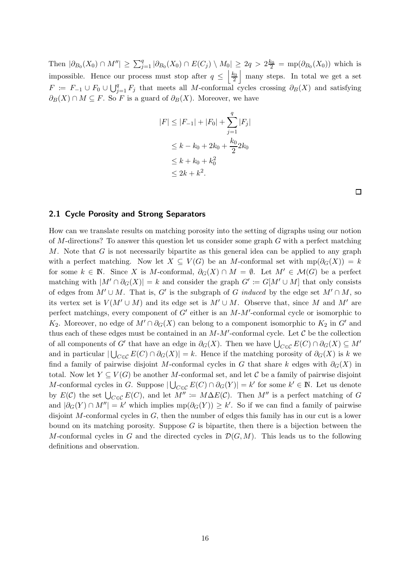Then  $|\partial_{B_0}(X_0) \cap M''| \geq \sum_{j=1}^q |\partial_{B_0}(X_0) \cap E(C_j) \setminus M_0| \geq 2q > 2\frac{k_0}{2} = \text{mp}(\partial_{B_0}(X_0))$  which is impossible. Hence our process must stop after  $q \leq \left\lfloor \frac{k_0}{2} \right\rfloor$  $\frac{k_0}{2}$  many steps. In total we get a set  $F := F_{-1} \cup F_0 \cup \bigcup_{j=1}^q F_j$  that meets all M-conformal cycles crossing  $\partial_B(X)$  and satisfying  $\partial_B(X) \cap M \subseteq F$ . So F is a guard of  $\partial_B(X)$ . Moreover, we have

$$
|F| \le |F_{-1}| + |F_0| + \sum_{j=1}^q |F_j|
$$
  
\n
$$
\le k - k_0 + 2k_0 + \frac{k_0}{2} 2k_0
$$
  
\n
$$
\le k + k_0 + k_0^2
$$
  
\n
$$
\le 2k + k^2.
$$

 $\Box$ 

#### 2.1 Cycle Porosity and Strong Separators

<span id="page-15-0"></span>How can we translate results on matching porosity into the setting of digraphs using our notion of M-directions? To answer this question let us consider some graph  $G$  with a perfect matching M. Note that G is not necessarily bipartite as this general idea can be applied to any graph with a perfect matching. Now let  $X \subseteq V(G)$  be an M-conformal set with  $mp(\partial_G(X)) = k$ for some  $k \in \mathbb{N}$ . Since X is M-conformal,  $\partial_G(X) \cap M = \emptyset$ . Let  $M' \in \mathcal{M}(G)$  be a perfect matching with  $|M' \cap \partial_G(X)| = k$  and consider the graph  $G' := G[M' \cup M]$  that only consists of edges from  $M' \cup M$ . That is, G' is the subgraph of G induced by the edge set  $M' \cap M$ , so its vertex set is  $V(M' \cup M)$  and its edge set is  $M' \cup M$ . Observe that, since M and M' are perfect matchings, every component of  $G'$  either is an  $M-M'$ -conformal cycle or isomorphic to K<sub>2</sub>. Moreover, no edge of  $M' \cap \partial_G(X)$  can belong to a component isomorphic to K<sub>2</sub> in G' and thus each of these edges must be contained in an  $M-M'$ -conformal cycle. Let  $\mathcal C$  be the collection of all components of G' that have an edge in  $\partial_G(X)$ . Then we have  $\bigcup_{C\in\mathcal{C}} E(C) \cap \partial_G(X) \subseteq M'$ and in particular  $\bigcup_{C\in\mathcal{C}} E(C) \cap \partial_G(X)\big| = k$ . Hence if the matching porosity of  $\partial_G(X)$  is k we find a family of pairwise disjoint M-conformal cycles in G that share k edges with  $\partial_G(X)$  in total. Now let  $Y \subseteq V(G)$  be another M-conformal set, and let C be a family of pairwise disjoint M-conformal cycles in G. Suppose  $|\bigcup_{C \in \mathcal{C}} E(C) \cap \partial_G(Y)| = k'$  for some  $k' \in \mathbb{N}$ . Let us denote by  $E(\mathcal{C})$  the set  $\bigcup_{C\in\mathcal{C}} E(C)$ , and let  $M'' := M\Delta E(\mathcal{C})$ . Then  $M''$  is a perfect matching of G and  $|\partial_G(Y) \cap M''| = k'$  which implies  $mp(\partial_G(Y)) \geq k'$ . So if we can find a family of pairwise disjoint M-conformal cycles in  $G$ , then the number of edges this family has in our cut is a lower bound on its matching porosity. Suppose  $G$  is bipartite, then there is a bijection between the M-conformal cycles in G and the directed cycles in  $\mathcal{D}(G, M)$ . This leads us to the following definitions and observation.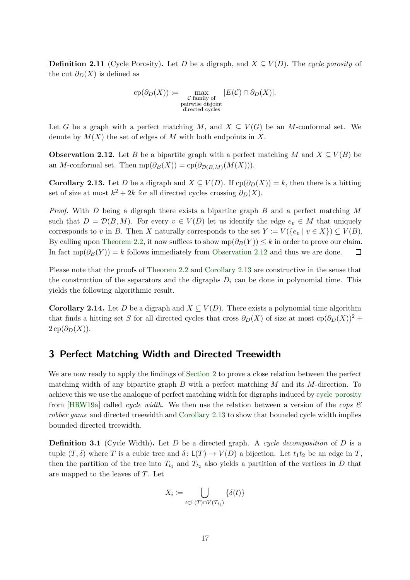**Definition 2.11** (Cycle Porosity). Let D be a digraph, and  $X \subseteq V(D)$ . The cycle porosity of the cut  $\partial_D(X)$  is defined as

$$
cp(\partial_D(X)) := \max_{\substack{C \text{ family of} \\ \text{pairwise disjoint} \\ \text{directed cycles}}} |E(C) \cap \partial_D(X)|.
$$

<span id="page-16-1"></span>Let G be a graph with a perfect matching M, and  $X \subseteq V(G)$  be an M-conformal set. We denote by  $M(X)$  the set of edges of M with both endpoints in X.

**Observation 2.12.** Let B be a bipartite graph with a perfect matching M and  $X \subseteq V(B)$  be an M-conformal set. Then  $mp(\partial_B(X)) = cp(\partial_{D(B,M)}(M(X))).$ 

<span id="page-16-2"></span>**Corollary 2.13.** Let D be a digraph and  $X \subseteq V(D)$ . If  $cp(\partial_D(X)) = k$ , then there is a hitting set of size at most  $k^2 + 2k$  for all directed cycles crossing  $\partial_D(X)$ .

*Proof.* With D being a digraph there exists a bipartite graph B and a perfect matching M such that  $D = \mathcal{D}(B, M)$ . For every  $v \in V(D)$  let us identify the edge  $e_v \in M$  that uniquely corresponds to v in B. Then X naturally corresponds to the set  $Y := V({e_v | v \in X}) \subseteq V(B)$ . By calling upon [Theorem 2.2,](#page-11-3) it now suffices to show  $mp(\partial_B(Y)) \leq k$  in order to prove our claim. In fact  $mp(\partial_B(Y)) = k$  follows immediately from [Observation 2.12](#page-16-1) and thus we are done.  $\Box$ 

Please note that the proofs of [Theorem 2.2](#page-11-3) and [Corollary 2.13](#page-16-2) are constructive in the sense that the construction of the separators and the digraphs  $D_i$  can be done in polynomial time. This yields the following algorithmic result.

**Corollary 2.14.** Let D be a digraph and  $X \subseteq V(D)$ . There exists a polynomial time algorithm that finds a hitting set S for all directed cycles that cross  $\partial_D(X)$  of size at most  $cp(\partial_D(X))^2$  +  $2 \text{cp}(\partial_D(X)).$ 

### <span id="page-16-0"></span>3 Perfect Matching Width and Directed Treewidth

We are now ready to apply the findings of [Section 2](#page-10-2) to prove a close relation between the perfect matching width of any bipartite graph B with a perfect matching M and its M-direction. To achieve this we use the analogue of perfect matching width for digraphs induced by [cycle porosity](#page-15-0) from [\[HRW19a\]](#page-52-1) called *cycle width*. We then use the relation between a version of the *cops*  $\mathscr{B}$ robber game and directed treewidth and [Corollary 2.13](#page-16-2) to show that bounded cycle width implies bounded directed treewidth.

**Definition 3.1** (Cycle Width). Let D be a directed graph. A cycle decomposition of D is a tuple  $(T, \delta)$  where T is a cubic tree and  $\delta : L(T) \to V(D)$  a bijection. Let  $t_1t_2$  be an edge in T, then the partition of the tree into  $T_{t_1}$  and  $T_{t_2}$  also yields a partition of the vertices in D that are mapped to the leaves of T. Let

$$
X_i := \bigcup_{t \in \mathsf{L}(T) \cap V(T_{t_i})} \{ \delta(t) \}
$$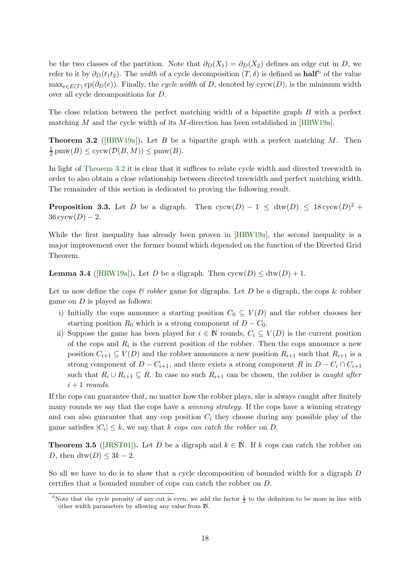be the two classes of the partition. Note that  $\partial_D(X_1) = \partial_D(X_2)$  defines an edge cut in D, we refer to it by  $\partial_D(t_1t_2)$ . The *width* of a cycle decomposition  $(T, \delta)$  is defined as **half**<sup>6</sup> of the value  $\max_{e \in E(T)} \text{cp}(\partial_D(e))$ . Finally, the cycle width of D, denoted by cycw(D), is the minimum width over all cycle decompositions for D.

<span id="page-17-0"></span>The close relation between the perfect matching width of a bipartite graph B with a perfect matching M and the cycle width of its M-direction has been established in [\[HRW19a\]](#page-52-1).

**Theorem 3.2** ([\[HRW19a\]](#page-52-1)). Let B be a bipartite graph with a perfect matching M. Then 1  $\frac{1}{2}$  pmw( $B$ )  $\leq$  cycw( $\mathcal{D}(B, M)$ )  $\leq$  pmw( $B$ ).

In light of [Theorem 3.2](#page-17-0) it is clear that it suffices to relate cycle width and directed treewidth in order to also obtain a close relationship between directed treewidth and perfect matching width. The remainder of this section is dedicated to proving the following result.

<span id="page-17-3"></span>**Proposition 3.3.** Let D be a digraph. Then  $cycw(D) - 1 \leq dtw(D) \leq 18 cycw(D)^2 +$  $36 \text{cycw}(D) - 2.$ 

While the first inequality has already been proven in [\[HRW19a\]](#page-52-1), the second inequality is a major improvement over the former bound which depended on the function of the Directed Grid Theorem.

**Lemma 3.4** ([\[HRW19a\]](#page-52-1)). Let D be a digraph. Then  $cycw(D) \leq dtw(D) + 1$ .

Let us now define the cops  $\mathcal C$  robber game for digraphs. Let D be a digraph, the cops  $\mathcal K$  robber game on  $D$  is played as follows:

- i) Initially the cops announce a starting position  $C_0 \subseteq V(D)$  and the robber chooses her starting position  $R_0$  which is a strong component of  $D - C_0$ .
- ii) Suppose the game has been played for  $i \in \mathbb{N}$  rounds,  $C_i \subseteq V(D)$  is the current position of the cops and  $R_i$  is the current position of the robber. Then the cops announce a new position  $C_{i+1} \subseteq V(D)$  and the robber announces a new position  $R_{i+1}$  such that  $R_{i+1}$  is a strong component of  $D - C_{i+1}$ , and there exists a strong component R in  $D - C_i \cap C_{i+1}$ such that  $R_i \cup R_{i+1} \subseteq R$ . In case no such  $R_{i+1}$  can be chosen, the robber is *caught after*  $i+1$  rounds.

If the cops can guarantee that, no matter how the robber plays, she is always caught after finitely many rounds we say that the cops have a *winning strategy*. If the cops have a winning strategy and can also guarantee that any cop position  $C_i$  they choose during any possible play of the game satisfies  $|C_i| \leq k$ , we say that k cops can catch the robber on D.

<span id="page-17-1"></span>**Theorem 3.5** ([\[JRST01\]](#page-53-12)). Let D be a digraph and  $k \in \mathbb{N}$ . If k cops can catch the robber on D, then dtw(D)  $\leq 3k - 2$ .

<span id="page-17-2"></span>So all we have to do is to show that a cycle decomposition of bounded width for a digraph D certifies that a bounded number of cops can catch the robber on D.

<sup>&</sup>lt;sup>6</sup>Note that the cycle porosity of any cut is even, we add the factor  $\frac{1}{2}$  to the definition to be more in line with other width parameters by allowing any value from N.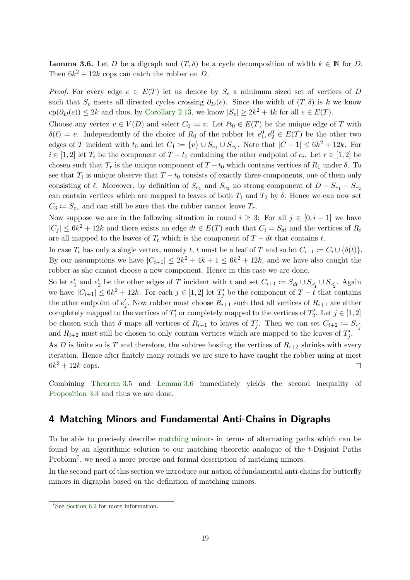**Lemma 3.6.** Let D be a digraph and  $(T, \delta)$  be a cycle decomposition of width  $k \in \mathbb{N}$  for D. Then  $6k^2 + 12k$  cops can catch the robber on D.

*Proof.* For every edge  $e \in E(T)$  let us denote by  $S_e$  a minimum sized set of vertices of D such that  $S_e$  meets all directed cycles crossing  $\partial_D(e)$ . Since the width of  $(T, \delta)$  is k we know  $\text{cp}(\partial_D(e)) \leq 2k$  and thus, by [Corollary 2.13,](#page-16-2) we know  $|S_e| \geq 2k^2 + 4k$  for all  $e \in E(T)$ .

Choose any vertex  $v \in V(D)$  and select  $C_0 := v$ . Let  $\ell t_0 \in E(T)$  be the unique edge of T with  $\delta(\ell) = v$ . Independently of the choice of  $R_0$  of the robber let  $e_1^0, e_2^0 \in E(T)$  be the other two edges of T incident with  $t_0$  and let  $C_1 := \{v\} \cup S_{e_1} \cup S_{e_2}$ . Note that  $|C-1| \leq 6k^2 + 12k$ . For  $i \in [1,2]$  let  $T_i$  be the component of  $T - t_0$  containing the other endpoint of  $e_i$ . Let  $r \in [1,2]$  be chosen such that  $T_r$  is the unique component of  $T-t_0$  which contains vertices of  $R_1$  under  $\delta$ . To see that  $T_i$  is unique observe that  $T - t_0$  consists of exactly three components, one of them only consisting of  $\ell$ . Moreover, by definition of  $S_{e_1}$  and  $S_{e_2}$  no strong component of  $D - S_{e_1} - S_{e_2}$ can contain vertices which are mapped to leaves of both  $T_1$  and  $T_2$  by  $\delta$ . Hence we can now set  $C_3 \coloneqq S_{e_r}$  and can still be sure that the robber cannot leave  $T_r$ .

Now suppose we are in the following situation in round  $i \geq 3$ : For all  $j \in [0, i - 1]$  we have  $|C_j| \leq 6k^2 + 12k$  and there exists an edge  $dt \in E(T)$  such that  $C_i = S_{dt}$  and the vertices of  $R_i$ are all mapped to the leaves of  $T_t$  which is the component of  $T - dt$  that contains t.

In case  $T_t$  has only a single vertex, namely t, t must be a leaf of T and so let  $C_{i+1} := C_i \cup \{\delta(t)\}.$ By our assumptions we have  $|C_{i+1}| \leq 2k^2 + 4k + 1 \leq 6k^2 + 12k$ , and we have also caught the robber as she cannot choose a new component. Hence in this case we are done.

So let  $e'_1$  and  $e'_2$  be the other edges of T incident with t and set  $C_{i+1} := S_{dt} \cup S_{e'_1} \cup S_{e'_2}$ . Again we have  $|C_{i+1}| \leq 6k^2 + 12k$ . For each  $j \in [1,2]$  let  $T'_j$  be the component of  $T-t$  that contains the other endpoint of  $e'_{j}$ . Now robber must choose  $R_{i+1}$  such that all vertices of  $R_{i+1}$  are either completely mapped to the vertices of  $T'_{1}$  or completely mapped to the vertices of  $T'_{2}$ . Let  $j \in [1,2]$ be chosen such that  $\delta$  maps all vertices of  $R_{i+1}$  to leaves of  $T'_j$ . Then we can set  $C_{i+2} := S_{e'_j}$ and  $R_{i+2}$  must still be chosen to only contain vertices which are mapped to the leaves of  $T'_j$ .

As D is finite so is T and therefore, the subtree hosting the vertices of  $R_{i+2}$  shrinks with every iteration. Hence after finitely many rounds we are sure to have caught the robber using at most  $6k^2 + 12k$  cops.  $\Box$ 

Combining [Theorem 3.5](#page-17-1) and [Lemma 3.6](#page-17-2) immediately yields the second inequality of [Proposition 3.3](#page-17-3) and thus we are done.

### <span id="page-18-0"></span>4 Matching Minors and Fundamental Anti-Chains in Digraphs

To be able to precisely describe [matching minors](#page-8-0) in terms of alternating paths which can be found by an algorithmic solution to our matching theoretic analogue of the t-Disjoint Paths Problem<sup>7</sup>, we need a more precise and formal description of matching minors.

In the second part of this section we introduce our notion of fundamental anti-chains for butterfly minors in digraphs based on the definition of matching minors.

<sup>7</sup> See [Section 6.2](#page-43-0) for more information.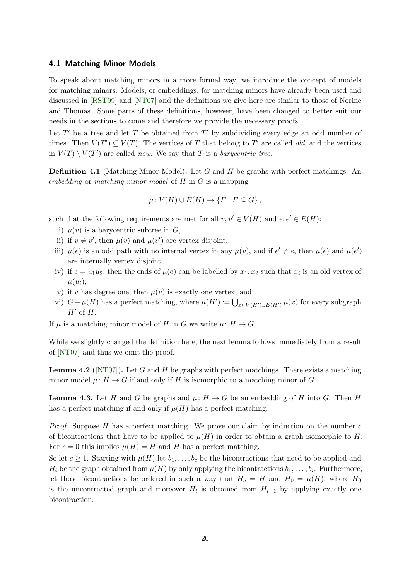#### 4.1 Matching Minor Models

To speak about matching minors in a more formal way, we introduce the concept of models for matching minors. Models, or embeddings, for matching minors have already been used and discussed in [\[RST99\]](#page-53-9) and [\[NT07\]](#page-53-16) and the definitions we give here are similar to those of Norine and Thomas. Some parts of these definitions, however, have been changed to better suit our needs in the sections to come and therefore we provide the necessary proofs.

Let  $T'$  be a tree and let T be obtained from  $T'$  by subdividing every edge an odd number of times. Then  $V(T') \subseteq V(T)$ . The vertices of T that belong to T' are called *old*, and the vertices in  $V(T) \setminus V(T')$  are called new. We say that T is a barycentric tree.

**Definition 4.1** (Matching Minor Model). Let G and H be graphs with perfect matchings. An embedding or matching minor model of  $H$  in  $G$  is a mapping

$$
\mu\colon V(H)\cup E(H)\to \{F\mid F\subseteq G\}\,
$$

such that the following requirements are met for all  $v, v' \in V(H)$  and  $e, e' \in E(H)$ :

- i)  $\mu(v)$  is a barycentric subtree in G,
- ii) if  $v \neq v'$ , then  $\mu(v)$  and  $\mu(v')$  are vertex disjoint,
- iii)  $\mu(e)$  is an odd path with no internal vertex in any  $\mu(v)$ , and if  $e' \neq e$ , then  $\mu(e)$  and  $\mu(e')$ are internally vertex disjoint,
- iv) if  $e = u_1 u_2$ , then the ends of  $\mu(e)$  can be labelled by  $x_1, x_2$  such that  $x_i$  is an old vertex of  $\mu(u_i),$
- v) if v has degree one, then  $\mu(v)$  is exactly one vertex, and
- vi)  $G \mu(H)$  has a perfect matching, where  $\mu(H') \coloneqq \bigcup_{x \in V(H') \cup E(H')} \mu(x)$  for every subgraph  $H'$  of  $H$ .
- If  $\mu$  is a matching minor model of H in G we write  $\mu: H \to G$ .

While we slightly changed the definition here, the next lemma follows immediately from a result of [\[NT07\]](#page-53-16) and thus we omit the proof.

**Lemma 4.2** ( $[NT07]$ ). Let G and H be graphs with perfect matchings. There exists a matching minor model  $\mu: H \to G$  if and only if H is isomorphic to a matching minor of G.

**Lemma 4.3.** Let H and G be graphs and  $\mu: H \to G$  be an embedding of H into G. Then H has a perfect matching if and only if  $\mu(H)$  has a perfect matching.

*Proof.* Suppose H has a perfect matching. We prove our claim by induction on the number  $c$ of bicontractions that have to be applied to  $\mu(H)$  in order to obtain a graph isomorphic to H. For  $c = 0$  this implies  $\mu(H) = H$  and H has a perfect matching.

So let  $c \geq 1$ . Starting with  $\mu(H)$  let  $b_1, \ldots, b_c$  be the bicontractions that need to be applied and  $H_i$  be the graph obtained from  $\mu(H)$  by only applying the bicontractions  $b_1, \ldots, b_i$ . Furthermore, let those bicontractions be ordered in such a way that  $H_c = H$  and  $H_0 = \mu(H)$ , where  $H_0$ is the uncontracted graph and moreover  $H_i$  is obtained from  $H_{i-1}$  by applying exactly one bicontraction.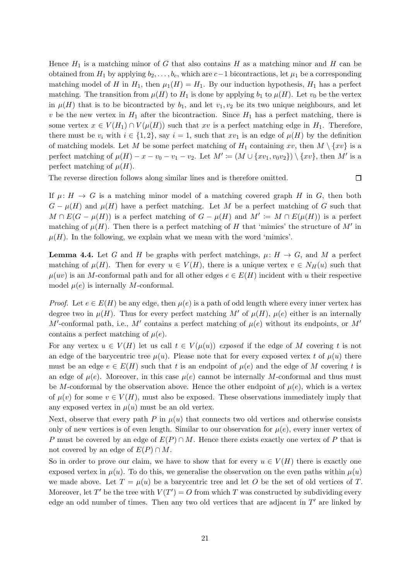Hence  $H_1$  is a matching minor of G that also contains H as a matching minor and H can be obtained from  $H_1$  by applying  $b_2, \ldots, b_c$ , which are  $c-1$  bicontractions, let  $\mu_1$  be a corresponding matching model of H in  $H_1$ , then  $\mu_1(H) = H_1$ . By our induction hypothesis,  $H_1$  has a perfect matching. The transition from  $\mu(H)$  to  $H_1$  is done by applying  $b_1$  to  $\mu(H)$ . Let  $v_0$  be the vertex in  $\mu(H)$  that is to be bicontracted by  $b_1$ , and let  $v_1, v_2$  be its two unique neighbours, and let v be the new vertex in  $H_1$  after the bicontraction. Since  $H_1$  has a perfect matching, there is some vertex  $x \in V(H_1) \cap V(\mu(H))$  such that xv is a perfect matching edge in  $H_1$ . Therefore, there must be  $v_i$  with  $i \in \{1,2\}$ , say  $i = 1$ , such that  $xv_1$  is an edge of  $\mu(H)$  by the definition of matching models. Let M be some perfect matching of  $H_1$  containing xv, then  $M \setminus \{xv\}$  is a perfect matching of  $\mu(H) - x - v_0 - v_1 - v_2$ . Let  $M' := (M \cup \{xv_1, v_0v_2\}) \setminus \{xv\}$ , then M' is a perfect matching of  $\mu(H)$ .

The reverse direction follows along similar lines and is therefore omitted.

 $\Box$ 

If  $\mu: H \to G$  is a matching minor model of a matching covered graph H in G, then both  $G - \mu(H)$  and  $\mu(H)$  have a perfect matching. Let M be a perfect matching of G such that  $M \cap E(G - \mu(H))$  is a perfect matching of  $G - \mu(H)$  and  $M' := M \cap E(\mu(H))$  is a perfect matching of  $\mu(H)$ . Then there is a perfect matching of H that 'mimics' the structure of M' in  $\mu(H)$ . In the following, we explain what we mean with the word 'mimics'.

<span id="page-20-0"></span>**Lemma 4.4.** Let G and H be graphs with perfect matchings,  $\mu: H \to G$ , and M a perfect matching of  $\mu(H)$ . Then for every  $u \in V(H)$ , there is a unique vertex  $v \in N_H(u)$  such that  $\mu(uv)$  is an M-conformal path and for all other edges  $e \in E(H)$  incident with u their respective model  $\mu(e)$  is internally M-conformal.

*Proof.* Let  $e \in E(H)$  be any edge, then  $\mu(e)$  is a path of odd length where every inner vertex has degree two in  $\mu(H)$ . Thus for every perfect matching M' of  $\mu(H)$ ,  $\mu(e)$  either is an internally M'-conformal path, i.e., M' contains a perfect matching of  $\mu(e)$  without its endpoints, or M' contains a perfect matching of  $\mu(e)$ .

For any vertex  $u \in V(H)$  let us call  $t \in V(\mu(u))$  exposed if the edge of M covering t is not an edge of the barycentric tree  $\mu(u)$ . Please note that for every exposed vertex t of  $\mu(u)$  there must be an edge  $e \in E(H)$  such that t is an endpoint of  $\mu(e)$  and the edge of M covering t is an edge of  $\mu(e)$ . Moreover, in this case  $\mu(e)$  cannot be internally M-conformal and thus must be M-conformal by the observation above. Hence the other endpoint of  $\mu(e)$ , which is a vertex of  $\mu(v)$  for some  $v \in V(H)$ , must also be exposed. These observations immediately imply that any exposed vertex in  $\mu(u)$  must be an old vertex.

Next, observe that every path P in  $\mu(u)$  that connects two old vertices and otherwise consists only of new vertices is of even length. Similar to our observation for  $\mu(e)$ , every inner vertex of P must be covered by an edge of  $E(P) \cap M$ . Hence there exists exactly one vertex of P that is not covered by an edge of  $E(P) \cap M$ .

So in order to prove our claim, we have to show that for every  $u \in V(H)$  there is exactly one exposed vertex in  $\mu(u)$ . To do this, we generalise the observation on the even paths within  $\mu(u)$ we made above. Let  $T = \mu(u)$  be a barycentric tree and let O be the set of old vertices of T. Moreover, let T' be the tree with  $V(T') = O$  from which T was constructed by subdividing every edge an odd number of times. Then any two old vertices that are adjacent in  $T'$  are linked by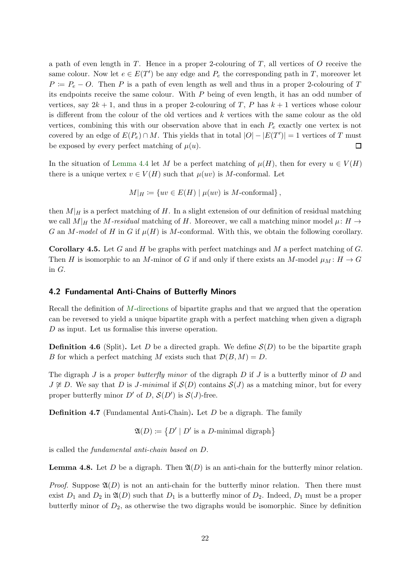a path of even length in  $T$ . Hence in a proper 2-colouring of  $T$ , all vertices of  $O$  receive the same colour. Now let  $e \in E(T')$  be any edge and  $P_e$  the corresponding path in T, moreover let  $P = P_e - O$ . Then P is a path of even length as well and thus in a proper 2-colouring of T its endpoints receive the same colour. With P being of even length, it has an odd number of vertices, say  $2k + 1$ , and thus in a proper 2-colouring of T, P has  $k + 1$  vertices whose colour is different from the colour of the old vertices and k vertices with the same colour as the old vertices, combining this with our observation above that in each  $P_e$  exactly one vertex is not covered by an edge of  $E(P_e) \cap M$ . This yields that in total  $|O| - |E(T')| = 1$  vertices of T must be exposed by every perfect matching of  $\mu(u)$ .  $\Box$ 

In the situation of [Lemma 4.4](#page-20-0) let M be a perfect matching of  $\mu(H)$ , then for every  $u \in V(H)$ there is a unique vertex  $v \in V(H)$  such that  $\mu(uv)$  is M-conformal. Let

$$
M|_H \coloneqq \{ uv \in E(H) \mid \mu(uv) \text{ is } M\text{-conformal} \},
$$

then  $M|_H$  is a perfect matching of H. In a slight extension of our definition of residual matching we call  $M|_H$  the M-residual matching of H. Moreover, we call a matching minor model  $\mu: H \to$ G an M-model of H in G if  $\mu(H)$  is M-conformal. With this, we obtain the following corollary.

<span id="page-21-1"></span>**Corollary 4.5.** Let G and H be graphs with perfect matchings and M a perfect matching of G. Then H is isomorphic to an M-minor of G if and only if there exists an M-model  $\mu_M : H \to G$ in G.

#### <span id="page-21-0"></span>4.2 Fundamental Anti-Chains of Butterfly Minors

Recall the definition of M[-directions](#page-5-3) of bipartite graphs and that we argued that the operation can be reversed to yield a unique bipartite graph with a perfect matching when given a digraph D as input. Let us formalise this inverse operation.

**Definition 4.6** (Split). Let D be a directed graph. We define  $\mathcal{S}(D)$  to be the bipartite graph B for which a perfect matching M exists such that  $\mathcal{D}(B, M) = D$ .

The digraph J is a proper butterfly minor of the digraph D if J is a butterfly minor of D and  $J \not\cong D$ . We say that D is J-minimal if  $\mathcal{S}(D)$  contains  $\mathcal{S}(J)$  as a matching minor, but for every proper butterfly minor  $D'$  of  $D$ ,  $\mathcal{S}(D')$  is  $\mathcal{S}(J)$ -free.

Definition 4.7 (Fundamental Anti-Chain). Let D be a digraph. The family

 $\mathfrak{A}(D) \coloneqq \{ D' \mid D' \text{ is a } D\text{-minimal digraph} \}$ 

is called the fundamental anti-chain based on D.

**Lemma 4.8.** Let D be a digraph. Then  $\mathfrak{A}(D)$  is an anti-chain for the butterfly minor relation.

*Proof.* Suppose  $\mathfrak{A}(D)$  is not an anti-chain for the butterfly minor relation. Then there must exist  $D_1$  and  $D_2$  in  $\mathfrak{A}(D)$  such that  $D_1$  is a butterfly minor of  $D_2$ . Indeed,  $D_1$  must be a proper butterfly minor of  $D_2$ , as otherwise the two digraphs would be isomorphic. Since by definition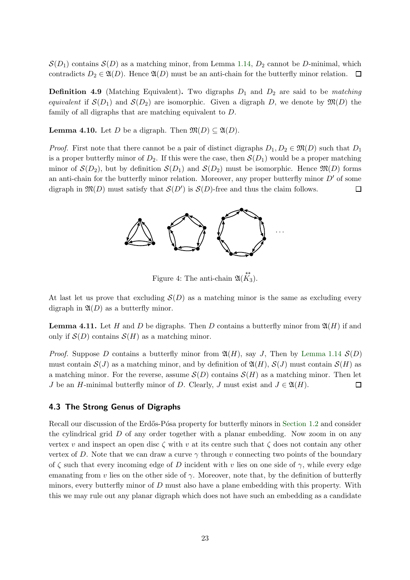$\mathcal{S}(D_1)$  contains  $\mathcal{S}(D)$  as a matching minor, from Lemma [1.14,](#page-5-2)  $D_2$  cannot be D-minimal, which contradicts  $D_2 \in \mathfrak{A}(D)$ . Hence  $\mathfrak{A}(D)$  must be an anti-chain for the butterfly minor relation.  $\Box$ 

**Definition 4.9** (Matching Equivalent). Two digraphs  $D_1$  and  $D_2$  are said to be matching equivalent if  $S(D_1)$  and  $S(D_2)$  are isomorphic. Given a digraph D, we denote by  $\mathfrak{M}(D)$  the family of all digraphs that are matching equivalent to D.

**Lemma 4.10.** Let D be a digraph. Then  $\mathfrak{M}(D) \subseteq \mathfrak{A}(D)$ .

*Proof.* First note that there cannot be a pair of distinct digraphs  $D_1, D_2 \in \mathfrak{M}(D)$  such that  $D_1$ is a proper butterfly minor of  $D_2$ . If this were the case, then  $\mathcal{S}(D_1)$  would be a proper matching minor of  $\mathcal{S}(D_2)$ , but by definition  $\mathcal{S}(D_1)$  and  $\mathcal{S}(D_2)$  must be isomorphic. Hence  $\mathfrak{M}(D)$  forms an anti-chain for the butterfly minor relation. Moreover, any proper butterfly minor  $D'$  of some digraph in  $\mathfrak{M}(D)$  must satisfy that  $\mathcal{S}(D')$  is  $\mathcal{S}(D)$ -free and thus the claim follows. 口



Figure 4: The anti-chain  $\mathfrak{A}(\overrightarrow{K_3})$ .

<span id="page-22-0"></span>At last let us prove that excluding  $S(D)$  as a matching minor is the same as excluding every digraph in  $\mathfrak{A}(D)$  as a butterfly minor.

**Lemma 4.11.** Let H and D be digraphs. Then D contains a butterfly minor from  $\mathfrak{A}(H)$  if and only if  $\mathcal{S}(D)$  contains  $\mathcal{S}(H)$  as a matching minor.

*Proof.* Suppose D contains a butterfly minor from  $\mathfrak{A}(H)$ , say J, Then by [Lemma 1.14](#page-5-2)  $\mathcal{S}(D)$ must contain  $\mathcal{S}(J)$  as a matching minor, and by definition of  $\mathfrak{A}(H)$ ,  $\mathcal{S}(J)$  must contain  $\mathcal{S}(H)$  as a matching minor. For the reverse, assume  $\mathcal{S}(D)$  contains  $\mathcal{S}(H)$  as a matching minor. Then let J be an H-minimal butterfly minor of D. Clearly, J must exist and  $J \in \mathfrak{A}(H)$ .  $\Box$ 

#### 4.3 The Strong Genus of Digraphs

Recall our discussion of the Erdős-Pósa property for butterfly minors in [Section 1.2](#page-5-0) and consider the cylindrical grid D of any order together with a planar embedding. Now zoom in on any vertex v and inspect an open disc  $\zeta$  with v at its centre such that  $\zeta$  does not contain any other vertex of D. Note that we can draw a curve  $\gamma$  through v connecting two points of the boundary of  $\zeta$  such that every incoming edge of D incident with v lies on one side of  $\gamma$ , while every edge emanating from v lies on the other side of  $\gamma$ . Moreover, note that, by the definition of butterfly minors, every butterfly minor of D must also have a plane embedding with this property. With this we may rule out any planar digraph which does not have such an embedding as a candidate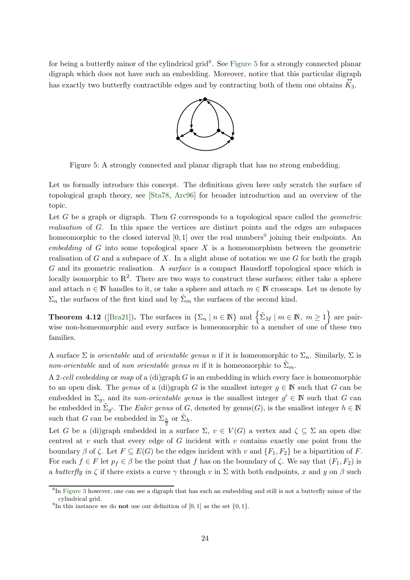<span id="page-23-0"></span>for being a butterfly minor of the cylindrical grid<sup>8</sup>. See [Figure 5](#page-23-0) for a strongly connected planar digraph which does not have such an embedding. Moreover, notice that this particular digraph has exactly two butterfly contractible edges and by contracting both of them one obtains  $K_3$ .



Figure 5: A strongly connected and planar digraph that has no strong embedding.

Let us formally introduce this concept. The definitions given here only scratch the surface of topological graph theory, see [\[Sta78,](#page-53-18) [Arc96\]](#page-52-10) for broader introduction and an overview of the topic.

Let G be a graph or digraph. Then G corresponds to a topological space called the *geometric* realisation of G. In this space the vertices are distinct points and the edges are subspaces homeomorphic to the closed interval  $[0,1]$  over the real numbers<sup>9</sup> joining their endpoints. An embedding of  $G$  into some topological space  $X$  is a homeomorphism between the geometric realisation of G and a subspace of X. In a slight abuse of notation we use  $G$  for both the graph G and its geometric realisation. A surface is a compact Hausdorff topological space which is locally isomorphic to  $\mathbb{R}^2$ . There are two ways to construct these surfaces; either take a sphere and attach  $n \in \mathbb{N}$  handles to it, or take a sphere and attach  $m \in \mathbb{N}$  crosscaps. Let us denote by  $\Sigma_n$  the surfaces of the first kind and by  $\tilde{\Sigma}_m$  the surfaces of the second kind.

**Theorem 4.12** ([\[Bra21\]](#page-52-11)). The surfaces in  $\{\Sigma_n \mid n \in \mathbb{N}\}\$  and  $\{\tilde{\Sigma}_M \mid m \in \mathbb{N}, m \geq 1\}$  are pairwise non-homeomorphic and every surface is homeomorphic to a member of one of these two families.

A surface  $\Sigma$  is *orientable* and of *orientable genus n* if it is homeomorphic to  $\Sigma_n$ . Similarly,  $\Sigma$  is non-orientable and of non orientable genus m if it is homeomorphic to  $\tilde{\Sigma}_m$ .

A 2-cell embedding or map of a (di)graph  $G$  is an embedding in which every face is homeomorphic to an open disk. The *genus* of a (di)graph G is the smallest integer  $g \in \mathbb{N}$  such that G can be embedded in  $\Sigma_g$ , and its non-orientable genus is the smallest integer  $g' \in \mathbb{N}$  such that G can be embedded in  $\tilde{\Sigma}_{g'}$ . The *Euler genus* of G, denoted by genus(G), is the smallest integer  $h \in \mathbb{N}$ such that G can be embedded in  $\Sigma_{\frac{h}{2}}$  or  $\tilde{\Sigma}_h$ .

Let G be a (di)graph embedded in a surface  $\Sigma, v \in V(G)$  a vertex and  $\zeta \subseteq \Sigma$  an open disc centred at  $v$  such that every edge of  $G$  incident with  $v$  contains exactly one point from the boundary  $\beta$  of  $\zeta$ . Let  $F \subseteq E(G)$  be the edges incident with v and  $\{F_1, F_2\}$  be a bipartition of F. For each  $f \in F$  let  $p_f \in \beta$  be the point that f has on the boundary of  $\zeta$ . We say that  $(F_1, F_2)$  is a butterfly in  $\zeta$  if there exists a curve  $\gamma$  through v in  $\Sigma$  with both endpoints, x and y on  $\beta$  such

<sup>&</sup>lt;sup>8</sup>In [Figure 3](#page-6-0) however, one can see a digraph that has such an embedding and still is not a butterfly minor of the cylindrical grid.

<sup>&</sup>lt;sup>9</sup>In this instance we do **not** use our definition of [0, 1] as the set  $\{0, 1\}$ .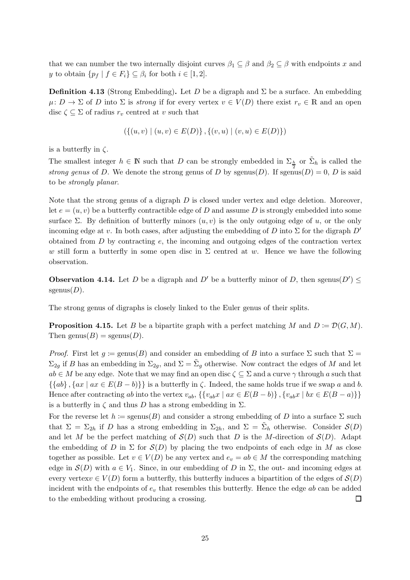<span id="page-24-0"></span>that we can number the two internally disjoint curves  $\beta_1 \subseteq \beta$  and  $\beta_2 \subseteq \beta$  with endpoints x and y to obtain  $\{p_f \mid f \in F_i\} \subseteq \beta_i$  for both  $i \in [1,2]$ .

**Definition 4.13** (Strong Embedding). Let D be a digraph and  $\Sigma$  be a surface. An embedding  $\mu: D \to \Sigma$  of D into  $\Sigma$  is strong if for every vertex  $v \in V(D)$  there exist  $r_v \in \mathbb{R}$  and an open disc  $\zeta \subseteq \Sigma$  of radius  $r_v$  centred at v such that

$$
(\{(u, v) \mid (u, v) \in E(D)\}, \{(v, u) \mid (v, u) \in E(D)\})
$$

is a butterfly in  $\zeta$ .

The smallest integer  $h \in \mathbb{N}$  such that D can be strongly embedded in  $\Sigma_{\frac{h}{2}}$  or  $\tilde{\Sigma}_h$  is called the strong genus of D. We denote the strong genus of D by sgenus(D). If sgenus(D) = 0, D is said to be strongly planar.

Note that the strong genus of a digraph  $D$  is closed under vertex and edge deletion. Moreover, let  $e = (u, v)$  be a butterfly contractible edge of D and assume D is strongly embedded into some surface Σ. By definition of butterfly minors  $(u, v)$  is the only outgoing edge of u, or the only incoming edge at v. In both cases, after adjusting the embedding of D into  $\Sigma$  for the digraph  $D'$ obtained from  $D$  by contracting  $e$ , the incoming and outgoing edges of the contraction vertex w still form a butterfly in some open disc in  $\Sigma$  centred at w. Hence we have the following observation.

**Observation 4.14.** Let D be a digraph and D' be a butterfly minor of D, then sgenus $(D') \leq$ sgenus $(D)$ .

The strong genus of digraphs is closely linked to the Euler genus of their splits.

**Proposition 4.15.** Let B be a bipartite graph with a perfect matching M and  $D := \mathcal{D}(G, M)$ . Then genus $(B)$  = sgenus $(D)$ .

*Proof.* First let  $g := \text{genus}(B)$  and consider an embedding of B into a surface  $\Sigma$  such that  $\Sigma =$  $\Sigma_{2g}$  if B has an embedding in  $\Sigma_{2g}$ , and  $\Sigma = \tilde{\Sigma}_g$  otherwise. Now contract the edges of M and let  $ab \in M$  be any edge. Note that we may find an open disc  $\zeta \subseteq \Sigma$  and a curve  $\gamma$  through a such that  $\{\{ab\}, \{ax \mid ax \in E(B - b)\}\}\$ is a butterfly in  $\zeta$ . Indeed, the same holds true if we swap a and b. Hence after contracting ab into the vertex  $v_{ab}$ ,  $\{\{v_{ab}x \mid ax \in E(B - b)\}\$ ,  $\{v_{ab}x \mid bx \in E(B - a)\}\}$ is a butterfly in  $\zeta$  and thus D has a strong embedding in  $\Sigma$ .

For the reverse let  $h := \text{sgenus}(B)$  and consider a strong embedding of D into a surface  $\Sigma$  such that  $\Sigma = \Sigma_{2h}$  if D has a strong embedding in  $\Sigma_{2h}$ , and  $\Sigma = \tilde{\Sigma}_h$  otherwise. Consider  $\mathcal{S}(D)$ and let M be the perfect matching of  $S(D)$  such that D is the M-direction of  $S(D)$ . Adapt the embedding of D in  $\Sigma$  for  $\mathcal{S}(D)$  by placing the two endpoints of each edge in M as close together as possible. Let  $v \in V(D)$  be any vertex and  $e_v = ab \in M$  the corresponding matching edge in  $\mathcal{S}(D)$  with  $a \in V_1$ . Since, in our embedding of D in  $\Sigma$ , the out- and incoming edges at every vertex $v \in V(D)$  form a butterfly, this butterfly induces a bipartition of the edges of  $\mathcal{S}(D)$ incident with the endpoints of  $e_v$  that resembles this butterfly. Hence the edge ab can be added to the embedding without producing a crossing.  $\Box$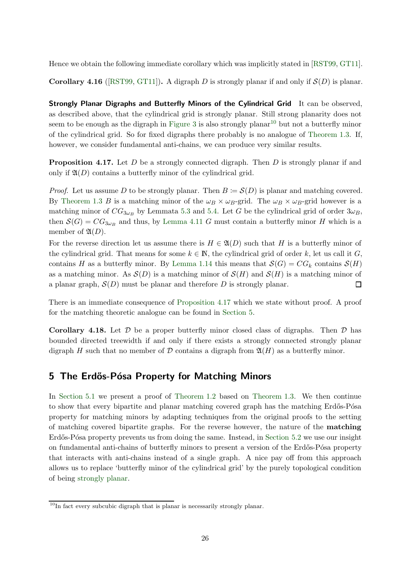Hence we obtain the following immediate corollary which was implicitly stated in [\[RST99,](#page-53-9) [GT11\]](#page-52-3).

**Corollary 4.16** ([\[RST99,](#page-53-9) [GT11\]](#page-52-3)). A digraph D is strongly planar if and only if  $\mathcal{S}(D)$  is planar.

Strongly Planar Digraphs and Butterfly Minors of the Cylindrical Grid It can be observed, as described above, that the cylindrical grid is strongly planar. Still strong planarity does not seem to be enough as the digraph in [Figure 3](#page-6-0) is also strongly planar<sup>10</sup> but not a butterfly minor of the cylindrical grid. So for fixed digraphs there probably is no analogue of [Theorem 1.3.](#page-2-3) If, however, we consider fundamental anti-chains, we can produce very similar results.

<span id="page-25-1"></span>**Proposition 4.17.** Let D be a strongly connected digraph. Then D is strongly planar if and only if  $\mathfrak{A}(D)$  contains a butterfly minor of the cylindrical grid.

*Proof.* Let us assume D to be strongly planar. Then  $B \coloneqq \mathcal{S}(D)$  is planar and matching covered. By [Theorem 1.3](#page-2-3) B is a matching minor of the  $\omega_B \times \omega_B$ -grid. The  $\omega_B \times \omega_B$ -grid however is a matching minor of  $CG_{3\omega_B}$  by Lemmata [5.3](#page-26-0) and [5.4.](#page-28-0) Let G be the cylindrical grid of order  $3\omega_B$ , then  $\mathcal{S}(G) = CG_{3\omega_B}$  and thus, by [Lemma 4.11](#page-22-0) G must contain a butterfly minor H which is a member of  $\mathfrak{A}(D)$ .

For the reverse direction let us assume there is  $H \in \mathfrak{A}(D)$  such that H is a butterfly minor of the cylindrical grid. That means for some  $k \in \mathbb{N}$ , the cylindrical grid of order k, let us call it G, contains H as a butterfly minor. By [Lemma 1.14](#page-5-2) this means that  $\mathcal{S}(G) = CG_k$  contains  $\mathcal{S}(H)$ as a matching minor. As  $\mathcal{S}(D)$  is a matching minor of  $\mathcal{S}(H)$  and  $\mathcal{S}(H)$  is a matching minor of a planar graph,  $S(D)$  must be planar and therefore D is strongly planar.  $\Box$ 

There is an immediate consequence of [Proposition 4.17](#page-25-1) which we state without proof. A proof for the matching theoretic analogue can be found in [Section 5.](#page-25-0)

**Corollary 4.18.** Let  $\mathcal{D}$  be a proper butterfly minor closed class of digraphs. Then  $\mathcal{D}$  has bounded directed treewidth if and only if there exists a strongly connected strongly planar digraph H such that no member of D contains a digraph from  $\mathfrak{A}(H)$  as a butterfly minor.

# <span id="page-25-0"></span>5 The Erdős-Pósa Property for Matching Minors

In [Section 5.1](#page-26-1) we present a proof of [Theorem 1.2](#page-2-2) based on [Theorem 1.3.](#page-2-3) We then continue to show that every bipartite and planar matching covered graph has the matching Erdős-Pósa property for matching minors by adapting techniques from the original proofs to the setting of matching covered bipartite graphs. For the reverse however, the nature of the matching Erdős-Pósa property prevents us from doing the same. Instead, in [Section 5.2](#page-32-0) we use our insight on fundamental anti-chains of butterfly minors to present a version of the Erdős-Pósa property that interacts with anti-chains instead of a single graph. A nice pay off from this approach allows us to replace 'butterfly minor of the cylindrical grid' by the purely topological condition of being [strongly planar.](#page-24-0)

<sup>&</sup>lt;sup>10</sup>In fact every subcubic digraph that is planar is necessarily strongly planar.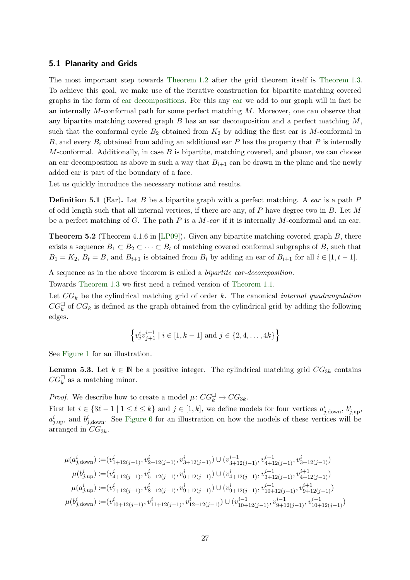#### <span id="page-26-1"></span>5.1 Planarity and Grids

The most important step towards [Theorem 1.2](#page-2-2) after the grid theorem itself is [Theorem 1.3.](#page-2-3) To achieve this goal, we make use of the iterative construction for bipartite matching covered graphs in the form of [ear decompositions.](#page-26-2) For this any [ear](#page-26-3) we add to our graph will in fact be an internally M-conformal path for some perfect matching M. Moreover, one can observe that any bipartite matching covered graph  $B$  has an ear decomposition and a perfect matching  $M$ , such that the conformal cycle  $B_2$  obtained from  $K_2$  by adding the first ear is M-conformal in B, and every  $B_i$  obtained from adding an additional ear P has the property that P is internally M-conformal. Additionally, in case  $B$  is bipartite, matching covered, and planar, we can choose an ear decomposition as above in such a way that  $B_{i+1}$  can be drawn in the plane and the newly added ear is part of the boundary of a face.

<span id="page-26-3"></span>Let us quickly introduce the necessary notions and results.

**Definition 5.1** (Ear). Let B be a bipartite graph with a perfect matching. A ear is a path  $P$ of odd length such that all internal vertices, if there are any, of  $P$  have degree two in  $B$ . Let  $M$ be a perfect matching of G. The path P is a M-ear if it is internally M-conformal and an ear.

<span id="page-26-2"></span>Theorem 5.2 (Theorem 4.1.6 in [\[LP09\]](#page-53-17)). Given any bipartite matching covered graph B, there exists a sequence  $B_1 \subset B_2 \subset \cdots \subset B_t$  of matching covered conformal subgraphs of B, such that  $B_1 = K_2$ ,  $B_t = B$ , and  $B_{i+1}$  is obtained from  $B_i$  by adding an ear of  $B_{i+1}$  for all  $i \in [1, t-1]$ .

A sequence as in the above theorem is called a bipartite ear-decomposition.

Towards [Theorem 1.3](#page-2-3) we first need a refined version of [Theorem 1.1.](#page-2-0)

Let  $CG_k$  be the cylindrical matching grid of order k. The canonical internal quadrangulation  $CG_k^{\square}$  of  $CG_k$  is defined as the graph obtained from the cylindrical grid by adding the following edges.

$$
\left\{v_j^i v_{j+1}^{i+1} \mid i \in [1, k-1] \text{ and } j \in \{2, 4, \dots, 4k\}\right\}
$$

<span id="page-26-0"></span>See [Figure 1](#page-2-4) for an illustration.

**Lemma 5.3.** Let  $k \in \mathbb{N}$  be a positive integer. The cylindrical matching grid  $CG_{3k}$  contains  $CG_k^{\square}$  as a matching minor.

*Proof.* We describe how to create a model  $\mu$ :  $CG_k^{\square} \rightarrow CG_{3k}$ .

First let  $i \in \{3\ell - 1 \mid 1 \leq \ell \leq k\}$  and  $j \in [1, k]$ , we define models for four vertices  $a_{j, \text{down}}^i$ ,  $b_{j, \text{up}}^i$ ,  $a_{j, \text{up}}^i$ , and  $b_{j, \text{down}}^i$ . See [Figure 6](#page-27-0) for an illustration on how the models of these vertices will be arranged in  $CG_{3k}$ .

$$
\begin{split} \mu(a^i_{j,\text{down}}) \coloneqq& (v^i_{1+12(j-1)},v^i_{2+12(j-1)},v^i_{3+12(j-1)}) \cup (v^{i-1}_{3+12(j-1)},v^{i-1}_{4+12(j-1)},v^{i}_{3+12(j-1)}) \\ \mu(b^i_{j,\text{up}}) \coloneqq& (v^i_{4+12(j-1)},v^i_{5+12(j-1)},v^i_{6+12(j-1)}) \cup (v^i_{4+12(j-1)},v^{i+1}_{3+12(j-1)},v^{i+1}_{4+12(j-1)}) \\ \mu(a^i_{j,\text{up}}) \coloneqq& (v^i_{7+12(j-1)},v^i_{8+12(j-1)},v^i_{9+12(j-1)}) \cup (v^i_{9+12(j-1)},v^{i+1}_{10+12(j-1)},v^{i+1}_{9+12(j-1)}) \\ \mu(b^i_{j,\text{down}}) \coloneqq& (v^i_{10+12(j-1)},v^{i}_{11+12(j-1)},v^{i}_{12+12(j-1)}) \cup (v^{i-1}_{10+12(j-1)},v^{i-1}_{9+12(j-1)},v^{i-1}_{10+12(j-1)}) \end{split}
$$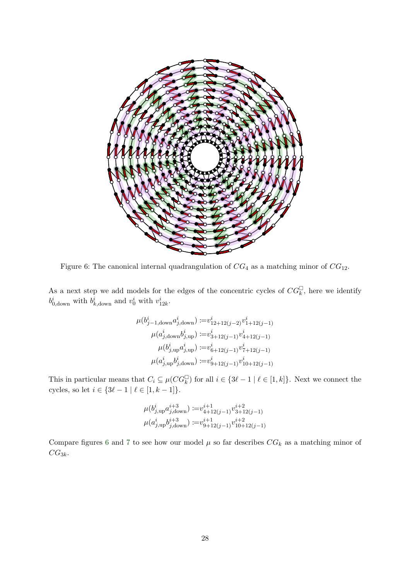<span id="page-27-0"></span>

Figure 6: The canonical internal quadrangulation of  $CG_4$  as a matching minor of  $CG_{12}$ .

As a next step we add models for the edges of the concentric cycles of  $CG_k^{\square}$ , here we identify  $b^i_{0,\text{down}}$  with  $b^i_{k,\text{down}}$  and  $v^i_0$  with  $v^i_{12k}$ .

$$
\mu(b_{j-1,\text{down}}^i a_{j,\text{down}}^i) := v_{12+12(j-2)}^i v_{1+12(j-1)}^i
$$

$$
\mu(a_{j,\text{down}}^i b_{j,\text{up}}^i) := v_{3+12(j-1)}^i v_{4+12(j-1)}^i
$$

$$
\mu(b_{j,\text{up}}^i a_{j,\text{up}}^i) := v_{6+12(j-1)}^i v_{7+12(j-1)}^i
$$

$$
\mu(a_{j,\text{up}}^i b_{j,\text{down}}^i) := v_{9+12(j-1)}^i v_{10+12(j-1)}^i
$$

This in particular means that  $C_i \subseteq \mu(CG_k^{\square})$  for all  $i \in \{3\ell - 1 \mid \ell \in [1, k]\}$ . Next we connect the cycles, so let  $i\in\{3\ell-1\mid \ell\in [1,k-1]\}.$ 

$$
\mu(b^i_{j,\text{up}}a^{i+3}_{j,\text{down}}) := v^{i+1}_{4+12(j-1)} v^{i+2}_{3+12(j-1)}
$$
  

$$
\mu(a^i_{j,\text{up}}b^{i+3}_{j,\text{down}}) := v^{i+1}_{9+12(j-1)} v^{i+2}_{10+12(j-1)}
$$

Compare figures [6](#page-27-0) and [7](#page-28-1) to see how our model  $\mu$  so far describes  $CG_k$  as a matching minor of  $CG_{3k}$ .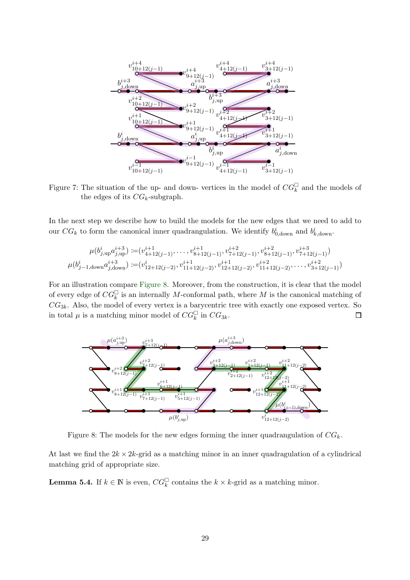<span id="page-28-1"></span>

Figure 7: The situation of the up- and down-vertices in the model of  $CG_k^{\square}$  and the models of the edges of its  $CG_k$ -subgraph.

In the next step we describe how to build the models for the new edges that we need to add to our  $CG_k$  to form the canonical inner quadrangulation. We identify  $b_{0,\text{down}}^i$  and  $b_{k,\text{down}}^i$ .

$$
\mu(b_{j,\text{up}}^i a_{j,\text{up}}^{i+3}) := (v_{4+12(j-1)}^{i+1}, \dots, v_{8+12(j-1)}^{i+1}, v_{7+12(j-1)}^{i+2}, v_{8+12(j-1)}^{i+2}, v_{7+12(j-1)}^{i+3})
$$
  

$$
\mu(b_{j-1,\text{down}}^i a_{j,\text{down}}^{i+3}) := (v_{12+12(j-2)}^i, v_{11+12(j-2)}^{i+1}, v_{12+12(j-2)}^{i+1}, v_{11+12(j-2)}^{i+2}, \dots, v_{3+12(j-1)}^{i+2})
$$

For an illustration compare [Figure 8.](#page-28-2) Moreover, from the construction, it is clear that the model of every edge of  $CG_k^{\square}$  is an internally M-conformal path, where M is the canonical matching of  $CG_{3k}$ . Also, the model of every vertex is a barycentric tree with exactly one exposed vertex. So in total  $\mu$  is a matching minor model of  $CG_k^{\Box}$  in  $CG_{3k}$ .  $\Box$ 

<span id="page-28-2"></span>

Figure 8: The models for the new edges forming the inner quadrangulation of  $CG_k$ .

<span id="page-28-0"></span>At last we find the  $2k \times 2k$ -grid as a matching minor in an inner quadragulation of a cylindrical matching grid of appropriate size.

**Lemma 5.4.** If  $k \in \mathbb{N}$  is even,  $CG_k^{\square}$  contains the  $k \times k$ -grid as a matching minor.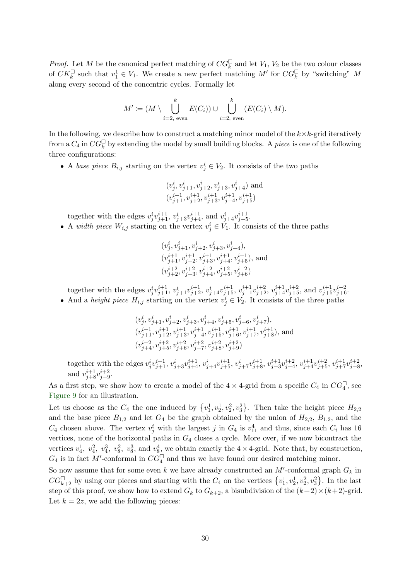*Proof.* Let M be the canonical perfect matching of  $CG_k^{\square}$  and let  $V_1$ ,  $V_2$  be the two colour classes of  $CK_k^{\square}$  such that  $v_1^1 \in V_1$ . We create a new perfect matching M' for  $CG_k^{\square}$  by "switching" M along every second of the concentric cycles. Formally let

$$
M' := (M \setminus \bigcup_{i=2, \text{ even}}^k E(C_i)) \cup \bigcup_{i=2, \text{ even}}^k (E(C_i) \setminus M).
$$

In the following, we describe how to construct a matching minor model of the  $k \times k$ -grid iteratively from a  $C_4$  in  $CG_k^{\square}$  by extending the model by small building blocks. A *piece* is one of the following three configurations:

• A base piece  $B_{i,j}$  starting on the vertex  $v_j^i \in V_2$ . It consists of the two paths

$$
\begin{array}{l} (v^i_j,v^i_{j+1},v^i_{j+2},v^i_{j+3},v^i_{j+4}) \text{ and} \\ (v^{i+1}_{j+1},v^{i+1}_{j+2},v^{i+1}_{j+3},v^{i+1}_{j+4},v^{i+1}_{j+5}) \end{array}
$$

together with the edges  $v_j^i v_{j+1}^{i+1}$ ,  $v_{j+3}^i v_{j+4}^{i+1}$ , and  $v_{j+4}^i v_{j+5}^{i+1}$ .

• A *width piece*  $W_{i,j}$  starting on the vertex  $v_j^i \in V_1$ . It consists of the three paths

$$
\begin{array}{l} (v^i_j,v^i_{j+1},v^i_{j+2},v^i_{j+3},v^i_{j+4}),\\ (v^{i+1}_{j+1},v^{i+1}_{j+2},v^{i+1}_{j+3},v^{i+1}_{j+4},v^{i+1}_{j+5}), \text{ and} \\ (v^{i+2}_{j+2},v^{i+2}_{j+3},v^{i+2}_{j+4},v^{i+2}_{j+5},v^{i+2}_{j+6}) \end{array}
$$

together with the edges  $v_j^i v_{j+1}^{i+1}$ ,  $v_{j+1}^i v_{j+2}^{i+1}$ ,  $v_{j+4}^i v_{j+5}^{i+1}$ ,  $v_{j+1}^{i+1} v_{j+2}^{i+2}$ ,  $v_{j+4}^{i+1} v_{j+5}^{i+2}$ , and  $v_{j+5}^{i+1} v_{j+6}^{i+2}$ .

• And a height piece  $H_{i,j}$  starting on the vertex  $v_j^i \in V_2$ . It consists of the three paths

$$
\begin{array}{l} (v^i_j,v^i_{j+1},v^i_{j+2},v^i_{j+3},v^i_{j+4},v^i_{j+5},v^i_{j+6},v^i_{j+7}),\\ (v^{i+1}_{j+1},v^{i+1}_{j+2},v^{i+1}_{j+3},v^{i+1}_{j+4},v^{i+1}_{j+5},v^{i+1}_{j+6},v^{i+1}_{j+7},v^{i+1}_{j+8}), \text{ and} \\ (v^{i+2}_{j+4},v^{i+2}_{j+5},v^{i+2}_{j+6},v^{i+2}_{j+7},v^{i+2}_{j+8},v^{i+2}_{j+9})\end{array}
$$

together with the edges  $v_j^i v_{j+1}^{i+1}$ ,  $v_{j+3}^i v_{j+4}^{i+1}$ ,  $v_{j+4}^i v_{j+5}^{i+1}$ ,  $v_{j+7}^i v_{j+8}^{i+1}$ ,  $v_{j+3}^{i+1} v_{j+4}^{i+2}$ ,  $v_{j+4}^{i+1} v_{j+5}^{i+2}$ ,  $v_{j+7}^{i+1} v_{j+8}^{i+2}$ , and  $v_{j+8}^{i+1}v_{j+9}^{i+2}$ .

As a first step, we show how to create a model of the  $4 \times 4$ -grid from a specific  $C_4$  in  $CG_4^{\square}$ , see [Figure 9](#page-30-0) for an illustration.

Let us choose as the  $C_4$  the one induced by  $\{v_1^1, v_2^1, v_2^2, v_3^2\}$ . Then take the height piece  $H_{2,2}$ and the base piece  $B_{1,2}$  and let  $G_4$  be the graph obtained by the union of  $H_{2,2}$ ,  $B_{1,2}$ , and the  $C_4$  chosen above. The vertex  $v_j^i$  with the largest j in  $G_4$  is  $v_{11}^4$  and thus, since each  $C_i$  has 16 vertices, none of the horizontal paths in  $G_4$  closes a cycle. More over, if we now bicontract the vertices  $v_4^1$ ,  $v_4^2$ ,  $v_4^3$ ,  $v_8^2$ ,  $v_8^3$ , and  $v_8^4$ , we obtain exactly the  $4 \times 4$ -grid. Note that, by construction,  $G_4$  is in fact M'-conformal in  $CG_4^{\square}$  and thus we have found our desired matching minor.

So now assume that for some even k we have already constructed an  $M'$ -conformal graph  $G_k$  in  $CG_{k+2}^{\square}$  by using our pieces and starting with the  $C_4$  on the vertices  $\{v_1^1, v_2^1, v_2^2, v_3^2\}$ . In the last step of this proof, we show how to extend  $G_k$  to  $G_{k+2}$ , a bisubdivision of the  $(k+2) \times (k+2)$ -grid. Let  $k = 2z$ , we add the following pieces: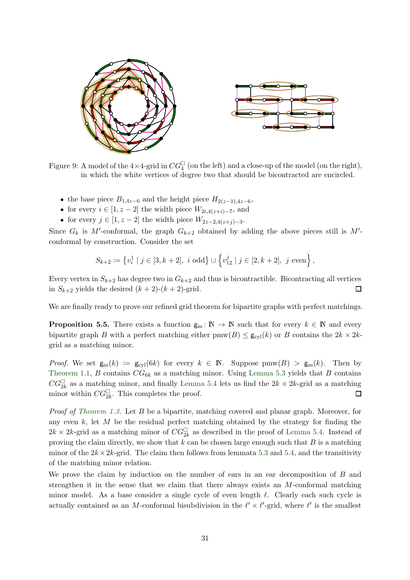<span id="page-30-0"></span>

Figure 9: A model of the  $4\times 4$ -grid in  $CG_4^{\square}$  (on the left) and a close-up of the model (on the right), in which the white vertices of degree two that should be bicontracted are encircled.

- the base piece  $B_{1,4z-6}$  and the height piece  $H_{2(z-1),4z-6}$ ,
- for every  $i \in [1, z 2]$  the width piece  $W_{2i,4(z+i)-7}$ , and
- for every  $j \in [1, z-2]$  the width piece  $W_{2z-2, 4(z+j)-3}$ .

Since  $G_k$  is M'-conformal, the graph  $G_{k+2}$  obtained by adding the above pieces still is M'conformal by construction. Consider the set

$$
S_{k+2} \coloneqq \left\{ v_i^1 \mid j \in [3, k+2], \ i \text{ odd} \right\} \cup \left\{ v_{12}^j \mid j \in [2, k+2], \ j \text{ even} \right\},\
$$

Every vertex in  $S_{k+2}$  has degree two in  $G_{k+2}$  and thus is bicontractible. Bicontracting all vertices in  $S_{k+2}$  yields the desired  $(k+2)-(k+2)$ -grid.  $\Box$ 

We are finally ready to prove our refined grid theorem for bipartite graphs with perfect matchings.

**Proposition 5.5.** There exists a function  $g_m: \mathbb{N} \to \mathbb{N}$  such that for every  $k \in \mathbb{N}$  and every bipartite graph B with a perfect matching either  $\text{pmw}(B) \leq \mathbf{g}_{\text{cyl}}(k)$  or B contains the  $2k \times 2k$ grid as a matching minor.

*Proof.* We set  $g_m(k) := g_{cyl}(6k)$  for every  $k \in \mathbb{N}$ . Suppose  $\text{pmw}(B) > g_m(k)$ . Then by [Theorem 1.1,](#page-2-0) B contains  $CG_{6k}$  as a matching minor. Using [Lemma 5.3](#page-26-0) yields that B contains  $CG_{2k}^{\square}$  as a matching minor, and finally [Lemma 5.4](#page-28-0) lets us find the  $2k \times 2k$ -grid as a matching minor within  $CG_{2k}^{\square}$ . This completes the proof. 口

Proof of [Theorem 1.3.](#page-2-3) Let B be a bipartite, matching covered and planar graph. Moreover, for any even  $k$ , let  $M$  be the residual perfect matching obtained by the strategy for finding the  $2k \times 2k$ -grid as a matching minor of  $CG_{2k}^{\square}$  as described in the proof of [Lemma 5.4.](#page-28-0) Instead of proving the claim directly, we show that  $k$  can be chosen large enough such that  $B$  is a matching minor of the  $2k \times 2k$ -grid. The claim then follows from lemmata [5.3](#page-26-0) and [5.4,](#page-28-0) and the transitivity of the matching minor relation.

We prove the claim by induction on the number of ears in an ear decomposition of B and strengthen it in the sense that we claim that there always exists an  $M$ -conformal matching minor model. As a base consider a single cycle of even length  $\ell$ . Clearly each such cycle is actually contained as an M-conformal bisubdivision in the  $\ell' \times \ell'$ -grid, where  $\ell'$  is the smallest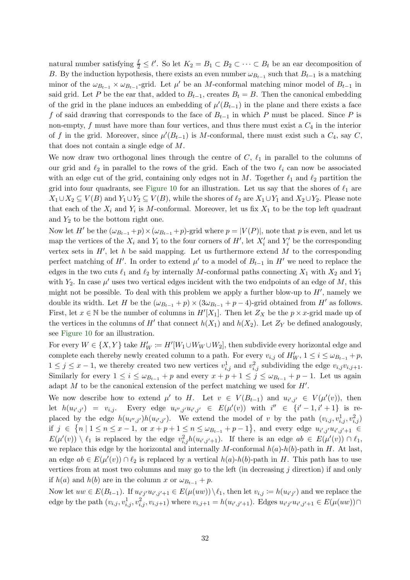natural number satisfying  $\frac{\ell}{2} \leq \ell'$ . So let  $K_2 = B_1 \subset B_2 \subset \cdots \subset B_t$  be an ear decomposition of B. By the induction hypothesis, there exists an even number  $\omega_{B_{t-1}}$  such that  $B_{t-1}$  is a matching minor of the  $\omega_{B_{t-1}} \times \omega_{B_{t-1}}$ -grid. Let  $\mu'$  be an M-conformal matching minor model of  $B_{t-1}$  in said grid. Let P be the ear that, added to  $B_{t-1}$ , creates  $B_t = B$ . Then the canonical embedding of the grid in the plane induces an embedding of  $\mu'(B_{t-1})$  in the plane and there exists a face f of said drawing that corresponds to the face of  $B_{t-1}$  in which P must be placed. Since P is non-empty,  $f$  must have more than four vertices, and thus there must exist a  $C_4$  in the interior of f in the grid. Moreover, since  $\mu'(B_{t-1})$  is M-conformal, there must exist such a  $C_4$ , say  $C$ , that does not contain a single edge of M.

We now draw two orthogonal lines through the centre of  $C, \ell_1$  in parallel to the columns of our grid and  $\ell_2$  in parallel to the rows of the grid. Each of the two  $\ell_i$  can now be associated with an edge cut of the grid, containing only edges not in M. Together  $\ell_1$  and  $\ell_2$  partition the grid into four quadrants, see [Figure 10](#page-32-1) for an illustration. Let us say that the shores of  $\ell_1$  are  $X_1 \cup X_2 \subseteq V(B)$  and  $Y_1 \cup Y_2 \subseteq V(B)$ , while the shores of  $\ell_2$  are  $X_1 \cup Y_1$  and  $X_2 \cup Y_2$ . Please note that each of the  $X_i$  and  $Y_i$  is M-conformal. Moreover, let us fix  $X_1$  to be the top left quadrant and  $Y_2$  to be the bottom right one.

Now let H' be the  $(\omega_{B_{t-1}}+p) \times (\omega_{B_{t-1}}+p)$ -grid where  $p = |V(P)|$ , note that p is even, and let us map the vertices of the  $X_i$  and  $Y_i$  to the four corners of  $H'$ , let  $X'_i$  and  $Y'_i$  be the corresponding vertex sets in  $H'$ , let h be said mapping. Let us furthermore extend  $M$  to the corresponding perfect matching of H'. In order to extend  $\mu'$  to a model of  $B_{t-1}$  in H' we need to replace the edges in the two cuts  $\ell_1$  and  $\ell_2$  by internally M-conformal paths connecting  $X_1$  with  $X_2$  and  $Y_1$ with  $Y_2$ . In case  $\mu'$  uses two vertical edges incident with the two endpoints of an edge of M, this might not be possible. To deal with this problem we apply a further blow-up to  $H'$ , namely we double its width. Let H be the  $(\omega_{B_{t-1}} + p) \times (3\omega_{B_{t-1}} + p - 4)$ -grid obtained from H' as follows. First, let  $x \in \mathbb{N}$  be the number of columns in  $H'[X_1]$ . Then let  $Z_X$  be the  $p \times x$ -grid made up of the vertices in the columns of  $H'$  that connect  $h(X_1)$  and  $h(X_2)$ . Let  $Z_Y$  be defined analogously, see [Figure 10](#page-32-1) for an illustration.

For every  $W \in \{X, Y\}$  take  $H'_W := H'[W_1 \cup W_W \cup W_2]$ , then subdivide every horizontal edge and complete each thereby newly created column to a path. For every  $v_{i,j}$  of  $H'_{W}$ ,  $1 \leq i \leq \omega_{B_{t-1}} + p$ ,  $1 \leq j \leq x-1$ , we thereby created two new vertices  $v_{i,j}^1$  and  $v_{i,j}^2$  subdividing the edge  $v_{i,j}v_{i,j+1}$ . Similarly for every  $1 \leq i \leq \omega_{B_{t-1}} + p$  and every  $x + p + 1 \leq j \leq \omega_{B_{t-1}} + p - 1$ . Let us again adapt  $M$  to be the canonical extension of the perfect matching we used for  $H'$ .

We now describe how to extend  $\mu'$  to H. Let  $v \in V(B_{t-1})$  and  $u_{i',j'} \in V(\mu'(v))$ , then let  $h(u_{i',j'}) = v_{i,j}$ . Every edge  $u_{i'',j'}u_{i',j'} \in E(\mu'(v))$  with  $i'' \in \{i'-1, i'+1\}$  is replaced by the edge  $h(u_{i'',j'})h(u_{i',j'})$ . We extend the model of v by the path  $(v_{i,j}, v_{i,j}^1, v_{i,j}^2)$ if  $j \in \{n \mid 1 \le n \le x - 1, \text{ or } x + p + 1 \le n \le \omega_{B_{t-1}} + p - 1\},\$  and every edge  $u_{i',j'}u_{i',j'+1} \in$  $E(\mu'(v)) \setminus \ell_1$  is replaced by the edge  $v_{i,j}^2 h(u_{i',j'+1})$ . If there is an edge  $ab \in E(\mu'(v)) \cap \ell_1$ , we replace this edge by the horizontal and internally M-conformal  $h(a)-h(b)$ -path in H. At last, an edge  $ab \in E(\mu'(v)) \cap \ell_2$  is replaced by a vertical  $h(a)$ - $h(b)$ -path in H. This path has to use vertices from at most two columns and may go to the left (in decreasing j direction) if and only if  $h(a)$  and  $h(b)$  are in the column x or  $\omega_{B_{t-1}} + p$ .

Now let  $uw \in E(B_{t-1})$ . If  $u_{i'j'}u_{i',j'+1} \in E(\mu(uw)) \setminus \ell_1$ , then let  $v_{i,j} := h(u_{i'j'})$  and we replace the edge by the path  $(v_{i,j}, v_{i,j}^1, v_{i,j+1}^2)$  where  $v_{i,j+1} = h(u_{i',j'+1})$ . Edges  $u_{i'j'}u_{i',j'+1} \in E(\mu(uw)) \cap$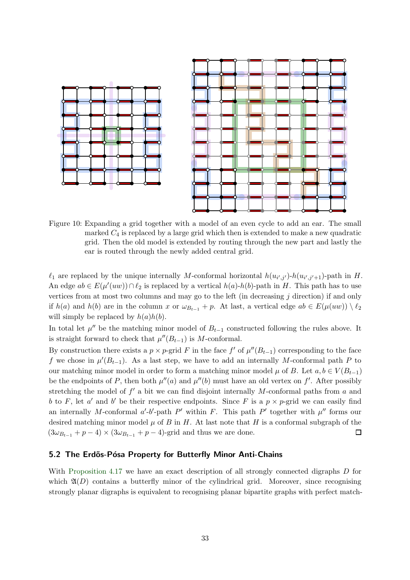<span id="page-32-1"></span>



Figure 10: Expanding a grid together with a model of an even cycle to add an ear. The small marked  $C_4$  is replaced by a large grid which then is extended to make a new quadratic grid. Then the old model is extended by routing through the new part and lastly the ear is routed through the newly added central grid.

 $\ell_1$  are replaced by the unique internally M-conformal horizontal  $h(u_{i',j'})\cdot h(u_{i',j'+1})\cdot \text{path in } H$ . An edge  $ab \in E(\mu'(uw)) \cap \ell_2$  is replaced by a vertical  $h(a)$ - $h(b)$ -path in H. This path has to use vertices from at most two columns and may go to the left (in decreasing  $j$  direction) if and only if  $h(a)$  and  $h(b)$  are in the column x or  $\omega_{B_{t-1}} + p$ . At last, a vertical edge  $ab \in E(\mu(uw)) \setminus \ell_2$ will simply be replaced by  $h(a)h(b)$ .

In total let  $\mu''$  be the matching minor model of  $B_{t-1}$  constructed following the rules above. It is straight forward to check that  $\mu''(B_{t-1})$  is M-conformal.

By construction there exists a  $p \times p$ -grid F in the face f' of  $\mu''(B_{t-1})$  corresponding to the face f we chose in  $\mu'(B_{t-1})$ . As a last step, we have to add an internally M-conformal path P to our matching minor model in order to form a matching minor model  $\mu$  of B. Let  $a, b \in V(B_{t-1})$ be the endpoints of P, then both  $\mu''(a)$  and  $\mu''(b)$  must have an old vertex on f'. After possibly stretching the model of  $f'$  a bit we can find disjoint internally M-conformal paths from  $a$  and b to F, let a' and b' be their respective endpoints. Since F is a  $p \times p$ -grid we can easily find an internally M-conformal  $a'-b'$ -path P' within F. This path P' together with  $\mu''$  forms our desired matching minor model  $\mu$  of B in H. At last note that H is a conformal subgraph of the  $(3\omega_{B_{t-1}} + p - 4) \times (3\omega_{B_{t-1}} + p - 4)$ -grid and thus we are done.  $\Box$ 

#### <span id="page-32-0"></span>5.2 The Erdős-Pósa Property for Butterfly Minor Anti-Chains

With [Proposition 4.17](#page-25-1) we have an exact description of all strongly connected digraphs D for which  $\mathfrak{A}(D)$  contains a butterfly minor of the cylindrical grid. Moreover, since recognising strongly planar digraphs is equivalent to recognising planar bipartite graphs with perfect match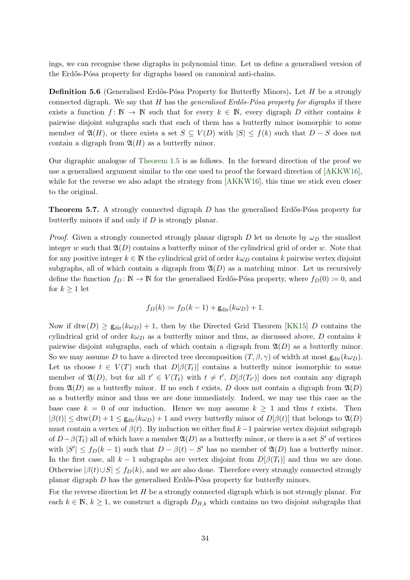ings, we can recognise these digraphs in polynomial time. Let us define a generalised version of the Erdős-Pósa property for digraphs based on canonical anti-chains.

**Definition 5.6** (Generalised Erdős-Pósa Property for Butterfly Minors). Let  $H$  be a strongly connected digraph. We say that H has the *generalised Erdős-Pósa property for digraphs* if there exists a function  $f: \mathbb{N} \to \mathbb{N}$  such that for every  $k \in \mathbb{N}$ , every digraph D either contains k pairwise disjoint subgraphs such that each of them has a butterfly minor isomorphic to some member of  $\mathfrak{A}(H)$ , or there exists a set  $S \subseteq V(D)$  with  $|S| \leq f(k)$  such that  $D-S$  does not contain a digraph from  $\mathfrak{A}(H)$  as a butterfly minor.

Our digraphic analogue of [Theorem 1.5](#page-3-0) is as follows. In the forward direction of the proof we use a generalised argument similar to the one used to proof the forward direction of [\[AKKW16\]](#page-52-4), while for the reverse we also adapt the strategy from [\[AKKW16\]](#page-52-4), this time we stick even closer to the original.

<span id="page-33-0"></span>**Theorem 5.7.** A strongly connected digraph  $D$  has the generalised Erdős-Pósa property for butterfly minors if and only if D is strongly planar.

*Proof.* Given a strongly connected strongly planar digraph D let us denote by  $\omega_D$  the smallest integer w such that  $\mathfrak{A}(D)$  contains a butterfly minor of the cylindrical grid of order w. Note that for any positive integer  $k \in \mathbb{N}$  the cylindrical grid of order  $k\omega_D$  contains k pairwise vertex disjoint subgraphs, all of which contain a digraph from  $\mathfrak{A}(D)$  as a matching minor. Let us recursively define the function  $f_D \colon \mathbb{N} \to \mathbb{N}$  for the generalised Erdős-Pósa property, where  $f_D(0) \coloneqq 0$ , and for  $k \geq 1$  let

$$
f_D(k) := f_D(k-1) + \mathsf{g}_{\text{dir}}(k\omega_D) + 1.
$$

Now if  $\text{dtw}(D) \geq \text{g}_{\text{dir}}(k\omega_D) + 1$ , then by the Directed Grid Theorem [\[KK15\]](#page-53-15) D contains the cylindrical grid of order  $k\omega_D$  as a butterfly minor and thus, as discussed above, D contains k pairwise disjoint subgraphs, each of which contain a digraph from  $\mathfrak{A}(D)$  as a butterfly minor. So we may assume D to have a directed tree decomposition  $(T, \beta, \gamma)$  of width at most  $g_{\text{dir}}(k\omega_D)$ . Let us choose  $t \in V(T)$  such that  $D[\beta(T_t)]$  contains a butterfly minor isomorphic to some member of  $\mathfrak{A}(D)$ , but for all  $t' \in V(T_t)$  with  $t \neq t'$ ,  $D[\beta(T_{t'})]$  does not contain any digraph from  $\mathfrak{A}(D)$  as a butterfly minor. If no such t exists, D does not contain a digraph from  $\mathfrak{A}(D)$ as a butterfly minor and thus we are done immediately. Indeed, we may use this case as the base case  $k = 0$  of our induction. Hence we may assume  $k \geq 1$  and thus t exists. Then  $|\beta(t)| \leq \text{dtw}(D) + 1 \leq \text{g}_{\text{dir}}(k\omega_D) + 1$  and every butterfly minor of  $D[\beta(t)]$  that belongs to  $\mathfrak{A}(D)$ must contain a vertex of  $\beta(t)$ . By induction we either find k−1 pairwise vertex disjoint subgraph of  $D-\beta(T_t)$  all of which have a member  $\mathfrak{A}(D)$  as a butterfly minor, or there is a set S' of vertices with  $|S'| \le f_D(k-1)$  such that  $D - \beta(t) - S'$  has no member of  $\mathfrak{A}(D)$  has a butterfly minor. In the first case, all  $k - 1$  subgraphs are vertex disjoint from  $D[\beta(T_t)]$  and thus we are done. Otherwise  $|\beta(t) \cup S| \le f_D(k)$ , and we are also done. Therefore every strongly connected strongly planar digraph  $D$  has the generalised Erdős-Pósa property for butterfly minors.

For the reverse direction let  $H$  be a strongly connected digraph which is not strongly planar. For each  $k \in \mathbb{N}, k \ge 1$ , we construct a digraph  $D_{H,k}$  which contains no two disjoint subgraphs that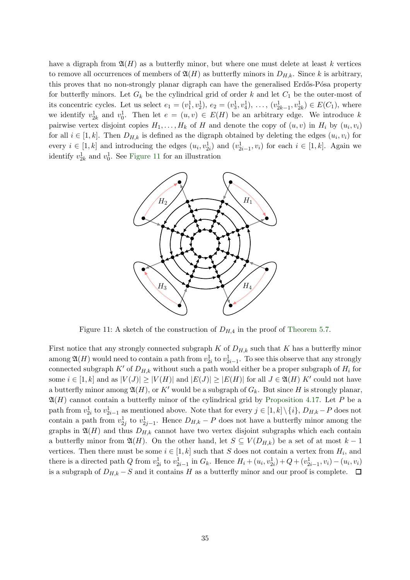have a digraph from  $\mathfrak{A}(H)$  as a butterfly minor, but where one must delete at least k vertices to remove all occurrences of members of  $\mathfrak{A}(H)$  as butterfly minors in  $D_{H,k}$ . Since k is arbitrary, this proves that no non-strongly planar digraph can have the generalised Erdős-Pósa property for butterfly minors. Let  $G_k$  be the cylindrical grid of order k and let  $C_1$  be the outer-most of its concentric cycles. Let us select  $e_1 = (v_1^1, v_2^1), e_2 = (v_3^1, v_4^1), \ldots, (v_{2k-1}^1, v_{2k}^1) \in E(C_1)$ , where we identify  $v_{2k}^1$  and  $v_0^1$ . Then let  $e = (u, v) \in E(H)$  be an arbitrary edge. We introduce k pairwise vertex disjoint copies  $H_1, \ldots, H_k$  of H and denote the copy of  $(u, v)$  in  $H_i$  by  $(u_i, v_i)$ for all  $i \in [1, k]$ . Then  $D_{H,k}$  is defined as the digraph obtained by deleting the edges  $(u_i, v_i)$  for every  $i \in [1, k]$  and introducing the edges  $(u_i, v_{2i}^1)$  and  $(v_{2i-1}^1, v_i)$  for each  $i \in [1, k]$ . Again we identify  $v_{2k}^1$  and  $v_0^1$ . See [Figure 11](#page-34-0) for an illustration

<span id="page-34-0"></span>

Figure 11: A sketch of the construction of  $D_{H,4}$  in the proof of [Theorem 5.7.](#page-33-0)

First notice that any strongly connected subgraph K of  $D_{H,k}$  such that K has a butterfly minor among  $\mathfrak{A}(H)$  would need to contain a path from  $v_{2i}^1$  to  $v_{2i-1}^1$ . To see this observe that any strongly connected subgraph  $K'$  of  $D_{H,k}$  without such a path would either be a proper subgraph of  $H_i$  for some  $i \in [1, k]$  and as  $|V(J)| \geq |V(H)|$  and  $|E(J)| \geq |E(H)|$  for all  $J \in \mathfrak{A}(H)$  K' could not have a butterfly minor among  $\mathfrak{A}(H)$ , or K' would be a subgraph of  $G_k$ . But since H is strongly planar,  $\mathfrak{A}(H)$  cannot contain a butterfly minor of the cylindrical grid by [Proposition 4.17.](#page-25-1) Let P be a path from  $v_{2i}^1$  to  $v_{2i-1}^1$  as mentioned above. Note that for every  $j \in [1,k] \setminus \{i\}$ ,  $D_{H,k} - P$  does not contain a path from  $v_{2j}^1$  to  $v_{2j-1}^1$ . Hence  $D_{H,k} - P$  does not have a butterfly minor among the graphs in  $\mathfrak{A}(H)$  and thus  $D_{H,k}$  cannot have two vertex disjoint subgraphs which each contain a butterfly minor from  $\mathfrak{A}(H)$ . On the other hand, let  $S \subseteq V(D_{HK})$  be a set of at most  $k-1$ vertices. Then there must be some  $i \in [1, k]$  such that S does not contain a vertex from  $H_i$ , and there is a directed path Q from  $v_{2i}^1$  to  $v_{2i-1}^1$  in  $G_k$ . Hence  $H_i + (u_i, v_{2i}^1) + Q + (v_{2i-1}^1, v_i) - (u_i, v_i)$ is a subgraph of  $D_{H,k} - S$  and it contains H as a butterfly minor and our proof is complete.  $\Box$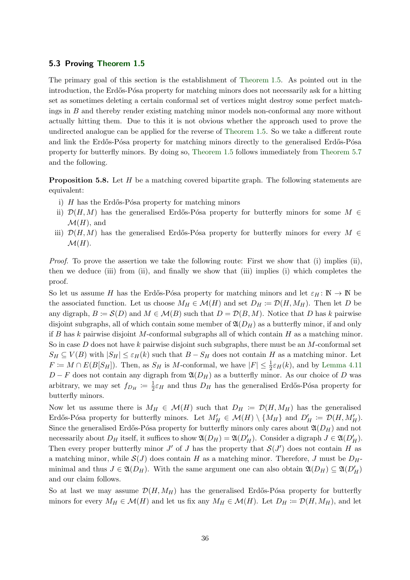#### 5.3 Proving [Theorem 1.5](#page-3-0)

The primary goal of this section is the establishment of [Theorem 1.5.](#page-3-0) As pointed out in the introduction, the Erdős-Pósa property for matching minors does not necessarily ask for a hitting set as sometimes deleting a certain conformal set of vertices might destroy some perfect matchings in B and thereby render existing matching minor models non-conformal any more without actually hitting them. Due to this it is not obvious whether the approach used to prove the undirected analogue can be applied for the reverse of [Theorem 1.5.](#page-3-0) So we take a different route and link the Erdős-Pósa property for matching minors directly to the generalised Erdős-Pósa property for butterfly minors. By doing so, [Theorem 1.5](#page-3-0) follows immediately from [Theorem 5.7](#page-33-0) and the following.

**Proposition 5.8.** Let H be a matching covered bipartite graph. The following statements are equivalent:

- i)  $H$  has the Erdős-Pósa property for matching minors
- ii)  $\mathcal{D}(H, M)$  has the generalised Erdős-Pósa property for butterfly minors for some  $M \in$  $\mathcal{M}(H)$ , and
- iii)  $\mathcal{D}(H, M)$  has the generalised Erdős-Pósa property for butterfly minors for every  $M \in$  $\mathcal{M}(H)$ .

Proof. To prove the assertion we take the following route: First we show that (i) implies (ii), then we deduce (iii) from (ii), and finally we show that (iii) implies (i) which completes the proof.

So let us assume H has the Erdős-Pósa property for matching minors and let  $\varepsilon_H : \mathbb{N} \to \mathbb{N}$  be the associated function. Let us choose  $M_H \in \mathcal{M}(H)$  and set  $D_H := \mathcal{D}(H, M_H)$ . Then let D be any digraph,  $B := \mathcal{S}(D)$  and  $M \in \mathcal{M}(B)$  such that  $D = \mathcal{D}(B, M)$ . Notice that D has k pairwise disjoint subgraphs, all of which contain some member of  $\mathfrak{A}(D_H)$  as a butterfly minor, if and only if B has k pairwise disjoint M-conformal subgraphs all of which contain H as a matching minor. So in case  $D$  does not have  $k$  pairwise disjoint such subgraphs, there must be an  $M$ -conformal set  $S_H \subseteq V(B)$  with  $|S_H| \leq \varepsilon_H(k)$  such that  $B-S_H$  does not contain H as a matching minor. Let  $F \coloneqq M \cap E(B[S_H])$ . Then, as  $S_H$  is M-conformal, we have  $|F| \leq \frac{1}{2} \varepsilon_H(k)$ , and by [Lemma 4.11](#page-22-0)  $D - F$  does not contain any digraph from  $\mathfrak{A}(D_H)$  as a butterfly minor. As our choice of D was arbitrary, we may set  $f_{D_H} := \frac{1}{2}$  $\frac{1}{2}\varepsilon_H$  and thus  $D_H$  has the generalised Erdős-Pósa property for butterfly minors.

Now let us assume there is  $M_H \in \mathcal{M}(H)$  such that  $D_H := \mathcal{D}(H, M_H)$  has the generalised Erdős-Pósa property for butterfly minors. Let  $M'_H \in \mathcal{M}(H) \setminus \{M_H\}$  and  $D'_H := \mathcal{D}(H, M'_H)$ . Since the generalised Erdős-Pósa property for butterfly minors only cares about  $\mathfrak{A}(D_H)$  and not necessarily about  $D_H$  itself, it suffices to show  $\mathfrak{A}(D_H) = \mathfrak{A}(D'_H)$ . Consider a digraph  $J \in \mathfrak{A}(D'_H)$ . Then every proper butterfly minor  $J'$  of  $J$  has the property that  $\mathcal{S}(J')$  does not contain  $H$  as a matching minor, while  $S(J)$  does contain H as a matching minor. Therefore, J must be  $D_H$ minimal and thus  $J \in \mathfrak{A}(D_H)$ . With the same argument one can also obtain  $\mathfrak{A}(D_H) \subseteq \mathfrak{A}(D'_H)$ and our claim follows.

So at last we may assume  $\mathcal{D}(H, M_H)$  has the generalised Erdős-Pósa property for butterfly minors for every  $M_H \in \mathcal{M}(H)$  and let us fix any  $M_H \in \mathcal{M}(H)$ . Let  $D_H \coloneqq \mathcal{D}(H, M_H)$ , and let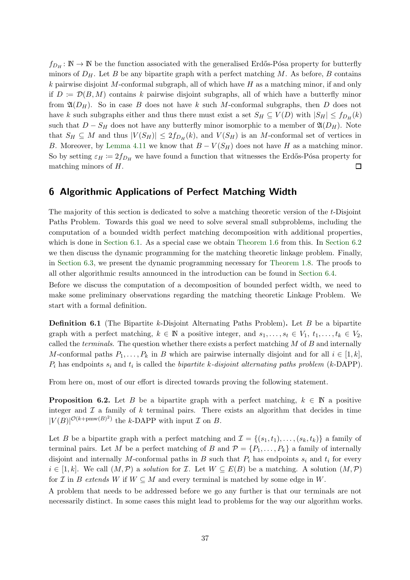$f_{D_H}: \mathbb{N} \to \mathbb{N}$  be the function associated with the generalised Erdős-Pósa property for butterfly minors of  $D_H$ . Let B be any bipartite graph with a perfect matching M. As before, B contains k pairwise disjoint M-conformal subgraph, all of which have  $H$  as a matching minor, if and only if  $D := \mathcal{D}(B, M)$  contains k pairwise disjoint subgraphs, all of which have a butterfly minor from  $\mathfrak{A}(D_H)$ . So in case B does not have k such M-conformal subgraphs, then D does not have k such subgraphs either and thus there must exist a set  $S_H \subseteq V(D)$  with  $|S_H| \le f_{D_H}(k)$ such that  $D-S_H$  does not have any butterfly minor isomorphic to a member of  $\mathfrak{A}(D_H)$ . Note that  $S_H \subseteq M$  and thus  $|V(S_H)| \leq 2f_{D_H}(k)$ , and  $V(S_H)$  is an M-conformal set of vertices in B. Moreover, by [Lemma 4.11](#page-22-0) we know that  $B - V(S_H)$  does not have H as a matching minor. So by setting  $\varepsilon_H := 2f_{D_H}$  we have found a function that witnesses the Erdős-Pósa property for matching minors of H.  $\Box$ 

### <span id="page-36-0"></span>6 Algorithmic Applications of Perfect Matching Width

The majority of this section is dedicated to solve a matching theoretic version of the t-Disjoint Paths Problem. Towards this goal we need to solve several small subproblems, including the computation of a bounded width perfect matching decomposition with additional properties, which is done in [Section 6.1.](#page-38-0) As a special case we obtain [Theorem 1.6](#page-4-1) from this. In [Section 6.2](#page-43-0) we then discuss the dynamic programming for the matching theoretic linkage problem. Finally, in [Section 6.3,](#page-49-0) we present the dynamic programming necessary for [Theorem 1.8.](#page-4-2) The proofs to all other algorithmic results announced in the introduction can be found in [Section 6.4.](#page-50-0)

Before we discuss the computation of a decomposition of bounded perfect width, we need to make some preliminary observations regarding the matching theoretic Linkage Problem. We start with a formal definition.

**Definition 6.1** (The Bipartite k-Disjoint Alternating Paths Problem). Let B be a bipartite graph with a perfect matching,  $k \in \mathbb{N}$  a positive integer, and  $s_1, \ldots, s_t \in V_1, t_1, \ldots, t_k \in V_2$ , called the *terminals*. The question whether there exists a perfect matching  $M$  of  $B$  and internally M-conformal paths  $P_1, \ldots, P_k$  in B which are pairwise internally disjoint and for all  $i \in [1, k]$ ,  $P_i$  has endpoints  $s_i$  and  $t_i$  is called the *bipartite k-disjoint alternating paths problem* (*k*-DAPP).

<span id="page-36-1"></span>From here on, most of our effort is directed towards proving the following statement.

**Proposition 6.2.** Let B be a bipartite graph with a perfect matching,  $k \in \mathbb{N}$  a positive integer and  $\mathcal I$  a family of  $k$  terminal pairs. There exists an algorithm that decides in time  $|V(B)|^{\mathcal{O}(k+\text{pmw}(B)^2)}$  the k-DAPP with input  $\mathcal I$  on  $B$ .

Let B be a bipartite graph with a perfect matching and  $\mathcal{I} = \{(s_1, t_1), \ldots, (s_k, t_k)\}\$  a family of terminal pairs. Let M be a perfect matching of B and  $\mathcal{P} = \{P_1, \ldots, P_k\}$  a family of internally disjoint and internally M-conformal paths in B such that  $P_i$  has endpoints  $s_i$  and  $t_i$  for every  $i \in [1, k]$ . We call  $(M, \mathcal{P})$  a solution for *I*. Let  $W \subseteq E(B)$  be a matching. A solution  $(M, \mathcal{P})$ for I in B extends W if  $W \subseteq M$  and every terminal is matched by some edge in W.

A problem that needs to be addressed before we go any further is that our terminals are not necessarily distinct. In some cases this might lead to problems for the way our algorithm works.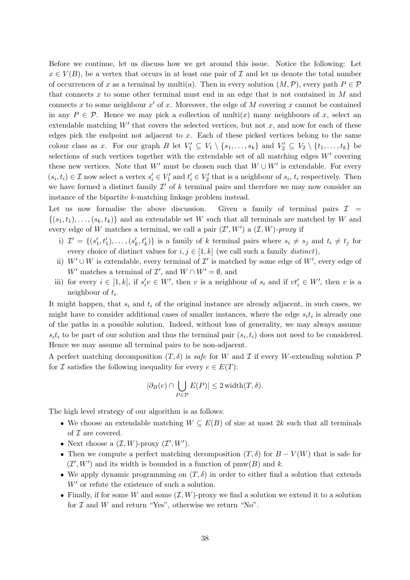Before we continue, let us discuss how we get around this issue. Notice the following: Let  $x \in V(B)$ , be a vertex that occurs in at least one pair of  $\mathcal I$  and let us denote the total number of occurrences of x as a terminal by multi(a). Then in every solution  $(M, \mathcal{P})$ , every path  $P \in \mathcal{P}$ that connects x to some other terminal must end in an edge that is not contained in  $M$  and connects x to some neighbour  $x'$  of x. Moreover, the edge of M covering x cannot be contained in any  $P \in \mathcal{P}$ . Hence we may pick a collection of multi(x) many neighbours of x, select an extendable matching  $W'$  that covers the selected vertices, but not  $x$ , and now for each of these edges pick the endpoint not adjacent to  $x$ . Each of these picked vertices belong to the same colour class as x. For our graph B let  $V'_1 \subseteq V_1 \setminus \{s_1, \ldots, s_k\}$  and  $V'_2 \subseteq V_2 \setminus \{t_1, \ldots, t_k\}$  be selections of such vertices together with the extendable set of all matching edges  $W'$  covering these new vertices. Note that W' must be chosen such that  $W \cup W'$  is extendable. For every  $(s_i, t_i) \in \mathcal{I}$  now select a vertex  $s'_i \in V'_1$  and  $t'_i \in V'_2$  that is a neighbour of  $s_i$ ,  $t_i$  respectively. Then we have formed a distinct family  $\mathcal{I}'$  of k terminal pairs and therefore we may now consider an instance of the bipartite k-matching linkage problem instead.

Let us now formalise the above discussion. Given a family of terminal pairs  $\mathcal{I}$  =  $\{(s_1,t_1),\ldots,(s_k,t_k)\}\$ and an extendable set W such that all terminals are matched by W and every edge of W matches a terminal, we call a pair  $(\mathcal{I}', W')$  a  $(\mathcal{I}, W')$ -proxy if

- i)  $\mathcal{I}' = \{(s'_1, t'_1), \ldots, (s'_k, t'_k)\}\$ is a family of k terminal pairs where  $s_i \neq s_j$  and  $t_i \neq t_j$  for every choice of distinct values for  $i, j \in [1, k]$  (we call such a family *distinct*),
- ii)  $W' \cup W$  is extendable, every terminal of  $\mathcal{I}'$  is matched by some edge of  $W'$ , every edge of W' matches a terminal of  $\mathcal{I}'$ , and  $W \cap W' = \emptyset$ , and
- iii) for every  $i \in [1, k]$ , if  $s'_i v \in W'$ , then v is a neighbour of  $s_i$  and if  $vt'_i \in W'$ , then v is a neighbour of  $t_i$ .

It might happen, that  $s_i$  and  $t_i$  of the original instance are already adjacent, in such cases, we might have to consider additional cases of smaller instances, where the edge  $s_i t_i$  is already one of the paths in a possible solution. Indeed, without loss of generality, we may always assume  $s_i t_i$  to be part of our solution and thus the terminal pair  $(s_i, t_i)$  does not need to be considered. Hence we may assume all terminal pairs to be non-adjacent.

A perfect matching decomposition  $(T, \delta)$  is safe for W and I if every W-extending solution P for  $\mathcal I$  satisfies the following inequality for every  $e \in E(T)$ :

$$
|\partial_B(e) \cap \bigcup_{P \in \mathcal{P}} E(P)| \le 2 \operatorname{width}(T, \delta).
$$

The high level strategy of our algorithm is as follows:

- We choose an extendable matching  $W \subseteq E(B)$  of size at most 2k such that all terminals of  $\mathcal I$  are covered.
- Next choose a  $(\mathcal{I}, W)$ -proxy  $(\mathcal{I}', W')$ .
- Then we compute a perfect matching decomposition  $(T, \delta)$  for  $B V(W)$  that is safe for  $(\mathcal{I}', W')$  and its width is bounded in a function of pmw(B) and k.
- We apply dynamic programming on  $(T, \delta)$  in order to either find a solution that extends  $W'$  or refute the existence of such a solution.
- Finally, if for some W and some  $(\mathcal{I}, W)$ -proxy we find a solution we extend it to a solution for  $\mathcal I$  and  $W$  and return "Yes", otherwise we return "No".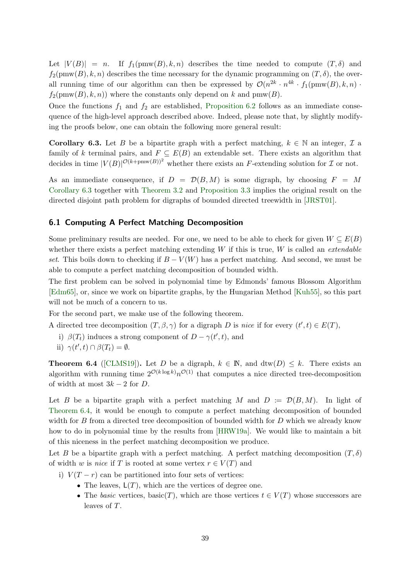Let  $|V(B)| = n$ . If  $f_1(pmw(B), k, n)$  describes the time needed to compute  $(T, \delta)$  and  $f_2(pmw(B), k, n)$  describes the time necessary for the dynamic programming on  $(T, \delta)$ , the overall running time of our algorithm can then be expressed by  $\mathcal{O}(n^{2k} \cdot n^{4k} \cdot f_1(\text{pmw}(B), k, n) \cdot$  $f_2(pmw(B), k, n)$  where the constants only depend on k and pmw(B).

Once the functions  $f_1$  and  $f_2$  are established, [Proposition 6.2](#page-36-1) follows as an immediate consequence of the high-level approach described above. Indeed, please note that, by slightly modifying the proofs below, one can obtain the following more general result:

<span id="page-38-1"></span>**Corollary 6.3.** Let B be a bipartite graph with a perfect matching,  $k \in \mathbb{N}$  an integer,  $\mathcal{I}$  a family of k terminal pairs, and  $F \subseteq E(B)$  an extendable set. There exists an algorithm that decides in time  $|V(B)|^{\mathcal{O}(k+\text{pmw}(B))^2}$  whether there exists an F-extending solution for  $\mathcal I$  or not.

As an immediate consequence, if  $D = \mathcal{D}(B, M)$  is some digraph, by choosing  $F = M$ [Corollary 6.3](#page-38-1) together with [Theorem 3.2](#page-17-0) and [Proposition 3.3](#page-17-3) implies the original result on the directed disjoint path problem for digraphs of bounded directed treewidth in [\[JRST01\]](#page-53-12).

### <span id="page-38-0"></span>6.1 Computing A Perfect Matching Decomposition

Some preliminary results are needed. For one, we need to be able to check for given  $W \subseteq E(B)$ whether there exists a perfect matching extending  $W$  if this is true,  $W$  is called an *extendable* set. This boils down to checking if  $B - V(W)$  has a perfect matching. And second, we must be able to compute a perfect matching decomposition of bounded width.

The first problem can be solved in polynomial time by Edmonds' famous Blossom Algorithm [\[Edm65\]](#page-52-12), or, since we work on bipartite graphs, by the Hungarian Method [\[Kuh55\]](#page-53-19), so this part will not be much of a concern to us.

For the second part, we make use of the following theorem.

A directed tree decomposition  $(T, \beta, \gamma)$  for a digraph D is nice if for every  $(t', t) \in E(T)$ ,

i)  $\beta(T_t)$  induces a strong component of  $D - \gamma(t', t)$ , and

<span id="page-38-2"></span>ii) 
$$
\gamma(t',t) \cap \beta(T_t) = \emptyset
$$
.

**Theorem 6.4** ([\[CLMS19\]](#page-52-13)). Let D be a digraph,  $k \in \mathbb{N}$ , and  $\text{dtw}(D) \leq k$ . There exists an algorithm with running time  $2^{\mathcal{O}(k \log k)} n^{\mathcal{O}(1)}$  that computes a nice directed tree-decomposition of width at most  $3k - 2$  for D.

Let B be a bipartite graph with a perfect matching M and  $D := \mathcal{D}(B, M)$ . In light of [Theorem 6.4,](#page-38-2) it would be enough to compute a perfect matching decomposition of bounded width for B from a directed tree decomposition of bounded width for D which we already know how to do in polynomial time by the results from [\[HRW19a\]](#page-52-1). We would like to maintain a bit of this niceness in the perfect matching decomposition we produce.

Let B be a bipartite graph with a perfect matching. A perfect matching decomposition  $(T, \delta)$ of width w is nice if T is rooted at some vertex  $r \in V(T)$  and

- i)  $V(T r)$  can be partitioned into four sets of vertices:
	- The leaves,  $L(T)$ , which are the vertices of degree one.
	- The basic vertices, basic(T), which are those vertices  $t \in V(T)$  whose successors are leaves of T.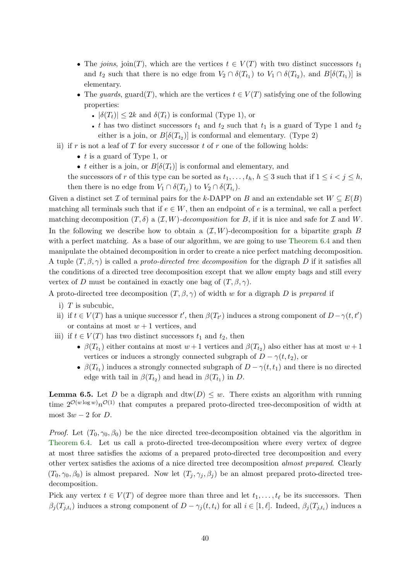- The joins, join(T), which are the vertices  $t \in V(T)$  with two distinct successors  $t_1$ and  $t_2$  such that there is no edge from  $V_2 \cap \delta(T_{t_1})$  to  $V_1 \cap \delta(T_{t_2})$ , and  $B[\delta(T_{t_1})]$  is elementary.
- The guards, guard(T), which are the vertices  $t \in V(T)$  satisfying one of the following properties:
	- $|\delta(T_t)| \leq 2k$  and  $\delta(T_t)$  is conformal (Type 1), or
	- t has two distinct successors  $t_1$  and  $t_2$  such that  $t_1$  is a guard of Type 1 and  $t_2$ either is a join, or  $B[\delta(T_{t_2})]$  is conformal and elementary. (Type 2)
- ii) if r is not a leaf of T for every successor t of r one of the following holds:
	- $t$  is a guard of Type 1, or
	- t either is a join, or  $B[\delta(T_t)]$  is conformal and elementary, and

the successors of r of this type can be sorted as  $t_1, \ldots, t_h, h \leq 3$  such that if  $1 \leq i < j \leq h$ , then there is no edge from  $V_1 \cap \delta(T_{t_j})$  to  $V_2 \cap \delta(T_{t_i})$ .

Given a distinct set  $\mathcal I$  of terminal pairs for the k-DAPP on B and an extendable set  $W \subseteq E(B)$ matching all terminals such that if  $e \in W$ , then an endpoint of e is a terminal, we call a perfect matching decomposition  $(T, \delta)$  a  $(\mathcal{I}, W)$ -decomposition for B, if it is nice and safe for  $\mathcal I$  and W. In the following we describe how to obtain a  $(\mathcal{I}, W)$ -decomposition for a bipartite graph B with a perfect matching. As a base of our algorithm, we are going to use [Theorem 6.4](#page-38-2) and then manipulate the obtained decomposition in order to create a nice perfect matching decomposition. A tuple  $(T, \beta, \gamma)$  is called a proto-directed tree decomposition for the digraph D if it satisfies all the conditions of a directed tree decomposition except that we allow empty bags and still every vertex of D must be contained in exactly one bag of  $(T, \beta, \gamma)$ .

A proto-directed tree decomposition  $(T, \beta, \gamma)$  of width w for a digraph D is prepared if

- i)  $T$  is subcubic,
- ii) if  $t \in V(T)$  has a unique successor  $t'$ , then  $\beta(T_{t'})$  induces a strong component of  $D-\gamma(t,t')$ or contains at most  $w + 1$  vertices, and
- iii) if  $t \in V(T)$  has two distinct successors  $t_1$  and  $t_2$ , then
	- $\beta(T_{t_1})$  either contains at most  $w+1$  vertices and  $\beta(T_{t_2})$  also either has at most  $w+1$ vertices or induces a strongly connected subgraph of  $D - \gamma(t, t_2)$ , or
	- $\beta(T_{t_1})$  induces a strongly connected subgraph of  $D \gamma(t, t_1)$  and there is no directed edge with tail in  $\beta(T_{t_2})$  and head in  $\beta(T_{t_1})$  in D.

<span id="page-39-0"></span>**Lemma 6.5.** Let D be a digraph and  $\text{dtw}(D) \leq w$ . There exists an algorithm with running time  $2^{\mathcal{O}(w \log w)} n^{\mathcal{O}(1)}$  that computes a prepared proto-directed tree-decomposition of width at most  $3w - 2$  for D.

*Proof.* Let  $(T_0, \gamma_0, \beta_0)$  be the nice directed tree-decomposition obtained via the algorithm in [Theorem 6.4.](#page-38-2) Let us call a proto-directed tree-decomposition where every vertex of degree at most three satisfies the axioms of a prepared proto-directed tree decomposition and every other vertex satisfies the axioms of a nice directed tree decomposition almost prepared. Clearly  $(T_0, \gamma_0, \beta_0)$  is almost prepared. Now let  $(T_j, \gamma_j, \beta_j)$  be an almost prepared proto-directed treedecomposition.

Pick any vertex  $t \in V(T)$  of degree more than three and let  $t_1, \ldots, t_\ell$  be its successors. Then  $\beta_j(T_{j,t_i})$  induces a strong component of  $D-\gamma_j(t,t_i)$  for all  $i \in [1,\ell]$ . Indeed,  $\beta_j(T_{j,t_i})$  induces a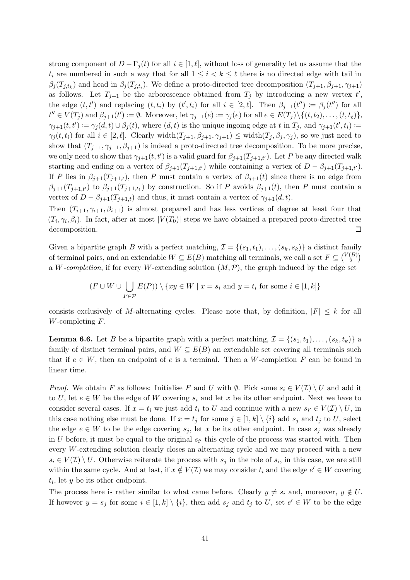strong component of  $D - \Gamma_i(t)$  for all  $i \in [1, \ell],$  without loss of generality let us assume that the  $t_i$  are numbered in such a way that for all  $1 \leq i \leq k \leq \ell$  there is no directed edge with tail in  $\beta_j(T_{j,t_k})$  and head in  $\beta_j(T_{j,t_i})$ . We define a proto-directed tree decomposition  $(T_{j+1}, \beta_{j+1}, \gamma_{j+1})$ as follows. Let  $T_{j+1}$  be the arborescence obtained from  $T_j$  by introducing a new vertex  $t'$ , the edge  $(t, t')$  and replacing  $(t, t_i)$  by  $(t', t_i)$  for all  $i \in [2, \ell]$ . Then  $\beta_{j+1}(t'') \coloneqq \beta_j(t'')$  for all  $t'' \in V(T_j)$  and  $\beta_{j+1}(t') \coloneqq \emptyset$ . Moreover, let  $\gamma_{j+1}(e) \coloneqq \gamma_j(e)$  for all  $e \in E(T_j) \setminus \{(t, t_2), \dots, (t, t_\ell)\},$  $\gamma_{j+1}(t,t') \coloneqq \gamma_j(d,t) \cup \beta_j(t)$ , where  $(d,t)$  is the unique ingoing edge at t in  $T_j$ , and  $\gamma_{j+1}(t',t_i) \coloneqq$  $\gamma_i(t, t_i)$  for all  $i \in [2, \ell]$ . Clearly width $(T_{j+1}, \beta_{j+1}, \gamma_{j+1}) \leq \text{width}(T_j, \beta_j, \gamma_j)$ , so we just need to show that  $(T_{j+1}, \gamma_{j+1}, \beta_{j+1})$  is indeed a proto-directed tree decomposition. To be more precise, we only need to show that  $\gamma_{j+1}(t, t')$  is a valid guard for  $\beta_{j+1}(T_{j+1,t'})$ . Let P be any directed walk starting and ending on a vertex of  $\beta_{j+1}(T_{j+1,t'})$  while containing a vertex of  $D - \beta_{j+1}(T_{j+1,t'})$ . If P lies in  $\beta_{j+1}(T_{j+1,t})$ , then P must contain a vertex of  $\beta_{j+1}(t)$  since there is no edge from  $\beta_{j+1}(T_{j+1,t'})$  to  $\beta_{j+1}(T_{j+1,t})$  by construction. So if P avoids  $\beta_{j+1}(t)$ , then P must contain a vertex of  $D - \beta_{j+1}(T_{j+1,t})$  and thus, it must contain a vertex of  $\gamma_{j+1}(d,t)$ .

Then  $(T_{i+1}, \gamma_{i+1}, \beta_{i+1})$  is almost prepared and has less vertices of degree at least four that  $(T_i, \gamma_i, \beta_i)$ . In fact, after at most  $|V(T_0)|$  steps we have obtained a prepared proto-directed tree decomposition.  $\Box$ 

Given a bipartite graph B with a perfect matching,  $\mathcal{I} = \{(s_1, t_1), \ldots, (s_k, s_k)\}\$  a distinct family of terminal pairs, and an extendable  $W \subseteq E(B)$  matching all terminals, we call a set  $F \subseteq {V(B) \choose 2}$  $\binom{B}{2}$ a W-completion, if for every W-extending solution  $(M, \mathcal{P})$ , the graph induced by the edge set

$$
(F \cup W \cup \bigcup_{P \in \mathcal{P}} E(P)) \setminus \{xy \in W \mid x = s_i \text{ and } y = t_i \text{ for some } i \in [1, k]\}
$$

consists exclusively of M-alternating cycles. Please note that, by definition,  $|F| \leq k$  for all  $W$ -completing  $F$ .

**Lemma 6.6.** Let B be a bipartite graph with a perfect matching,  $\mathcal{I} = \{(s_1, t_1), \ldots, (s_k, t_k)\}\$ family of distinct terminal pairs, and  $W \subseteq E(B)$  an extendable set covering all terminals such that if  $e \in W$ , then an endpoint of e is a terminal. Then a W-completion F can be found in linear time.

*Proof.* We obtain F as follows: Initialise F and U with  $\emptyset$ . Pick some  $s_i \in V(\mathcal{I}) \setminus U$  and add it to U, let  $e \in W$  be the edge of W covering  $s_i$  and let x be its other endpoint. Next we have to consider several cases. If  $x = t_i$  we just add  $t_i$  to U and continue with a new  $s_{i'} \in V(\mathcal{I}) \setminus U$ , in this case nothing else must be done. If  $x = t_j$  for some  $j \in [1, k] \setminus \{i\}$  add  $s_j$  and  $t_j$  to U, select the edge  $e \in W$  to be the edge covering  $s_j$ , let x be its other endpoint. In case  $s_j$  was already in U before, it must be equal to the original  $s_{i'}$  this cycle of the process was started with. Then every W-extending solution clearly closes an alternating cycle and we may proceed with a new  $s_i \in V(\mathcal{I}) \setminus U$ . Otherwise reiterate the process with  $s_j$  in the role of  $s_i$ , in this case, we are still within the same cycle. And at last, if  $x \notin V(\mathcal{I})$  we may consider  $t_i$  and the edge  $e' \in W$  covering  $t_i$ , let y be its other endpoint.

The process here is rather similar to what came before. Clearly  $y \neq s_i$  and, moreover,  $y \notin U$ . If however  $y = s_j$  for some  $i \in [1, k] \setminus \{i\}$ , then add  $s_j$  and  $t_j$  to U, set  $e' \in W$  to be the edge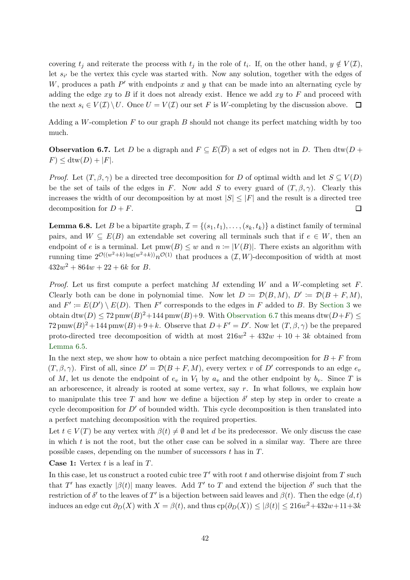covering  $t_j$  and reiterate the process with  $t_j$  in the role of  $t_i$ . If, on the other hand,  $y \notin V(\mathcal{I})$ , let  $s_{i'}$  be the vertex this cycle was started with. Now any solution, together with the edges of W, produces a path  $P'$  with endpoints x and y that can be made into an alternating cycle by adding the edge  $xy$  to B if it does not already exist. Hence we add  $xy$  to F and proceed with the next  $s_i \in V(\mathcal{I}) \setminus U$ . Once  $U = V(\mathcal{I})$  our set F is W-completing by the discussion above.  $\Box$ 

<span id="page-41-0"></span>Adding a W-completion  $F$  to our graph  $B$  should not change its perfect matching width by too much.

**Observation 6.7.** Let D be a digraph and  $F \subseteq E(\overline{D})$  a set of edges not in D. Then dtw(D +  $F$  < dtw(D) + |F|.

*Proof.* Let  $(T, \beta, \gamma)$  be a directed tree decomposition for D of optimal width and let  $S \subseteq V(D)$ be the set of tails of the edges in F. Now add S to every guard of  $(T, \beta, \gamma)$ . Clearly this increases the width of our decomposition by at most  $|S| \leq |F|$  and the result is a directed tree decomposition for  $D + F$ .  $\Box$ 

<span id="page-41-1"></span>**Lemma 6.8.** Let B be a bipartite graph,  $\mathcal{I} = \{(s_1, t_1), \ldots, (s_k, t_k)\}\$  a distinct family of terminal pairs, and  $W \subseteq E(B)$  an extendable set covering all terminals such that if  $e \in W$ , then an endpoint of e is a terminal. Let  $\text{pmw}(B) \leq w$  and  $n := |V(B)|$ . There exists an algorithm with running time  $2^{\mathcal{O}((w^2+k)\log(w^2+k))}n^{\mathcal{O}(1)}$  that produces a  $(\mathcal{I}, W)$ -decomposition of width at most  $432w^2 + 864w + 22 + 6k$  for B.

*Proof.* Let us first compute a perfect matching  $M$  extending  $W$  and a  $W$ -completing set  $F$ . Clearly both can be done in polynomial time. Now let  $D := \mathcal{D}(B, M)$ ,  $D' := \mathcal{D}(B + F, M)$ , and  $F' \coloneqq E(D') \setminus E(D)$ . Then F' corresponds to the edges in F added to B. By [Section 3](#page-16-0) we obtain  $\text{dtw}(D) \leq 72 \text{pmw}(B)^2 + 144 \text{pmw}(B) + 9$ . With [Observation 6.7](#page-41-0) this means  $\text{dtw}(D+F) \leq 72 \text{pmw}(B)^2 + 144 \text{pmw}(B) + 9$ .  $72 \text{pmw}(B)^2 + 144 \text{pmw}(B) + 9 + k$ . Observe that  $D + F' = D'$ . Now let  $(T, \beta, \gamma)$  be the prepared proto-directed tree decomposition of width at most  $216w^2 + 432w + 10 + 3k$  obtained from [Lemma 6.5.](#page-39-0)

In the next step, we show how to obtain a nice perfect matching decomposition for  $B + F$  from  $(T, \beta, \gamma)$ . First of all, since  $D' = \mathcal{D}(B + F, M)$ , every vertex v of D' corresponds to an edge  $e_v$ of M, let us denote the endpoint of  $e_v$  in  $V_1$  by  $a_v$  and the other endpoint by  $b_v$ . Since T is an arborescence, it already is rooted at some vertex, say  $r$ . In what follows, we explain how to manipulate this tree T and how we define a bijection  $\delta'$  step by step in order to create a cycle decomposition for  $D'$  of bounded width. This cycle decomposition is then translated into a perfect matching decomposition with the required properties.

Let  $t \in V(T)$  be any vertex with  $\beta(t) \neq \emptyset$  and let d be its predecessor. We only discuss the case in which  $t$  is not the root, but the other case can be solved in a similar way. There are three possible cases, depending on the number of successors t has in T.

**Case 1:** Vertex  $t$  is a leaf in  $T$ .

In this case, let us construct a rooted cubic tree  $T'$  with root t and otherwise disjoint from T such that T' has exactly  $|\beta(t)|$  many leaves. Add T' to T and extend the bijection  $\delta'$  such that the restriction of  $\delta'$  to the leaves of T' is a bijection between said leaves and  $\beta(t)$ . Then the edge  $(d, t)$ induces an edge cut  $\partial_D(X)$  with  $X = \beta(t)$ , and thus  $\text{cp}(\partial_D(X)) \leq |\beta(t)| \leq 216w^2 + 432w + 11 + 3k$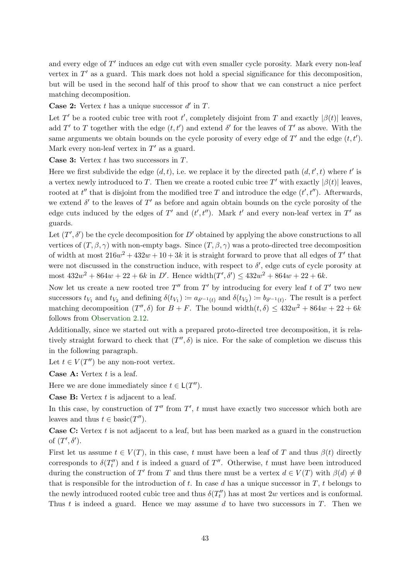and every edge of  $T'$  induces an edge cut with even smaller cycle porosity. Mark every non-leaf vertex in  $T'$  as a guard. This mark does not hold a special significance for this decomposition, but will be used in the second half of this proof to show that we can construct a nice perfect matching decomposition.

**Case 2:** Vertex  $t$  has a unique successor  $d'$  in  $T$ .

Let T' be a rooted cubic tree with root t', completely disjoint from T and exactly  $|\beta(t)|$  leaves, add T' to T together with the edge  $(t, t')$  and extend  $\delta'$  for the leaves of T' as above. With the same arguments we obtain bounds on the cycle porosity of every edge of  $T'$  and the edge  $(t, t')$ . Mark every non-leaf vertex in  $T'$  as a guard.

**Case 3:** Vertex  $t$  has two successors in  $T$ .

Here we first subdivide the edge  $(d, t)$ , i.e. we replace it by the directed path  $(d, t', t)$  where  $t'$  is a vertex newly introduced to T. Then we create a rooted cubic tree T' with exactly  $|\beta(t)|$  leaves, rooted at  $t''$  that is disjoint from the modified tree T and introduce the edge  $(t', t'')$ . Afterwards, we extend  $\delta'$  to the leaves of  $T'$  as before and again obtain bounds on the cycle porosity of the edge cuts induced by the edges of  $T'$  and  $(t', t'')$ . Mark  $t'$  and every non-leaf vertex in  $T'$  as guards.

Let  $(T', \delta')$  be the cycle decomposition for D' obtained by applying the above constructions to all vertices of  $(T, \beta, \gamma)$  with non-empty bags. Since  $(T, \beta, \gamma)$  was a proto-directed tree decomposition of width at most  $216w^2 + 432w + 10 + 3k$  it is straight forward to prove that all edges of T' that were not discussed in the construction induce, with respect to  $\delta'$ , edge cuts of cycle porosity at most  $432w^2 + 864w + 22 + 6k$  in D'. Hence width $(T', \delta') \le 432w^2 + 864w + 22 + 6k$ .

Now let us create a new rooted tree  $T''$  from  $T'$  by introducing for every leaf t of  $T'$  two new successors  $t_{V_1}$  and  $t_{V_2}$  and defining  $\delta(t_{V_1}) := a_{\delta'^{-1}(t)}$  and  $\delta(t_{V_2}) := b_{\delta'^{-1}(t)}$ . The result is a perfect matching decomposition  $(T'', \delta)$  for  $B + F$ . The bound width $(t, \delta) \leq 432w^2 + 864w + 22 + 6k$ follows from [Observation 2.12.](#page-16-1)

Additionally, since we started out with a prepared proto-directed tree decomposition, it is relatively straight forward to check that  $(T'', \delta)$  is nice. For the sake of completion we discuss this in the following paragraph.

Let  $t \in V(T'')$  be any non-root vertex.

**Case A:** Vertex  $t$  is a leaf.

Here we are done immediately since  $t \in L(T'')$ .

**Case B:** Vertex  $t$  is adjacent to a leaf.

In this case, by construction of  $T''$  from  $T'$ , t must have exactly two successor which both are leaves and thus  $t \in \text{basic}(T'')$ .

**Case C:** Vertex  $t$  is not adjacent to a leaf, but has been marked as a guard in the construction of  $(T', \delta').$ 

First let us assume  $t \in V(T)$ , in this case, t must have been a leaf of T and thus  $\beta(t)$  directly corresponds to  $\delta(T''_t)$  and t is indeed a guard of T''. Otherwise, t must have been introduced during the construction of T' from T and thus there must be a vertex  $d \in V(T)$  with  $\beta(d) \neq \emptyset$ that is responsible for the introduction of t. In case d has a unique successor in  $T$ , t belongs to the newly introduced rooted cubic tree and thus  $\delta(T''_t)$  has at most 2w vertices and is conformal. Thus t is indeed a guard. Hence we may assume d to have two successors in  $T$ . Then we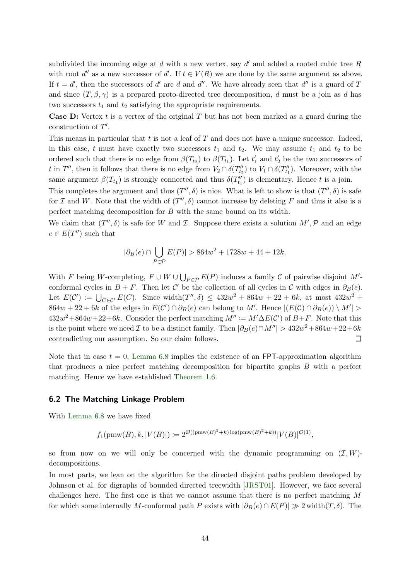subdivided the incoming edge at  $d$  with a new vertex, say  $d'$  and added a rooted cubic tree  $R$ with root  $d''$  as a new successor of  $d'$ . If  $t \in V(R)$  we are done by the same argument as above. If  $t = d'$ , then the successors of d' are d and d''. We have already seen that d'' is a guard of T and since  $(T, \beta, \gamma)$  is a prepared proto-directed tree decomposition, d must be a join as d has two successors  $t_1$  and  $t_2$  satisfying the appropriate requirements.

**Case D:** Vertex t is a vertex of the original T but has not been marked as a guard during the construction of  $T'$ .

This means in particular that  $t$  is not a leaf of  $T$  and does not have a unique successor. Indeed, in this case, t must have exactly two successors  $t_1$  and  $t_2$ . We may assume  $t_1$  and  $t_2$  to be ordered such that there is no edge from  $\beta(T_{t_2})$  to  $\beta(T_{t_1})$ . Let  $t'_1$  and  $t'_2$  be the two successors of t in T'', then it follows that there is no edge from  $V_2 \cap \delta(T''_{t_2})$  to  $V_1 \cap \delta(T''_{t_1})$ . Moreover, with the same argument  $\beta(T_{t_1})$  is strongly connected and thus  $\delta(T''_{t_1})$  is elementary. Hence t is a join.

This completes the argument and thus  $(T'', \delta)$  is nice. What is left to show is that  $(T'', \delta)$  is safe for  $\mathcal I$  and W. Note that the width of  $(T'', \delta)$  cannot increase by deleting F and thus it also is a perfect matching decomposition for B with the same bound on its width.

We claim that  $(T'', \delta)$  is safe for W and *I*. Suppose there exists a solution  $M', \mathcal{P}$  and an edge  $e \in E(T'')$  such that

$$
|\partial_B(e) \cap \bigcup_{P \in \mathcal{P}} E(P)| > 864w^2 + 1728w + 44 + 12k.
$$

With F being W-completing,  $F \cup W \cup \bigcup_{P \in \mathcal{P}} E(P)$  induces a family C of pairwise disjoint M'conformal cycles in  $B + F$ . Then let C' be the collection of all cycles in C with edges in  $\partial_B(e)$ . Let  $E(C') \coloneqq \bigcup_{C \in C'} E(C)$ . Since width $(T'', \delta) \leq 432w^2 + 864w + 22 + 6k$ , at most  $432w^2 +$  $864w + 22 + 6k$  of the edges in  $E(\mathcal{C}') \cap \partial_B(e)$  can belong to M'. Hence  $|(E(\mathcal{C}) \cap \partial_B(e)) \setminus M'| >$  $432w^2+864w+22+6k$ . Consider the perfect matching  $M'' \coloneqq M' \Delta E(C')$  of  $B+F$ . Note that this is the point where we need  $\mathcal I$  to be a distinct family. Then  $|\partial_B(e) \cap M''| > 432w^2 + 864w + 22 + 6k$ contradicting our assumption. So our claim follows.  $\Box$ 

Note that in case  $t = 0$ , [Lemma 6.8](#page-41-1) implies the existence of an FPT-approximation algorithm that produces a nice perfect matching decomposition for bipartite graphs B with a perfect matching. Hence we have established [Theorem 1.6.](#page-4-1)

#### <span id="page-43-0"></span>6.2 The Matching Linkage Problem

With [Lemma 6.8](#page-41-1) we have fixed

$$
f_1
$$
(pmw(B), k, |V(B)|) :=  $2^{\mathcal{O}((\text{pmw}(B)^2 + k) \log(\text{pmw}(B)^2 + k))} |V(B)|^{\mathcal{O}(1)}$ ,

so from now on we will only be concerned with the dynamic programming on  $(\mathcal{I}, W)$ decompositions.

In most parts, we lean on the algorithm for the directed disjoint paths problem developed by Johnson et al. for digraphs of bounded directed treewidth [\[JRST01\]](#page-53-12). However, we face several challenges here. The first one is that we cannot assume that there is no perfect matching  $M$ for which some internally M-conformal path P exists with  $|\partial_B(e) \cap E(P)| \gg 2$  width $(T, \delta)$ . The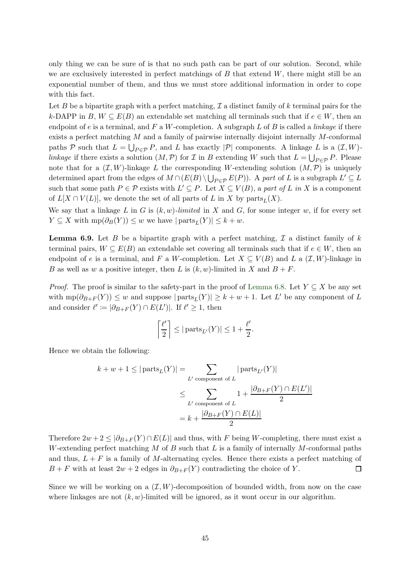only thing we can be sure of is that no such path can be part of our solution. Second, while we are exclusively interested in perfect matchings of  $B$  that extend  $W$ , there might still be an exponential number of them, and thus we must store additional information in order to cope with this fact.

Let B be a bipartite graph with a perfect matching,  $\mathcal I$  a distinct family of k terminal pairs for the k-DAPP in B,  $W \subseteq E(B)$  an extendable set matching all terminals such that if  $e \in W$ , then an endpoint of e is a terminal, and F a W-completion. A subgraph L of B is called a *linkage* if there exists a perfect matching  $M$  and a family of pairwise internally disjoint internally  $M$ -conformal paths P such that  $L = \bigcup_{P \in \mathcal{P}} P$ , and L has exactly  $|\mathcal{P}|$  components. A linkage L is a  $(\mathcal{I}, W)$ linkage if there exists a solution  $(M, \mathcal{P})$  for  $\mathcal I$  in  $B$  extending W such that  $L = \bigcup_{P \in \mathcal{P}} P$ . Please note that for a  $(\mathcal{I}, W)$ -linkage L the corresponding W-extending solution  $(M, \mathcal{P})$  is uniquely determined apart from the edges of  $M \cap (E(B) \setminus \bigcup_{P \in \mathcal{P}} E(P))$ . A part of L is a subgraph  $L' \subseteq L$ such that some path  $P \in \mathcal{P}$  exists with  $L' \subseteq P$ . Let  $X \subseteq V(B)$ , a part of L in X is a component of  $L[X \cap V(L)]$ , we denote the set of all parts of L in X by parts<sub>L</sub>(X).

We say that a linkage L in G is  $(k, w)$ -limited in X and G, for some integer w, if for every set  $Y \subseteq X$  with  $mp(\partial_B(Y)) \leq w$  we have  $|parts_L(Y)| \leq k + w$ .

**Lemma 6.9.** Let B be a bipartite graph with a perfect matching,  $\mathcal{I}$  a distinct family of k terminal pairs,  $W \subseteq E(B)$  an extendable set covering all terminals such that if  $e \in W$ , then an endpoint of e is a terminal, and F a W-completion. Let  $X \subseteq V(B)$  and L a  $(\mathcal{I}, W)$ -linkage in B as well as w a positive integer, then L is  $(k, w)$ -limited in X and  $B + F$ .

*Proof.* The proof is similar to the safety-part in the proof of [Lemma 6.8.](#page-41-1) Let  $Y \subseteq X$  be any set with  $mp(\partial_{B+F}(Y)) \leq w$  and suppose  $|parts_L(Y)| \geq k + w + 1$ . Let L' be any component of L and consider  $\ell' := |\partial_{B+F}(Y) \cap E(L')|$ . If  $\ell' \geq 1$ , then

$$
\left\lceil \frac{\ell'}{2} \right\rceil \le |\operatorname{parts}_{L'}(Y)| \le 1 + \frac{\ell'}{2}.
$$

Hence we obtain the following:

$$
k + w + 1 \le |\text{parts}_{L}(Y)| = \sum_{L' \text{ component of } L} |\text{parts}_{L'}(Y)|
$$
  

$$
\le \sum_{L' \text{ component of } L} 1 + \frac{|\partial_{B+F}(Y) \cap E(L')|}{2}
$$
  

$$
= k + \frac{|\partial_{B+F}(Y) \cap E(L)|}{2}
$$

Therefore  $2w + 2 \leq |\partial_{B+F}(Y) \cap E(L)|$  and thus, with F being W-completing, there must exist a W-extending perfect matching  $M$  of  $B$  such that  $L$  is a family of internally  $M$ -conformal paths and thus,  $L + F$  is a family of M-alternating cycles. Hence there exists a perfect matching of  $B + F$  with at least  $2w + 2$  edges in  $\partial_{B+F}(Y)$  contradicting the choice of Y.  $\Box$ 

Since we will be working on a  $(\mathcal{I}, W)$ -decomposition of bounded width, from now on the case where linkages are not  $(k, w)$ -limited will be ignored, as it wont occur in our algorithm.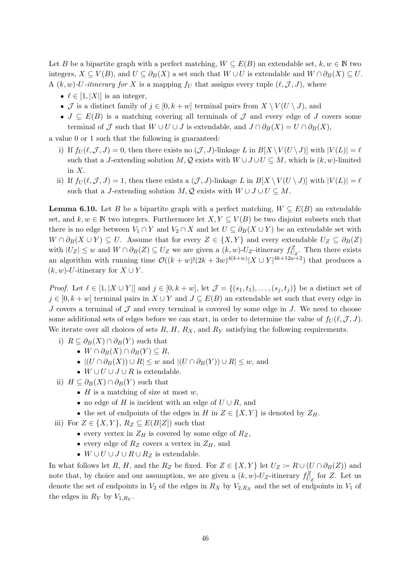Let B be a bipartite graph with a perfect matching,  $W \subseteq E(B)$  an extendable set,  $k, w \in \mathbb{N}$  two integers,  $X \subseteq V(B)$ , and  $U \subseteq \partial_B(X)$  a set such that  $W \cup U$  is extendable and  $W \cap \partial_B(X) \subseteq U$ . A  $(k, w)$ -*U*-itinerary for X is a mapping f<sub>U</sub> that assigns every tuple  $(\ell, \mathcal{J}, J)$ , where

- $\ell \in [1, |X|]$  is an integer,
- J is a distinct family of  $j \in [0, k+w]$  terminal pairs from  $X \setminus V(U \setminus J)$ , and
- $J \subseteq E(B)$  is a matching covering all terminals of  $\mathcal J$  and every edge of  $J$  covers some terminal of  $\mathcal J$  such that  $W \cup U \cup J$  is extendable, and  $J \cap \partial_B(X) = U \cap \partial_B(X)$ ,

a value 0 or 1 such that the following is guaranteed:

- i) If  $f_U(\ell, \mathcal{J}, J) = 0$ , then there exists no  $(\mathcal{J}, J)$ -linkage L in  $B[X \setminus V(U \setminus J)]$  with  $|V(L)| = \ell$ such that a J-extending solution M, Q exists with  $W \cup J \cup U \subseteq M$ , which is  $(k, w)$ -limited in X.
- <span id="page-45-0"></span>ii) If  $f_U(\ell, \mathcal{J}, J) = 1$ , then there exists a  $(\mathcal{J}, J)$ -linkage L in  $B[X \setminus V(U \setminus J)]$  with  $|V(L)| = \ell$ such that a J-extending solution  $M, \mathcal{Q}$  exists with  $W \cup J \cup U \subseteq M$ .

**Lemma 6.10.** Let B be a bipartite graph with a perfect matching,  $W \subseteq E(B)$  an extendable set, and  $k, w \in \mathbb{N}$  two integers. Furthermore let  $X, Y \subseteq V(B)$  be two disjoint subsets such that there is no edge between  $V_1 \cap Y$  and  $V_2 \cap X$  and let  $U \subseteq \partial_B(X \cup Y)$  be an extendable set with  $W \cap \partial_B(X \cup Y) \subseteq U$ . Assume that for every  $Z \in \{X, Y\}$  and every extendable  $U_Z \subseteq \partial_B(Z)$ with  $|U_Z| \leq w$  and  $W \cap \partial_B(Z) \subseteq U_Z$  we are given a  $(k, w)$ - $U_Z$ -itinerary  $f_{U_Z}^Z$ . Then there exists an algorithm with running time  $\mathcal{O}((k+w)!(2k+3w)^{4(k+w)}|X \cup Y|^{4k+12w+2})$  that produces a  $(k, w)$ -*U*-itinerary for  $X \cup Y$ .

*Proof.* Let  $\ell \in [1, |X \cup Y|]$  and  $j \in [0, k+w]$ , let  $\mathcal{J} = \{(s_1, t_1), \ldots, (s_i, t_i)\}\$  be a distinct set of  $j \in [0, k+w]$  terminal pairs in  $X \cup Y$  and  $J \subseteq E(B)$  an extendable set such that every edge in J covers a terminal of  $J$  and every terminal is covered by some edge in  $J$ . We need to choose some additional sets of edges before we can start, in order to determine the value of  $f_U(\ell,\mathcal{J},J)$ . We iterate over all choices of sets  $R, H, R_X$ , and  $R_Y$  satisfying the following requirements.

- i)  $R \subseteq \partial_B(X) \cap \partial_B(Y)$  such that
	- $W \cap \partial_B(X) \cap \partial_B(Y) \subseteq R$ ,
		- $|(U \cap \partial_B(X)) \cup R| \leq w$  and  $|(U \cap \partial_B(Y)) \cup R| \leq w$ , and
	- $W \cup U \cup J \cup R$  is extendable.
- ii)  $H \subseteq \partial_B(X) \cap \partial_B(Y)$  such that
	- $H$  is a matching of size at most  $w$ ,
	- no edge of H is incident with an edge of  $U \cup R$ , and
	- the set of endpoints of the edges in H in  $Z \in \{X, Y\}$  is denoted by  $Z_H$ .
- iii) For  $Z \in \{X, Y\}$ ,  $R_Z \subseteq E(B[Z])$  such that
	- every vertex in  $Z_H$  is covered by some edge of  $R_Z$ ,
	- every edge of  $R_Z$  covers a vertex in  $Z_H$ , and
	- $W \cup U \cup J \cup R \cup R_Z$  is extendable.

In what follows let R, H, and the R<sub>Z</sub> be fixed. For  $Z \in \{X, Y\}$  let  $U_Z \coloneqq R \cup (U \cap \partial_B(Z))$  and note that, by choice and our assumption, we are given a  $(k, w)$ -U<sub>Z</sub>-itinerary  $f_{U_Z}^Z$  for Z. Let us denote the set of endpoints in  $V_2$  of the edges in  $R_X$  by  $V_{2,R_X}$  and the set of endpoints in  $V_1$  of the edges in  $R_Y$  by  $V_{1,R_Y}$ .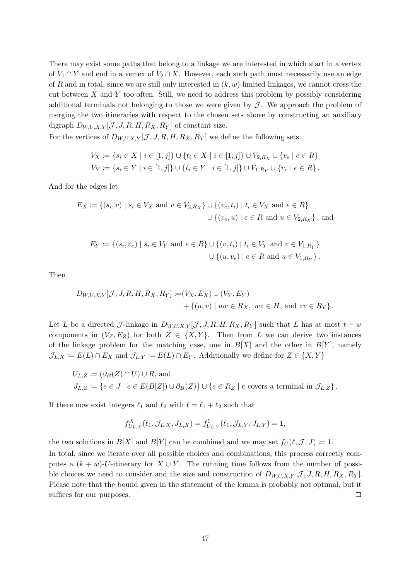There may exist some paths that belong to a linkage we are interested in which start in a vertex of  $V_1 \cap Y$  and end in a vertex of  $V_2 \cap X$ . However, each such path must necessarily use an edge of R and in total, since we are still only interested in  $(k, w)$ -limited linkages, we cannot cross the cut between  $X$  and  $Y$  too often. Still, we need to address this problem by possibly considering additional terminals not belonging to those we were given by  $\mathcal J$ . We approach the problem of merging the two itineraries with respect to the chosen sets above by constructing an auxiliary digraph  $D_{W,U,X,Y}[\mathcal{J}, J, R, H, R_X, R_Y]$  of constant size.

For the vertices of  $D_{W,U,X,Y}[\mathcal{J}, J, R, H, R_X, R_Y]$  we define the following sets:

$$
V_X := \{ s_i \in X \mid i \in [1, j] \} \cup \{ t_i \in X \mid i \in [1, j] \} \cup V_{2, R_X} \cup \{ v_e \mid e \in R \}
$$
  

$$
V_Y := \{ s_i \in Y \mid i \in [1, j] \} \cup \{ t_i \in Y \mid i \in [1, j] \} \cup V_{1, R_Y} \cup \{ v_e \mid e \in R \}.
$$

And for the edges let

$$
E_X := \{(s_i, v) \mid s_i \in V_X \text{ and } v \in V_{2,R_X}\} \cup \{(v_e, t_i) \mid t_i \in V_X \text{ and } e \in R\}
$$
  

$$
\cup \{(v_e, u) \mid e \in R \text{ and } u \in V_{2,R_X}\}, \text{ and}
$$

$$
E_Y := \{(s_i, v_e) \mid s_i \in V_Y \text{ and } e \in R\} \cup \{(v, t_i) \mid t_i \in V_Y \text{ and } v \in V_{1, R_Y}\}\
$$
  

$$
\cup \{(u, v_e) \mid e \in R \text{ and } u \in V_{1, R_Y}\}.
$$

Then

$$
D_{W,U,X,Y}[J, J, R, H, R_X, R_Y] := (V_X, E_X) \cup (V_Y, E_Y) + \{(u, v) \mid uw \in R_X, wz \in H, \text{ and } zv \in R_Y\}.
$$

Let L be a directed J-linkage in  $D_{W,U,X,Y}[\mathcal{J}, J, R, H, R_X, R_Y]$  such that L has at most  $t + w$ components in  $(V_Z, E_Z)$  for both  $Z \in \{X, Y\}$ . Then from L we can derive two instances of the linkage problem for the matching case, one in  $B[X]$  and the other in  $B[Y]$ , namely  $\mathcal{J}_{L,X} := E(L) \cap E_X$  and  $\mathcal{J}_{L,Y} := E(L) \cap E_Y$ . Additionally we define for  $Z \in \{X,Y\}$ 

$$
U_{L,Z} := (\partial_B(Z) \cap U) \cup R, \text{ and}
$$
  
\n
$$
J_{L,Z} := \{ e \in J \mid e \in E(B[Z]) \cup \partial_B(Z) \} \cup \{ e \in R_Z \mid e \text{ covers a terminal in } \mathcal{J}_{L,Z} \}.
$$

If there now exist integers  $\ell_1$  and  $\ell_2$  with  $\ell = \ell_1 + \ell_2$  such that

$$
f_{U_{L,X}}^X(\ell_1, \mathcal{J}_{L,X}, J_{L,X}) = f_{U_{L,Y}}^Y(\ell_1, \mathcal{J}_{L,Y}, J_{L,Y}) = 1,
$$

the two solutions in  $B[X]$  and  $B[Y]$  can be combined and we may set  $f_U(\ell, \mathcal{J}, J) \coloneqq 1$ .

In total, since we iterate over all possible choices and combinations, this process correctly computes a  $(k + w)$ -U-itinerary for  $X \cup Y$ . The running time follows from the number of possible choices we need to consider and the size and construction of  $D_{W,U,X,Y}[\mathcal{J}, J, R, H, R_X, R_Y]$ . Please note that the bound given in the statement of the lemma is probably not optimal, but it suffices for our purposes.  $\Box$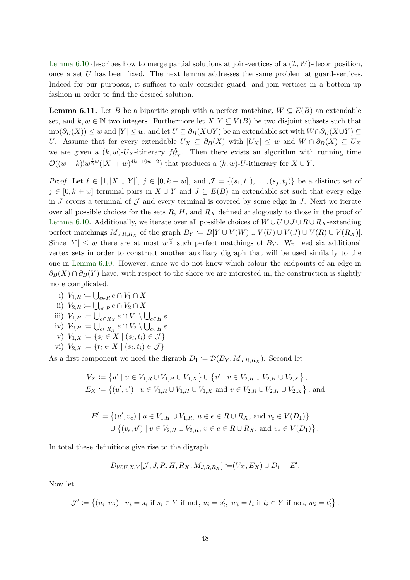[Lemma 6.10](#page-45-0) describes how to merge partial solutions at join-vertices of a  $(\mathcal{I}, W)$ -decomposition, once a set U has been fixed. The next lemma addresses the same problem at guard-vertices. Indeed for our purposes, it suffices to only consider guard- and join-vertices in a bottom-up fashion in order to find the desired solution.

<span id="page-47-0"></span>**Lemma 6.11.** Let B be a bipartite graph with a perfect matching,  $W \subseteq E(B)$  an extendable set, and  $k, w \in \mathbb{N}$  two integers. Furthermore let  $X, Y \subseteq V(B)$  be two disjoint subsets such that  $mp(\partial_B(X)) \leq w$  and  $|Y| \leq w$ , and let  $U \subseteq \partial_B(X \cup Y)$  be an extendable set with  $W \cap \partial_B(X \cup Y) \subseteq$ U. Assume that for every extendable  $U_X \subseteq \partial_B(X)$  with  $|U_X| \leq w$  and  $W \cap \partial_B(X) \subseteq U_X$ we are given a  $(k, w)$ -U<sub>X</sub>-itinerary  $f_{U_X}^X$ . Then there exists an algorithm with running time  $\mathcal{O}((w+k)!w^{\frac{1}{2}w}(|X|+w)^{4k+10w+2})$  that produces a  $(k, w)$ -*U*-itinerary for  $X \cup Y$ .

*Proof.* Let  $\ell \in [1, |X \cup Y|], j \in [0, k+w]$ , and  $\mathcal{J} = \{(s_1, t_1), \ldots, (s_j, t_j)\}\$  be a distinct set of  $j \in [0, k+w]$  terminal pairs in  $X \cup Y$  and  $J \subseteq E(B)$  an extendable set such that every edge in J covers a terminal of  $\mathcal J$  and every terminal is covered by some edge in J. Next we iterate over all possible choices for the sets  $R, H$ , and  $R<sub>X</sub>$  defined analogously to those in the proof of [Lemma 6.10.](#page-45-0) Additionally, we iterate over all possible choices of  $W \cup U \cup J \cup R \cup R_X$ -extending perfect matchings  $M_{J,R,R_X}$  of the graph  $B_Y := B[Y \cup V(W) \cup V(U) \cup V(J) \cup V(R) \cup V(R_X)].$ Since  $|Y| \leq w$  there are at most  $w^{\frac{w}{2}}$  such perfect matchings of  $B_Y$ . We need six additional vertex sets in order to construct another auxiliary digraph that will be used similarly to the one in [Lemma 6.10.](#page-45-0) However, since we do not know which colour the endpoints of an edge in  $\partial_B(X) \cap \partial_B(Y)$  have, with respect to the shore we are interested in, the construction is slightly more complicated.

- i)  $V_{1,R} \coloneqq \bigcup_{e \in R} e \cap V_1 \cap X$
- ii)  $V_{2,R} \coloneqq \bigcup_{e \in R} e \cap V_2 \cap X$
- iii)  $V_{1,H} \coloneqq \bigcup_{e \in R_X} e \cap V_1 \setminus \bigcup_{e \in H} e$
- iv)  $V_{2,H} \coloneqq \bigcup_{e \in R_X} e \cap V_2 \setminus \bigcup_{e \in H} e$
- v)  $V_{1,X} := \{ s_i \in X \mid (s_i, t_i) \in \mathcal{J} \}$
- vi)  $V_{2,X} \coloneqq \{t_i \in X \mid (s_i, t_i) \in \mathcal{J}\}\$

As a first component we need the digraph  $D_1 := \mathcal{D}(B_Y, M_{J,R,R_X})$ . Second let

$$
V_X := \{ u' \mid u \in V_{1,R} \cup V_{1,H} \cup V_{1,X} \} \cup \{ v' \mid v \in V_{2,R} \cup V_{2,H} \cup V_{2,X} \},
$$
  

$$
E_X := \{ (u',v') \mid u \in V_{1,R} \cup V_{1,H} \cup V_{1,X} \text{ and } v \in V_{2,R} \cup V_{2,H} \cup V_{2,X} \},
$$
 and

$$
E' := \{ (u', v_e) \mid u \in V_{1,H} \cup V_{1,R}, u \in e \in R \cup R_X, \text{ and } v_e \in V(D_1) \}
$$
  

$$
\cup \{ (v_e, v') \mid v \in V_{2,H} \cup V_{2,R}, v \in e \in R \cup R_X, \text{ and } v_e \in V(D_1) \}.
$$

In total these definitions give rise to the digraph

$$
D_{W,U,X,Y}[J,J,R,H,R_X,M_{J,R,R_X}] := (V_X, E_X) \cup D_1 + E'.
$$

Now let

 $\mathcal{J}' \coloneqq \{(u_i, w_i) \mid u_i = s_i \text{ if } s_i \in Y \text{ if not, } u_i = s'_i, w_i = t_i \text{ if } t_i \in Y \text{ if not, } w_i = t'_i\}$ .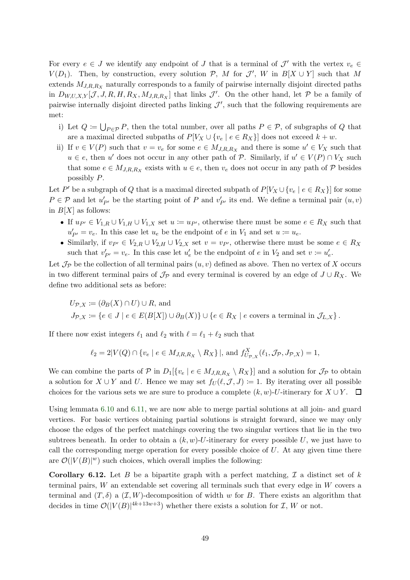For every  $e \in J$  we identify any endpoint of J that is a terminal of  $\mathcal{J}'$  with the vertex  $v_e \in$  $V(D_1)$ . Then, by construction, every solution  $P$ , M for  $\mathcal{J}'$ , W in  $B[X \cup Y]$  such that M extends  $M_{J,R,R_X}$  naturally corresponds to a family of pairwise internally disjoint directed paths in  $D_{W,U,X,Y}[\mathcal{J},J,R,H,R_X,M_{J,R,R_X}]$  that links  $\mathcal{J}'$ . On the other hand, let  $\mathcal{P}$  be a family of pairwise internally disjoint directed paths linking  $\mathcal{J}'$ , such that the following requirements are met:

- i) Let  $Q \coloneqq \bigcup_{P \in \mathcal{P}} P$ , then the total number, over all paths  $P \in \mathcal{P}$ , of subgraphs of Q that are a maximal directed subpaths of  $P[V_X \cup \{v_e \mid e \in R_X\}]$  does not exceed  $k + w$ .
- ii) If  $v \in V(P)$  such that  $v = v_e$  for some  $e \in M_{J,R,R_X}$  and there is some  $u' \in V_X$  such that  $u \in e$ , then u' does not occur in any other path of P. Similarly, if  $u' \in V(P) \cap V_X$  such that some  $e \in M_{J,R,R_X}$  exists with  $u \in e$ , then  $v_e$  does not occur in any path of  $P$  besides possibly P.

Let P' be a subgraph of Q that is a maximal directed subpath of  $P[V_X \cup \{v_e \mid e \in R_X\}]$  for some  $P \in \mathcal{P}$  and let  $u'_{P'}$  be the starting point of P and  $v'_{P'}$  its end. We define a terminal pair  $(u, v)$ in  $B[X]$  as follows:

- If  $u_{P'} \in V_{1,R} \cup V_{1,H} \cup V_{1,X}$  set  $u := u_{P'}$ , otherwise there must be some  $e \in R_X$  such that  $u'_{P'} = v_e$ . In this case let  $u_e$  be the endpoint of e in  $V_1$  and set  $u := u_e$ .
- Similarly, if  $v_{P'} \in V_{2,R} \cup V_{2,H} \cup V_{2,X}$  set  $v = v_{P'}$ , otherwise there must be some  $e \in R_X$ such that  $v'_{P'} = v_e$ . In this case let  $u'_e$  be the endpoint of e in  $V_2$  and set  $v := u'_e$ .

Let  $\mathcal{J}_{\mathcal{P}}$  be the collection of all terminal pairs  $(u, v)$  defined as above. Then no vertex of X occurs in two different terminal pairs of  $\mathcal{J}_{\mathcal{P}}$  and every terminal is covered by an edge of  $J \cup R_X$ . We define two additional sets as before:

$$
U_{\mathcal{P},X} := (\partial_B(X) \cap U) \cup R, \text{ and}
$$
  
\n
$$
J_{\mathcal{P},X} := \{ e \in J \mid e \in E(B[X]) \cup \partial_B(X) \} \cup \{ e \in R_X \mid e \text{ covers a terminal in } \mathcal{J}_{L,X} \}.
$$

If there now exist integers  $\ell_1$  and  $\ell_2$  with  $\ell = \ell_1 + \ell_2$  such that

$$
\ell_2 = 2|V(Q) \cap \{v_e \mid e \in M_{J,R,R_X} \setminus R_X\}|, \text{ and } f_{U_{\mathcal{P},X}}^X(\ell_1, \mathcal{J}_{\mathcal{P}}, J_{\mathcal{P},X}) = 1,
$$

We can combine the parts of  $P$  in  $D_1[\{v_e \mid e \in M_{J,R,R_X} \setminus R_X\}]$  and a solution for  $\mathcal{J}_P$  to obtain a solution for  $X \cup Y$  and U. Hence we may set  $f_U(\ell, \mathcal{J}, J) := 1$ . By iterating over all possible choices for the various sets we are sure to produce a complete  $(k, w)$ -U-itinerary for  $X \cup Y$ .  $\Box$ 

Using lemmata [6.10](#page-45-0) and [6.11,](#page-47-0) we are now able to merge partial solutions at all join- and guard vertices. For basic vertices obtaining partial solutions is straight forward, since we may only choose the edges of the perfect matchings covering the two singular vertices that lie in the two subtrees beneath. In order to obtain a  $(k, w)$ -U-itinerary for every possible U, we just have to call the corresponding merge operation for every possible choice of  $U$ . At any given time there are  $\mathcal{O}(|V(B)|^w)$  such choices, which overall implies the following:

<span id="page-48-0"></span>**Corollary 6.12.** Let B be a bipartite graph with a perfect matching,  $\mathcal{I}$  a distinct set of k terminal pairs,  $W$  an extendable set covering all terminals such that every edge in  $W$  covers a terminal and  $(T, \delta)$  a  $(T, W)$ -decomposition of width w for B. There exists an algorithm that decides in time  $\mathcal{O}(|V(B)|^{4k+13w+3})$  whether there exists a solution for  $\mathcal{I}, W$  or not.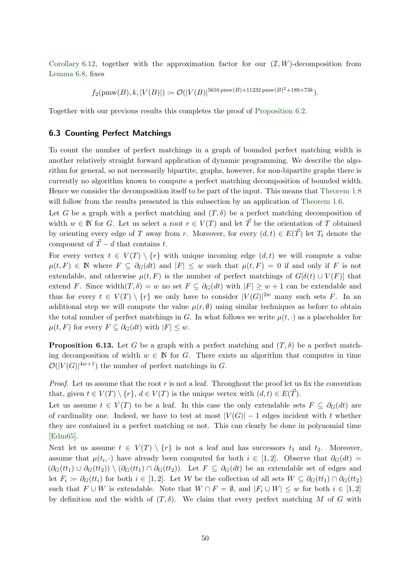[Corollary 6.12,](#page-48-0) together with the approximation factor for our  $(\mathcal{I}, W)$ -decomposition from [Lemma 6.8,](#page-41-1) fixes

 $f_2(\text{pmw}(B), k, |V(B)|) \coloneqq \mathcal{O}(|V(B)|^{5616 \text{pmw}(B) + 11232 \text{pmw}(B)^2 + 189 + 73k}).$ 

<span id="page-49-0"></span>Together with our previous results this completes the proof of [Proposition 6.2.](#page-36-1)

#### 6.3 Counting Perfect Matchings

To count the number of perfect matchings in a graph of bounded perfect matching width is another relatively straight forward application of dynamic programming. We describe the algorithm for general, so not necessarily bipartite, graphs, however, for non-bipartite graphs there is currently no algorithm known to compute a perfect matching decomposition of bounded width. Hence we consider the decomposition itself to be part of the input. This means that [Theorem 1.8](#page-4-2) will follow from the results presented in this subsection by an application of [Theorem 1.6.](#page-4-1)

Let G be a graph with a perfect matching and  $(T, \delta)$  be a perfect matching decomposition of width  $w \in \mathbb{N}$  for G. Let us select a root  $r \in V(T)$  and let  $\vec{T}$  be the orientation of T obtained by orienting every edge of T away from r. Moreover, for every  $(d, t) \in E(\vec{T})$  let  $T_t$  denote the component of  $\vec{T} - d$  that contains t.

For every vertex  $t \in V(T) \setminus \{r\}$  with unique incoming edge  $(d, t)$  we will compute a value  $\mu(t, F) \in \mathbb{N}$  where  $F \subseteq \partial_G(dt)$  and  $|F| \leq w$  such that  $\mu(t, F) = 0$  if and only if F is not extendable, and otherwise  $\mu(t, F)$  is the number of perfect matchings of  $G[\delta(t) \cup V(F)]$  that extend F. Since width $(T, \delta) = w$  no set  $F \subseteq \partial_G(dt)$  with  $|F| \geq w+1$  can be extendable and thus for every  $t \in V(T) \setminus \{r\}$  we only have to consider  $|V(G)|^{2w}$  many such sets F. In an additional step we will compute the value  $\mu(r, \emptyset)$  using similar techniques as before to obtain the total number of perfect matchings in G. In what follows we write  $\mu(t, \cdot)$  as a placeholder for  $\mu(t, F)$  for every  $F \subseteq \partial_G(dt)$  with  $|F| \leq w$ .

**Proposition 6.13.** Let G be a graph with a perfect matching and  $(T, \delta)$  be a perfect matching decomposition of width  $w \in \mathbb{N}$  for G. There exists an algorithm that computes in time  $\mathcal{O}(|V(G)|^{4w+1})$  the number of perfect matchings in G.

*Proof.* Let us assume that the root r is not a leaf. Throughout the proof let us fix the convention that, given  $t \in V(T) \setminus \{r\}, d \in V(T)$  is the unique vertex with  $(d, t) \in E(T)$ .

Let us assume  $t \in V(T)$  to be a leaf. In this case the only extendable sets  $F \subseteq \partial_G(dt)$  are of cardinality one. Indeed, we have to test at most  $|V(G)| - 1$  edges incident with t whether they are contained in a perfect matching or not. This can clearly be done in polynomial time [\[Edm65\]](#page-52-12).

Next let us assume  $t \in V(T) \setminus \{r\}$  is not a leaf and has successors  $t_1$  and  $t_2$ . Moreover, assume that  $\mu(t_i, \cdot)$  have already been computed for both  $i \in [1,2]$ . Observe that  $\partial_G(dt)$  $(\partial_G(tt_1) \cup \partial_G(tt_2)) \setminus (\partial_G(tt_1) \cap \partial_G(tt_2))$ . Let  $F \subseteq \partial_G(dt)$  be an extendable set of edges and let  $F_i \coloneqq \partial_G(t t_i)$  for both  $i \in [1, 2]$ . Let W be the collection of all sets  $W \subseteq \partial_G(t t_1) \cap \partial_G(t t_2)$ such that  $F \cup W$  is extendable. Note that  $W \cap F = \emptyset$ , and  $|F_i \cup W| \leq w$  for both  $i \in [1,2]$ by definition and the width of  $(T, \delta)$ . We claim that every perfect matching M of G with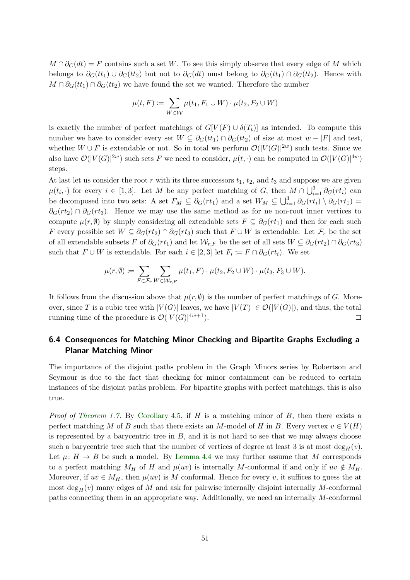$M \cap \partial_G(dt) = F$  contains such a set W. To see this simply observe that every edge of M which belongs to  $\partial_G(t t_1) \cup \partial_G(t t_2)$  but not to  $\partial_G(dt)$  must belong to  $\partial_G(t t_1) \cap \partial_G(t t_2)$ . Hence with  $M \cap \partial_G (tt_1) \cap \partial_G (tt_2)$  we have found the set we wanted. Therefore the number

$$
\mu(t, F) := \sum_{W \in \mathcal{W}} \mu(t_1, F_1 \cup W) \cdot \mu(t_2, F_2 \cup W)
$$

is exactly the number of perfect matchings of  $G[V(F) \cup \delta(T_t)]$  as intended. To compute this number we have to consider every set  $W \subseteq \partial_G(t_1) \cap \partial_G(t_2)$  of size at most  $w - |F|$  and test, whether  $W \cup F$  is extendable or not. So in total we perform  $\mathcal{O}(|V(G)|^{2w})$  such tests. Since we also have  $\mathcal{O}(|V(G)|^{2w})$  such sets F we need to consider,  $\mu(t, \cdot)$  can be computed in  $\mathcal{O}(|V(G)|^{4w})$ steps.

At last let us consider the root r with its three successors  $t_1$ ,  $t_2$ , and  $t_3$  and suppose we are given  $\mu(t_i, \cdot)$  for every  $i \in [1,3]$ . Let M be any perfect matching of G, then  $M \cap \bigcup_{i=1}^3 \partial_G(rt_i)$  can be decomposed into two sets: A set  $F_M \subseteq \partial_G(rt_1)$  and a set  $W_M \subseteq \bigcup_{i=1}^3 \partial_G(rt_i) \setminus \partial_G(rt_1)$  $\partial_G(rt_2) \cap \partial_G(rt_3$ . Hence we may use the same method as for ne non-root inner vertices to compute  $\mu(r,\emptyset)$  by simply considering all extendable sets  $F \subseteq \partial_G(rt_1)$  and then for each such F every possible set  $W \subseteq \partial_G(rt_2) \cap \partial_G(rt_3)$  such that  $F \cup W$  is extendable. Let  $\mathcal{F}_r$  be the set of all extendable subsets F of  $\partial_G(rt_1)$  and let  $\mathcal{W}_{r,F}$  be the set of all sets  $W \subseteq \partial_G(rt_2) \cap \partial_G(rt_3)$ such that  $F \cup W$  is extendable. For each  $i \in [2,3]$  let  $F_i := F \cap \partial_G(rt_i)$ . We set

$$
\mu(r,\emptyset) := \sum_{F \in \mathcal{F}_r} \sum_{W \in \mathcal{W}_{r,F}} \mu(t_1,F) \cdot \mu(t_2,F_2 \cup W) \cdot \mu(t_3,F_3 \cup W).
$$

It follows from the discussion above that  $\mu(r, \emptyset)$  is the number of perfect matchings of G. Moreover, since T is a cubic tree with  $|V(G)|$  leaves, we have  $|V(T)| \in \mathcal{O}(|V(G)|)$ , and thus, the total running time of the procedure is  $\mathcal{O}(|V(G)|^{4w+1})$ .  $\Box$ 

### <span id="page-50-0"></span>6.4 Consequences for Matching Minor Checking and Bipartite Graphs Excluding a Planar Matching Minor

The importance of the disjoint paths problem in the Graph Minors series by Robertson and Seymour is due to the fact that checking for minor containment can be reduced to certain instances of the disjoint paths problem. For bipartite graphs with perfect matchings, this is also true.

*Proof of [Theorem 1.7.](#page-4-0)* By [Corollary 4.5,](#page-21-1) if  $H$  is a matching minor of  $B$ , then there exists a perfect matching M of B such that there exists an M-model of H in B. Every vertex  $v \in V(H)$ is represented by a barycentric tree in  $B$ , and it is not hard to see that we may always choose such a barycentric tree such that the number of vertices of degree at least 3 is at most  $\deg_H(v)$ . Let  $\mu: H \to B$  be such a model. By [Lemma 4.4](#page-20-0) we may further assume that M corresponds to a perfect matching  $M_H$  of H and  $\mu(uv)$  is internally M-conformal if and only if  $uv \notin M_H$ . Moreover, if  $uv \in M_H$ , then  $\mu(uv)$  is M conformal. Hence for every v, it suffices to guess the at most deg<sub>H</sub>(v) many edges of M and ask for pairwise internally disjoint internally M-conformal paths connecting them in an appropriate way. Additionally, we need an internally M-conformal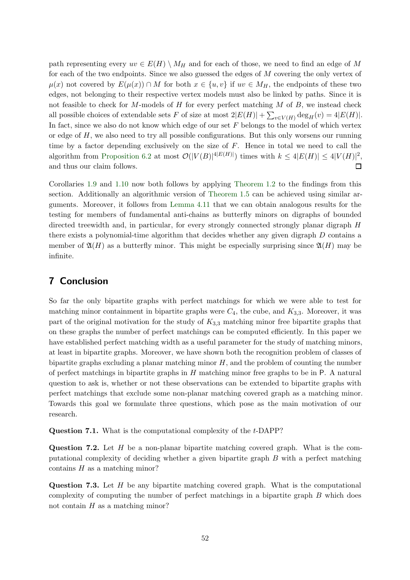path representing every  $uv \in E(H) \setminus M_H$  and for each of those, we need to find an edge of M for each of the two endpoints. Since we also guessed the edges of M covering the only vertex of  $\mu(x)$  not covered by  $E(\mu(x)) \cap M$  for both  $x \in \{u, v\}$  if  $uv \in M_H$ , the endpoints of these two edges, not belonging to their respective vertex models must also be linked by paths. Since it is not feasible to check for  $M$ -models of  $H$  for every perfect matching  $M$  of  $B$ , we instead check all possible choices of extendable sets F of size at most  $2|E(H)| + \sum_{v \in V(H)} \deg_H(v) = 4|E(H)|$ . In fact, since we also do not know which edge of our set  $F$  belongs to the model of which vertex or edge of  $H$ , we also need to try all possible configurations. But this only worsens our running time by a factor depending exclusively on the size of F. Hence in total we need to call the algorithm from [Proposition 6.2](#page-36-1) at most  $\mathcal{O}(|V(B)|^{\{E(H)\}})$  times with  $k \leq 4|E(H)| \leq 4|V(H)|^2$ , and thus our claim follows.  $\Box$ 

Corollaries [1.9](#page-4-3) and [1.10](#page-4-4) now both follows by applying [Theorem 1.2](#page-2-2) to the findings from this section. Additionally an algorithmic version of [Theorem 1.5](#page-3-0) can be achieved using similar arguments. Moreover, it follows from [Lemma 4.11](#page-22-0) that we can obtain analogous results for the testing for members of fundamental anti-chains as butterfly minors on digraphs of bounded directed treewidth and, in particular, for every strongly connected strongly planar digraph H there exists a polynomial-time algorithm that decides whether any given digraph D contains a member of  $\mathfrak{A}(H)$  as a butterfly minor. This might be especially surprising since  $\mathfrak{A}(H)$  may be infinite.

# 7 Conclusion

So far the only bipartite graphs with perfect matchings for which we were able to test for matching minor containment in bipartite graphs were  $C_4$ , the cube, and  $K_{3,3}$ . Moreover, it was part of the original motivation for the study of  $K_{3,3}$  matching minor free bipartite graphs that on these graphs the number of perfect matchings can be computed efficiently. In this paper we have established perfect matching width as a useful parameter for the study of matching minors, at least in bipartite graphs. Moreover, we have shown both the recognition problem of classes of bipartite graphs excluding a planar matching minor  $H$ , and the problem of counting the number of perfect matchings in bipartite graphs in  $H$  matching minor free graphs to be in P. A natural question to ask is, whether or not these observations can be extended to bipartite graphs with perfect matchings that exclude some non-planar matching covered graph as a matching minor. Towards this goal we formulate three questions, which pose as the main motivation of our research.

Question 7.1. What is the computational complexity of the t-DAPP?

**Question 7.2.** Let  $H$  be a non-planar bipartite matching covered graph. What is the computational complexity of deciding whether a given bipartite graph B with a perfect matching contains  $H$  as a matching minor?

**Question 7.3.** Let  $H$  be any bipartite matching covered graph. What is the computational complexity of computing the number of perfect matchings in a bipartite graph B which does not contain  $H$  as a matching minor?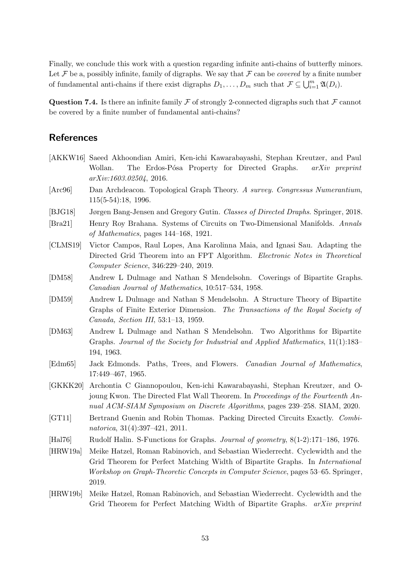Finally, we conclude this work with a question regarding infinite anti-chains of butterfly minors. Let  $\mathcal F$  be a, possibly infinite, family of digraphs. We say that  $\mathcal F$  can be *covered* by a finite number of fundamental anti-chains if there exist digraphs  $D_1, \ldots, D_m$  such that  $\mathcal{F} \subseteq \bigcup_{i=1}^m \mathfrak{A}(D_i)$ .

**Question 7.4.** Is there an infinite family F of strongly 2-connected digraphs such that F cannot be covered by a finite number of fundamental anti-chains?

### **References**

- <span id="page-52-4"></span>[AKKW16] Saeed Akhoondian Amiri, Ken-ichi Kawarabayashi, Stephan Kreutzer, and Paul Wollan. The Erdos-Pósa Property for Directed Graphs. arXiv preprint arXiv:1603.02504, 2016.
- <span id="page-52-10"></span>[Arc96] Dan Archdeacon. Topological Graph Theory. A survey. Congressus Numerantium, 115(5-54):18, 1996.
- <span id="page-52-6"></span>[BJG18] Jørgen Bang-Jensen and Gregory Gutin. Classes of Directed Draphs. Springer, 2018.
- <span id="page-52-11"></span>[Bra21] Henry Roy Brahana. Systems of Circuits on Two-Dimensional Manifolds. Annals of Mathematics, pages 144–168, 1921.
- <span id="page-52-13"></span>[CLMS19] Victor Campos, Raul Lopes, Ana Karolinna Maia, and Ignasi Sau. Adapting the Directed Grid Theorem into an FPT Algorithm. Electronic Notes in Theoretical Computer Science, 346:229–240, 2019.
- <span id="page-52-7"></span>[DM58] Andrew L Dulmage and Nathan S Mendelsohn. Coverings of Bipartite Graphs. Canadian Journal of Mathematics, 10:517–534, 1958.
- <span id="page-52-8"></span>[DM59] Andrew L Dulmage and Nathan S Mendelsohn. A Structure Theory of Bipartite Graphs of Finite Exterior Dimension. The Transactions of the Royal Society of Canada, Section III, 53:1–13, 1959.
- <span id="page-52-9"></span>[DM63] Andrew L Dulmage and Nathan S Mendelsohn. Two Algorithms for Bipartite Graphs. Journal of the Society for Industrial and Applied Mathematics, 11(1):183– 194, 1963.
- <span id="page-52-12"></span>[Edm65] Jack Edmonds. Paths, Trees, and Flowers. Canadian Journal of Mathematics, 17:449–467, 1965.
- <span id="page-52-5"></span>[GKKK20] Archontia C Giannopoulou, Ken-ichi Kawarabayashi, Stephan Kreutzer, and Ojoung Kwon. The Directed Flat Wall Theorem. In Proceedings of the Fourteenth Annual ACM-SIAM Symposium on Discrete Algorithms, pages 239–258. SIAM, 2020.
- <span id="page-52-3"></span>[GT11] Bertrand Guenin and Robin Thomas. Packing Directed Circuits Exactly. Combinatorica, 31(4):397–421, 2011.
- <span id="page-52-0"></span>[Hal76] Rudolf Halin. S-Functions for Graphs. Journal of geometry, 8(1-2):171–186, 1976.
- <span id="page-52-1"></span>[HRW19a] Meike Hatzel, Roman Rabinovich, and Sebastian Wiederrecht. Cyclewidth and the Grid Theorem for Perfect Matching Width of Bipartite Graphs. In International Workshop on Graph-Theoretic Concepts in Computer Science, pages 53–65. Springer, 2019.
- <span id="page-52-2"></span>[HRW19b] Meike Hatzel, Roman Rabinovich, and Sebastian Wiederrecht. Cyclewidth and the Grid Theorem for Perfect Matching Width of Bipartite Graphs. arXiv preprint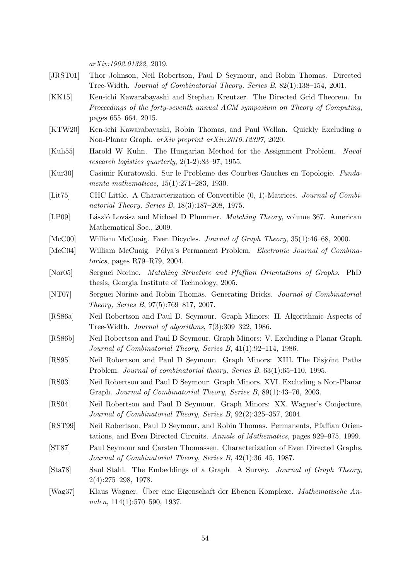arXiv:1902.01322, 2019.

- <span id="page-53-12"></span>[JRST01] Thor Johnson, Neil Robertson, Paul D Seymour, and Robin Thomas. Directed Tree-Width. Journal of Combinatorial Theory, Series B, 82(1):138–154, 2001.
- <span id="page-53-15"></span>[KK15] Ken-ichi Kawarabayashi and Stephan Kreutzer. The Directed Grid Theorem. In Proceedings of the forty-seventh annual ACM symposium on Theory of Computing, pages 655–664, 2015.
- <span id="page-53-6"></span>[KTW20] Ken-ichi Kawarabayashi, Robin Thomas, and Paul Wollan. Quickly Excluding a Non-Planar Graph. arXiv preprint arXiv:2010.12397, 2020.
- <span id="page-53-19"></span>[Kuh55] Harold W Kuhn. The Hungarian Method for the Assignment Problem. Naval research logistics quarterly, 2(1-2):83–97, 1955.
- <span id="page-53-1"></span>[Kur30] Casimir Kuratowski. Sur le Probleme des Courbes Gauches en Topologie. Fundamenta mathematicae, 15(1):271–283, 1930.
- <span id="page-53-8"></span>[Lit75] CHC Little. A Characterization of Convertible (0, 1)-Matrices. Journal of Combinatorial Theory, Series B, 18(3):187–208, 1975.
- <span id="page-53-17"></span>[LP09] László Lovász and Michael D Plummer. *Matching Theory*, volume 367. American Mathematical Soc., 2009.
- <span id="page-53-13"></span>[McC00] William McCuaig. Even Dicycles. Journal of Graph Theory, 35(1):46–68, 2000.
- <span id="page-53-10"></span>[McC04] William McCuaig. Pólya's Permanent Problem. Electronic Journal of Combinatorics, pages R79–R79, 2004.
- <span id="page-53-11"></span>[Nor05] Serguei Norine. Matching Structure and Pfaffian Orientations of Graphs. PhD thesis, Georgia Institute of Technology, 2005.
- <span id="page-53-16"></span>[NT07] Serguei Norine and Robin Thomas. Generating Bricks. Journal of Combinatorial Theory, Series B, 97(5):769–817, 2007.
- <span id="page-53-3"></span>[RS86a] Neil Robertson and Paul D. Seymour. Graph Minors: II. Algorithmic Aspects of Tree-Width. Journal of algorithms, 7(3):309–322, 1986.
- <span id="page-53-4"></span>[RS86b] Neil Robertson and Paul D Seymour. Graph Minors: V. Excluding a Planar Graph. Journal of Combinatorial Theory, Series B, 41(1):92–114, 1986.
- <span id="page-53-5"></span>[RS95] Neil Robertson and Paul D Seymour. Graph Minors: XIII. The Disjoint Paths Problem. Journal of combinatorial theory, Series B, 63(1):65–110, 1995.
- <span id="page-53-7"></span>[RS03] Neil Robertson and Paul D Seymour. Graph Minors. XVI. Excluding a Non-Planar Graph. Journal of Combinatorial Theory, Series B, 89(1):43–76, 2003.
- <span id="page-53-2"></span>[RS04] Neil Robertson and Paul D Seymour. Graph Minors: XX. Wagner's Conjecture. Journal of Combinatorial Theory, Series B, 92(2):325–357, 2004.
- <span id="page-53-9"></span>[RST99] Neil Robertson, Paul D Seymour, and Robin Thomas. Permanents, Pfaffian Orientations, and Even Directed Circuits. Annals of Mathematics, pages 929–975, 1999.
- <span id="page-53-14"></span>[ST87] Paul Seymour and Carsten Thomassen. Characterization of Even Directed Graphs. Journal of Combinatorial Theory, Series B, 42(1):36–45, 1987.
- <span id="page-53-18"></span>[Sta78] Saul Stahl. The Embeddings of a Graph—A Survey. Journal of Graph Theory, 2(4):275–298, 1978.
- <span id="page-53-0"></span>[Wag37] Klaus Wagner. Über eine Eigenschaft der Ebenen Komplexe. Mathematische Annalen, 114(1):570–590, 1937.